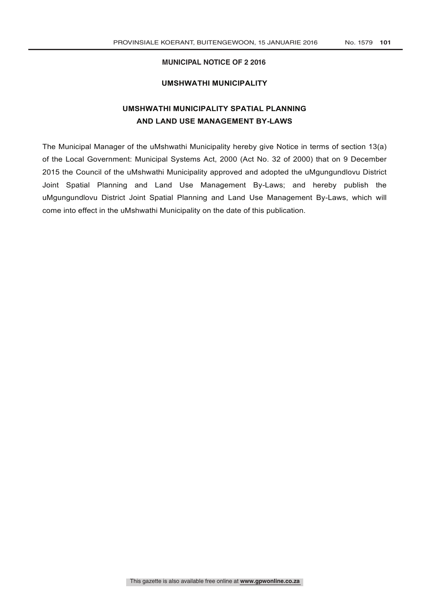# **MUNICIPAL NOTICE OF 2 2016**

# **UMSHWATHI MUNICIPALITY**

# **UMSHWATHI MUNICIPALITY SPATIAL PLANNING AND LAND USE MANAGEMENT BY-LAWS**

The Municipal Manager of the uMshwathi Municipality hereby give Notice in terms of section 13(a) of the Local Government: Municipal Systems Act, 2000 (Act No. 32 of 2000) that on 9 December 2015 the Council of the uMshwathi Municipality approved and adopted the uMgungundlovu District Joint Spatial Planning and Land Use Management By-Laws; and hereby publish the uMgungundlovu District Joint Spatial Planning and Land Use Management By-Laws, which will come into effect in the uMshwathi Municipality on the date of this publication.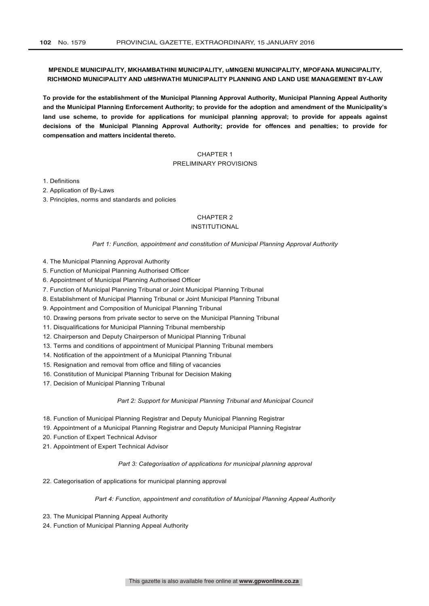# **MPENDLE MUNICIPALITY, MKHAMBATHINI MUNICIPALITY, uMNGENI MUNICIPALITY, MPOFANA MUNICIPALITY, RICHMOND MUNICIPALITY AND uMSHWATHI MUNICIPALITY PLANNING AND LAND USE MANAGEMENT BY-LAW**

**To provide for the establishment of the Municipal Planning Approval Authority, Municipal Planning Appeal Authority and the Municipal Planning Enforcement Authority; to provide for the adoption and amendment of the Municipality's land use scheme, to provide for applications for municipal planning approval; to provide for appeals against decisions of the Municipal Planning Approval Authority; provide for offences and penalties; to provide for compensation and matters incidental thereto.**

# CHAPTER 1 PRELIMINARY PROVISIONS

1. Definitions

2. Application of By-Laws

3. Principles, norms and standards and policies

# CHAPTER 2

# INSTITUTIONAL

*Part 1: Function, appointment and constitution of Municipal Planning Approval Authority*

- 4. The Municipal Planning Approval Authority
- 5. Function of Municipal Planning Authorised Officer
- 6. Appointment of Municipal Planning Authorised Officer
- 7. Function of Municipal Planning Tribunal or Joint Municipal Planning Tribunal
- 8. Establishment of Municipal Planning Tribunal or Joint Municipal Planning Tribunal
- 9. Appointment and Composition of Municipal Planning Tribunal
- 10. Drawing persons from private sector to serve on the Municipal Planning Tribunal
- 11. Disqualifications for Municipal Planning Tribunal membership
- 12. Chairperson and Deputy Chairperson of Municipal Planning Tribunal
- 13. Terms and conditions of appointment of Municipal Planning Tribunal members
- 14. Notification of the appointment of a Municipal Planning Tribunal
- 15. Resignation and removal from office and filling of vacancies
- 16. Constitution of Municipal Planning Tribunal for Decision Making
- 17. Decision of Municipal Planning Tribunal

#### *Part 2: Support for Municipal Planning Tribunal and Municipal Council*

- 18. Function of Municipal Planning Registrar and Deputy Municipal Planning Registrar
- 19. Appointment of a Municipal Planning Registrar and Deputy Municipal Planning Registrar
- 20. Function of Expert Technical Advisor
- 21. Appointment of Expert Technical Advisor

#### *Part 3: Categorisation of applications for municipal planning approval*

22. Categorisation of applications for municipal planning approval

*Part 4: Function, appointment and constitution of Municipal Planning Appeal Authority*

- 23. The Municipal Planning Appeal Authority
- 24. Function of Municipal Planning Appeal Authority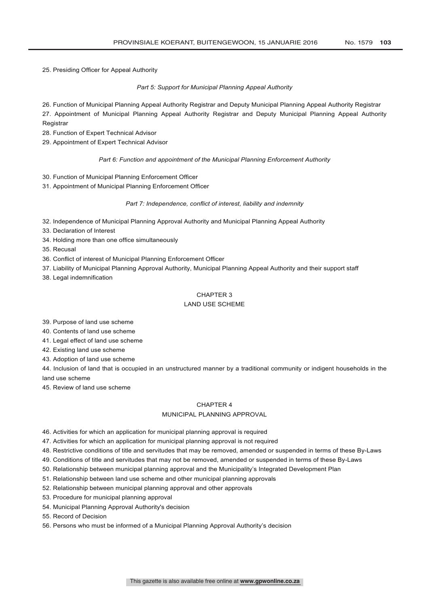25. Presiding Officer for Appeal Authority

# *Part 5: Support for Municipal Planning Appeal Authority*

26. Function of Municipal Planning Appeal Authority Registrar and Deputy Municipal Planning Appeal Authority Registrar

27. Appointment of Municipal Planning Appeal Authority Registrar and Deputy Municipal Planning Appeal Authority **Registrar** 

28. Function of Expert Technical Advisor

29. Appointment of Expert Technical Advisor

#### *Part 6: Function and appointment of the Municipal Planning Enforcement Authority*

- 30. Function of Municipal Planning Enforcement Officer
- 31. Appointment of Municipal Planning Enforcement Officer

# *Part 7: Independence, conflict of interest, liability and indemnity*

- 32. Independence of Municipal Planning Approval Authority and Municipal Planning Appeal Authority
- 33. Declaration of Interest
- 34. Holding more than one office simultaneously
- 35. Recusal
- 36. Conflict of interest of Municipal Planning Enforcement Officer
- 37. Liability of Municipal Planning Approval Authority, Municipal Planning Appeal Authority and their support staff
- 38. Legal indemnification

# CHAPTER 3

# LAND USE SCHEME

39. Purpose of land use scheme

40. Contents of land use scheme

- 41. Legal effect of land use scheme
- 42. Existing land use scheme

43. Adoption of land use scheme

44. Inclusion of land that is occupied in an unstructured manner by a traditional community or indigent households in the land use scheme

45. Review of land use scheme

# CHAPTER 4

# MUNICIPAL PLANNING APPROVAL

46. Activities for which an application for municipal planning approval is required

47. Activities for which an application for municipal planning approval is not required

48. Restrictive conditions of title and servitudes that may be removed, amended or suspended in terms of these By-Laws

49. Conditions of title and servitudes that may not be removed, amended or suspended in terms of these By-Laws

50. Relationship between municipal planning approval and the Municipality's Integrated Development Plan

51. Relationship between land use scheme and other municipal planning approvals

52. Relationship between municipal planning approval and other approvals

53. Procedure for municipal planning approval

54. Municipal Planning Approval Authority's decision

55. Record of Decision

56. Persons who must be informed of a Municipal Planning Approval Authority's decision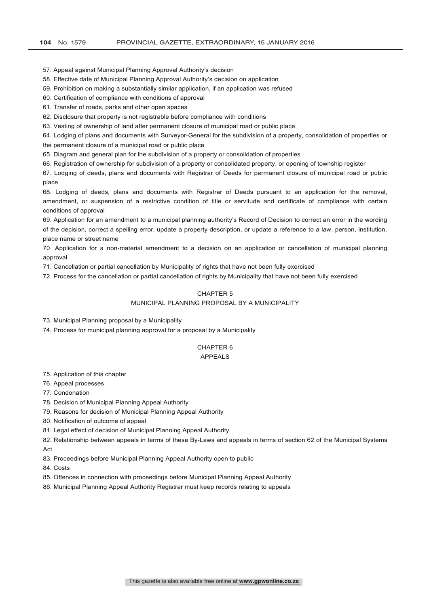57. Appeal against Municipal Planning Approval Authority's decision

- 58. Effective date of Municipal Planning Approval Authority's decision on application
- 59. Prohibition on making a substantially similar application, if an application was refused
- 60. Certification of compliance with conditions of approval
- 61. Transfer of roads, parks and other open spaces
- 62. Disclosure that property is not registrable before compliance with conditions
- 63. Vesting of ownership of land after permanent closure of municipal road or public place
- 64. Lodging of plans and documents with Surveyor-General for the subdivision of a property, consolidation of properties or
- the permanent closure of a municipal road or public place
- 65. Diagram and general plan for the subdivision of a property or consolidation of properties
- 66. Registration of ownership for subdivision of a property or consolidated property, or opening of township register

67. Lodging of deeds, plans and documents with Registrar of Deeds for permanent closure of municipal road or public place

68. Lodging of deeds, plans and documents with Registrar of Deeds pursuant to an application for the removal, amendment, or suspension of a restrictive condition of title or servitude and certificate of compliance with certain conditions of approval

69. Application for an amendment to a municipal planning authority's Record of Decision to correct an error in the wording of the decision, correct a spelling error, update a property description, or update a reference to a law, person, institution, place name or street name

70. Application for a non-material amendment to a decision on an application or cancellation of municipal planning approval

71. Cancellation or partial cancellation by Municipality of rights that have not been fully exercised

72. Process for the cancellation or partial cancellation of rights by Municipality that have not been fully exercised

# CHAPTER 5

# MUNICIPAL PLANNING PROPOSAL BY A MUNICIPALITY

73. Municipal Planning proposal by a Municipality

74. Process for municipal planning approval for a proposal by a Municipality

#### CHAPTER 6 APPEALS

75. Application of this chapter

- 76. Appeal processes
- 77. Condonation

78. Decision of Municipal Planning Appeal Authority

- 79. Reasons for decision of Municipal Planning Appeal Authority
- 80. Notification of outcome of appeal
- 81. Legal effect of decision of Municipal Planning Appeal Authority

82. Relationship between appeals in terms of these By-Laws and appeals in terms of section 62 of the Municipal Systems **Act** 

- 83. Proceedings before Municipal Planning Appeal Authority open to public
- 84. Costs
- 85. Offences in connection with proceedings before Municipal Planning Appeal Authority
- 86. Municipal Planning Appeal Authority Registrar must keep records relating to appeals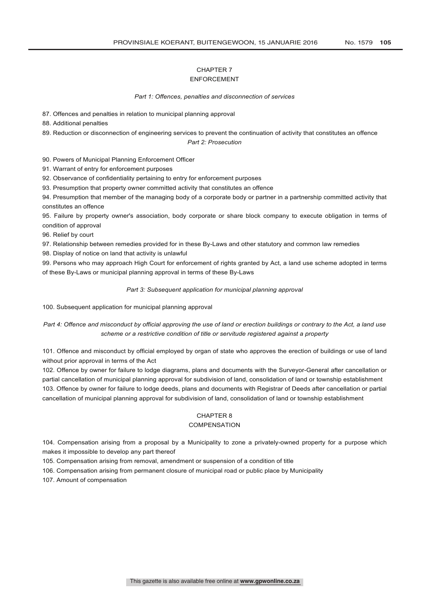# CHAPTER 7

# ENFORCEMENT

#### *Part 1: Offences, penalties and disconnection of services*

87. Offences and penalties in relation to municipal planning approval

88. Additional penalties

89. Reduction or disconnection of engineering services to prevent the continuation of activity that constitutes an offence

### *Part 2: Prosecution*

90. Powers of Municipal Planning Enforcement Officer

91. Warrant of entry for enforcement purposes

92. Observance of confidentiality pertaining to entry for enforcement purposes

93. Presumption that property owner committed activity that constitutes an offence

94. Presumption that member of the managing body of a corporate body or partner in a partnership committed activity that constitutes an offence

95. Failure by property owner's association, body corporate or share block company to execute obligation in terms of condition of approval

96. Relief by court

97. Relationship between remedies provided for in these By-Laws and other statutory and common law remedies

98. Display of notice on land that activity is unlawful

99. Persons who may approach High Court for enforcement of rights granted by Act, a land use scheme adopted in terms of these By-Laws or municipal planning approval in terms of these By-Laws

#### *Part 3: Subsequent application for municipal planning approval*

100. Subsequent application for municipal planning approval

*Part 4: Offence and misconduct by official approving the use of land or erection buildings or contrary to the Act, a land use scheme or a restrictive condition of title or servitude registered against a property*

101. Offence and misconduct by official employed by organ of state who approves the erection of buildings or use of land without prior approval in terms of the Act

102. Offence by owner for failure to lodge diagrams, plans and documents with the Surveyor-General after cancellation or partial cancellation of municipal planning approval for subdivision of land, consolidation of land or township establishment 103. Offence by owner for failure to lodge deeds, plans and documents with Registrar of Deeds after cancellation or partial cancellation of municipal planning approval for subdivision of land, consolidation of land or township establishment

## CHAPTER 8

## **COMPENSATION**

104. Compensation arising from a proposal by a Municipality to zone a privately-owned property for a purpose which makes it impossible to develop any part thereof

105. Compensation arising from removal, amendment or suspension of a condition of title

106. Compensation arising from permanent closure of municipal road or public place by Municipality

107. Amount of compensation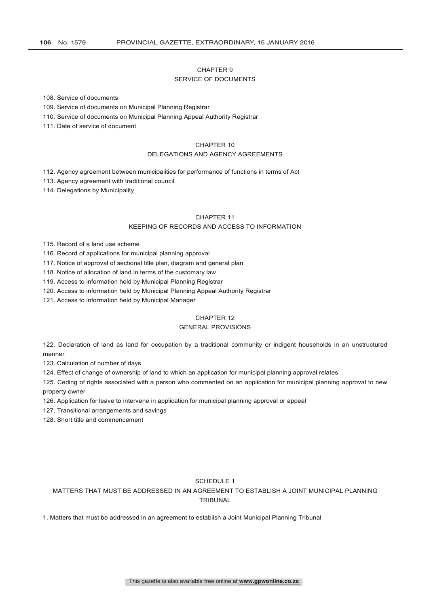# CHAPTER 9

## SERVICE OF DOCUMENTS

108. Service of documents

109. Service of documents on Municipal Planning Registrar

110. Service of documents on Municipal Planning Appeal Authority Registrar

111. Date of service of document

# CHAPTER 10

# DELEGATIONS AND AGENCY AGREEMENTS

112. Agency agreement between municipalities for performance of functions in terms of Act

113. Agency agreement with traditional council

114. Delegations by Municipality

# CHAPTER 11

# KEEPING OF RECORDS AND ACCESS TO INFORMATION

115. Record of a land use scheme

116. Record of applications for municipal planning approval

117. Notice of approval of sectional title plan, diagram and general plan

118. Notice of allocation of land in terms of the customary law

119. Access to information held by Municipal Planning Registrar

120. Access to information held by Municipal Planning Appeal Authority Registrar

121. Access to information held by Municipal Manager

# CHAPTER 12

## GENERAL PROVISIONS

122. Declaration of land as land for occupation by a traditional community or indigent households in an unstructured manner

123. Calculation of number of days

124. Effect of change of ownership of land to which an application for municipal planning approval relates

125. Ceding of rights associated with a person who commented on an application for municipal planning approval to new property owner

126. Application for leave to intervene in application for municipal planning approval or appeal

127. Transitional arrangements and savings

128. Short title and commencement

# SCHEDULE 1

MATTERS THAT MUST BE ADDRESSED IN AN AGREEMENT TO ESTABLISH A JOINT MUNICIPAL PLANNING TRIBUNAL

1. Matters that must be addressed in an agreement to establish a Joint Municipal Planning Tribunal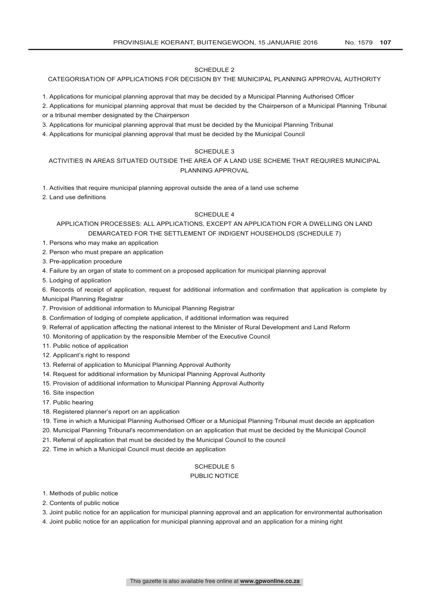# SCHEDULE 2

## CATEGORISATION OF APPLICATIONS FOR DECISION BY THE MUNICIPAL PLANNING APPROVAL AUTHORITY

1. Applications for municipal planning approval that may be decided by a Municipal Planning Authorised Officer

- 2. Applications for municipal planning approval that must be decided by the Chairperson of a Municipal Planning Tribunal or a tribunal member designated by the Chairperson
- 3. Applications for municipal planning approval that must be decided by the Municipal Planning Tribunal
- 4. Applications for municipal planning approval that must be decided by the Municipal Council

# SCHEDULE 3

# ACTIVITIES IN AREAS SITUATED OUTSIDE THE AREA OF A LAND USE SCHEME THAT REQUIRES MUNICIPAL PLANNING APPROVAL

1. Activities that require municipal planning approval outside the area of a land use scheme

2. Land use definitions

#### SCHEDULE 4

# APPLICATION PROCESSES: ALL APPLICATIONS, EXCEPT AN APPLICATION FOR A DWELLING ON LAND DEMARCATED FOR THE SETTLEMENT OF INDIGENT HOUSEHOLDS (SCHEDULE 7)

- 1. Persons who may make an application
- 2. Person who must prepare an application
- 3. Pre-application procedure
- 4. Failure by an organ of state to comment on a proposed application for municipal planning approval
- 5. Lodging of application

6. Records of receipt of application, request for additional information and confirmation that application is complete by Municipal Planning Registrar

- 7. Provision of additional information to Municipal Planning Registrar
- 8. Confirmation of lodging of complete application, if additional information was required
- 9. Referral of application affecting the national interest to the Minister of Rural Development and Land Reform
- 10. Monitoring of application by the responsible Member of the Executive Council
- 11. Public notice of application
- 12. Applicant's right to respond
- 13. Referral of application to Municipal Planning Approval Authority
- 14. Request for additional information by Municipal Planning Approval Authority
- 15. Provision of additional information to Municipal Planning Approval Authority
- 16. Site inspection
- 17. Public hearing
- 18. Registered planner's report on an application
- 19. Time in which a Municipal Planning Authorised Officer or a Municipal Planning Tribunal must decide an application
- 20. Municipal Planning Tribunal's recommendation on an application that must be decided by the Municipal Council
- 21. Referral of application that must be decided by the Municipal Council to the council
- 22. Time in which a Municipal Council must decide an application

# SCHEDULE 5

# PUBLIC NOTICE

- 1. Methods of public notice
- 2. Contents of public notice
- 3. Joint public notice for an application for municipal planning approval and an application for environmental authorisation
- 4. Joint public notice for an application for municipal planning approval and an application for a mining right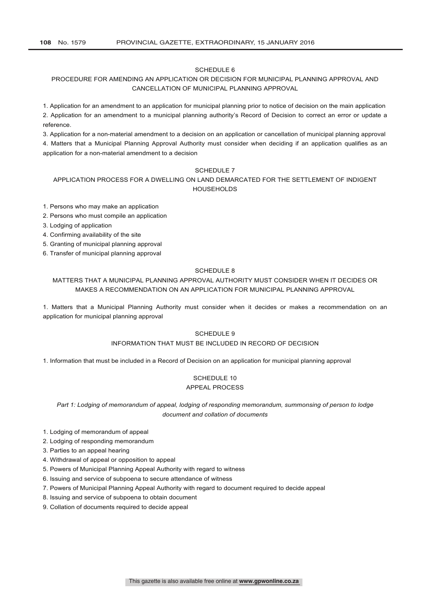# SCHEDULE 6

# PROCEDURE FOR AMENDING AN APPLICATION OR DECISION FOR MUNICIPAL PLANNING APPROVAL AND CANCELLATION OF MUNICIPAL PLANNING APPROVAL

1. Application for an amendment to an application for municipal planning prior to notice of decision on the main application 2. Application for an amendment to a municipal planning authority's Record of Decision to correct an error or update a reference.

3. Application for a non-material amendment to a decision on an application or cancellation of municipal planning approval 4. Matters that a Municipal Planning Approval Authority must consider when deciding if an application qualifies as an application for a non-material amendment to a decision

# SCHEDULE 7

# APPLICATION PROCESS FOR A DWELLING ON LAND DEMARCATED FOR THE SETTLEMENT OF INDIGENT HOUSEHOLDS

1. Persons who may make an application

- 2. Persons who must compile an application
- 3. Lodging of application
- 4. Confirming availability of the site
- 5. Granting of municipal planning approval
- 6. Transfer of municipal planning approval

# SCHEDULE 8

# MATTERS THAT A MUNICIPAL PLANNING APPROVAL AUTHORITY MUST CONSIDER WHEN IT DECIDES OR MAKES A RECOMMENDATION ON AN APPLICATION FOR MUNICIPAL PLANNING APPROVAL

1. Matters that a Municipal Planning Authority must consider when it decides or makes a recommendation on an application for municipal planning approval

# SCHEDULE 9

# INFORMATION THAT MUST BE INCLUDED IN RECORD OF DECISION

1. Information that must be included in a Record of Decision on an application for municipal planning approval

# SCHEDULE 10 APPEAL PROCESS

*Part 1: Lodging of memorandum of appeal, lodging of responding memorandum, summonsing of person to lodge document and collation of documents*

- 1. Lodging of memorandum of appeal
- 2. Lodging of responding memorandum
- 3. Parties to an appeal hearing
- 4. Withdrawal of appeal or opposition to appeal
- 5. Powers of Municipal Planning Appeal Authority with regard to witness
- 6. Issuing and service of subpoena to secure attendance of witness
- 7. Powers of Municipal Planning Appeal Authority with regard to document required to decide appeal
- 8. Issuing and service of subpoena to obtain document
- 9. Collation of documents required to decide appeal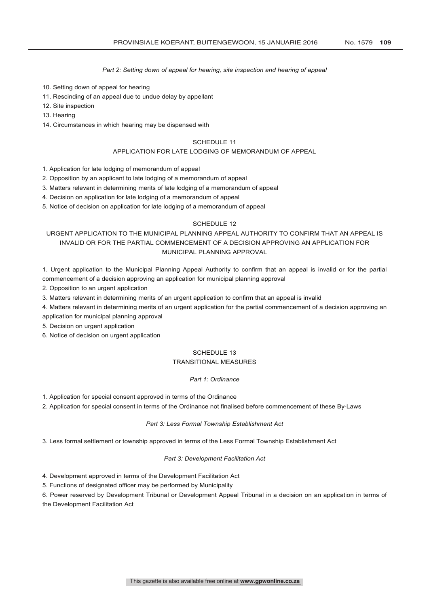# *Part 2: Setting down of appeal for hearing, site inspection and hearing of appeal*

- 10. Setting down of appeal for hearing
- 11. Rescinding of an appeal due to undue delay by appellant
- 12. Site inspection
- 13. Hearing
- 14. Circumstances in which hearing may be dispensed with

#### SCHEDULE 11

#### APPLICATION FOR LATE LODGING OF MEMORANDUM OF APPEAL

- 1. Application for late lodging of memorandum of appeal
- 2. Opposition by an applicant to late lodging of a memorandum of appeal
- 3. Matters relevant in determining merits of late lodging of a memorandum of appeal
- 4. Decision on application for late lodging of a memorandum of appeal
- 5. Notice of decision on application for late lodging of a memorandum of appeal

# SCHEDULE 12

# URGENT APPLICATION TO THE MUNICIPAL PLANNING APPEAL AUTHORITY TO CONFIRM THAT AN APPEAL IS INVALID OR FOR THE PARTIAL COMMENCEMENT OF A DECISION APPROVING AN APPLICATION FOR MUNICIPAL PLANNING APPROVAL

1. Urgent application to the Municipal Planning Appeal Authority to confirm that an appeal is invalid or for the partial commencement of a decision approving an application for municipal planning approval

- 2. Opposition to an urgent application
- 3. Matters relevant in determining merits of an urgent application to confirm that an appeal is invalid
- 4. Matters relevant in determining merits of an urgent application for the partial commencement of a decision approving an
- application for municipal planning approval
- 5. Decision on urgent application
- 6. Notice of decision on urgent application

# SCHEDULE 13

# TRANSITIONAL MEASURES

#### *Part 1: Ordinance*

- 1. Application for special consent approved in terms of the Ordinance
- 2. Application for special consent in terms of the Ordinance not finalised before commencement of these By-Laws

#### *Part 3: Less Formal Township Establishment Act*

3. Less formal settlement or township approved in terms of the Less Formal Township Establishment Act

#### *Part 3: Development Facilitation Act*

4. Development approved in terms of the Development Facilitation Act

5. Functions of designated officer may be performed by Municipality

6. Power reserved by Development Tribunal or Development Appeal Tribunal in a decision on an application in terms of the Development Facilitation Act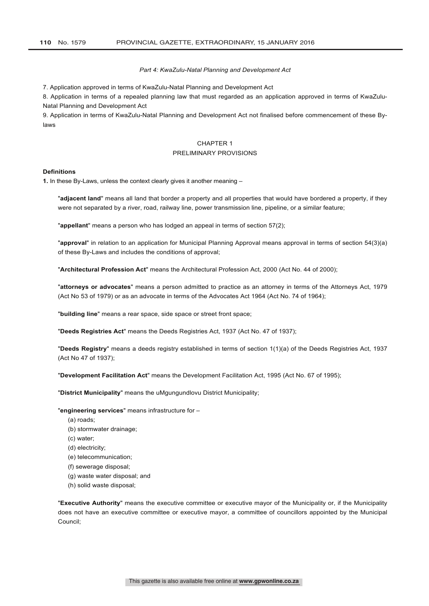## *Part 4: KwaZulu-Natal Planning and Development Act*

7. Application approved in terms of KwaZulu-Natal Planning and Development Act

8. Application in terms of a repealed planning law that must regarded as an application approved in terms of KwaZulu-Natal Planning and Development Act

9. Application in terms of KwaZulu-Natal Planning and Development Act not finalised before commencement of these Bylaws

# CHAPTER 1

#### PRELIMINARY PROVISIONS

#### **Definitions**

**1.** In these By-Laws, unless the context clearly gives it another meaning –

"**adjacent land**" means all land that border a property and all properties that would have bordered a property, if they were not separated by a river, road, railway line, power transmission line, pipeline, or a similar feature;

"**appellant**" means a person who has lodged an appeal in terms of section 57(2);

"**approval**" in relation to an application for Municipal Planning Approval means approval in terms of section 54(3)(a) of these By-Laws and includes the conditions of approval;

"**Architectural Profession Act**" means the Architectural Profession Act, 2000 (Act No. 44 of 2000);

"**attorneys or advocates**" means a person admitted to practice as an attorney in terms of the Attorneys Act, 1979 (Act No 53 of 1979) or as an advocate in terms of the Advocates Act 1964 (Act No. 74 of 1964);

"**building line**" means a rear space, side space or street front space;

"**Deeds Registries Act**" means the Deeds Registries Act, 1937 (Act No. 47 of 1937);

"**Deeds Registry**" means a deeds registry established in terms of section 1(1)(a) of the Deeds Registries Act, 1937 (Act No 47 of 1937);

"**Development Facilitation Act**" means the Development Facilitation Act, 1995 (Act No. 67 of 1995);

"**District Municipality**" means the uMgungundlovu District Municipality;

"**engineering services**" means infrastructure for –

- (a) roads;
- (b) stormwater drainage;
- (c) water;
- (d) electricity;
- (e) telecommunication;
- (f) sewerage disposal;
- (g) waste water disposal; and
- (h) solid waste disposal;

"**Executive Authority**" means the executive committee or executive mayor of the Municipality or, if the Municipality does not have an executive committee or executive mayor, a committee of councillors appointed by the Municipal Council;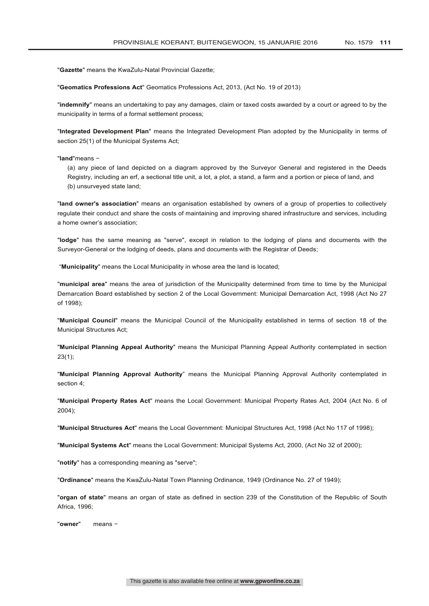"**Gazette**" means the KwaZulu-Natal Provincial Gazette;

"**Geomatics Professions Act**" Geomatics Professions Act, 2013, (Act No. 19 of 2013)

"**indemnify**" means an undertaking to pay any damages, claim or taxed costs awarded by a court or agreed to by the municipality in terms of a formal settlement process;

"**Integrated Development Plan**" means the Integrated Development Plan adopted by the Municipality in terms of section 25(1) of the Municipal Systems Act;

#### "**land**"means −

(a) any piece of land depicted on a diagram approved by the Surveyor General and registered in the Deeds Registry, including an erf, a sectional title unit, a lot, a plot, a stand, a farm and a portion or piece of land, and (b) unsurveyed state land;

"**land owner's association**" means an organisation established by owners of a group of properties to collectively regulate their conduct and share the costs of maintaining and improving shared infrastructure and services, including a home owner's association;

"**lodge**" has the same meaning as "serve", except in relation to the lodging of plans and documents with the Surveyor-General or the lodging of deeds, plans and documents with the Registrar of Deeds;

"**Municipality**" means the Local Municipality in whose area the land is located;

"**municipal area**" means the area of jurisdiction of the Municipality determined from time to time by the Municipal Demarcation Board established by section 2 of the Local Government: Municipal Demarcation Act, 1998 (Act No 27 of 1998);

"**Municipal Council**" means the Municipal Council of the Municipality established in terms of section 18 of the Municipal Structures Act;

"**Municipal Planning Appeal Authority**" means the Municipal Planning Appeal Authority contemplated in section 23(1);

"**Municipal Planning Approval Authority**" means the Municipal Planning Approval Authority contemplated in section 4;

"**Municipal Property Rates Act**" means the Local Government: Municipal Property Rates Act, 2004 (Act No. 6 of 2004);

"**Municipal Structures Act**" means the Local Government: Municipal Structures Act, 1998 (Act No 117 of 1998);

"**Municipal Systems Act**" means the Local Government: Municipal Systems Act, 2000, (Act No 32 of 2000);

"**notify**" has a corresponding meaning as "serve";

"**Ordinance**" means the KwaZulu-Natal Town Planning Ordinance, 1949 (Ordinance No. 27 of 1949);

"**organ of state**" means an organ of state as defined in section 239 of the Constitution of the Republic of South Africa, 1996;

"**owner**" means −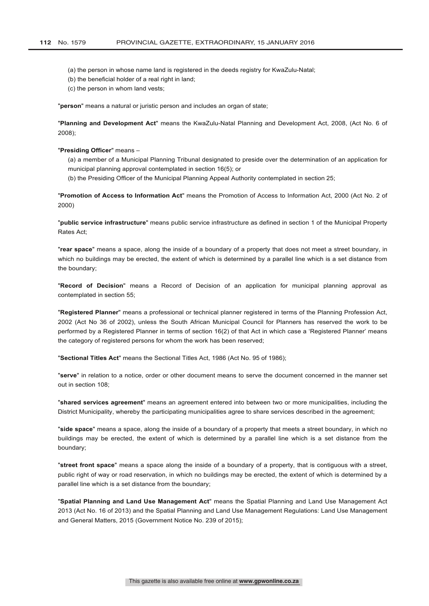- (a) the person in whose name land is registered in the deeds registry for KwaZulu-Natal;
- (b) the beneficial holder of a real right in land;
- (c) the person in whom land vests;

"**person**" means a natural or juristic person and includes an organ of state;

"**Planning and Development Act**" means the KwaZulu-Natal Planning and Development Act, 2008, (Act No. 6 of 2008);

# "**Presiding Officer**" means –

(a) a member of a Municipal Planning Tribunal designated to preside over the determination of an application for municipal planning approval contemplated in section 16(5); or

(b) the Presiding Officer of the Municipal Planning Appeal Authority contemplated in section 25;

"**Promotion of Access to Information Act**" means the Promotion of Access to Information Act, 2000 (Act No. 2 of 2000)

"**public service infrastructure**" means public service infrastructure as defined in section 1 of the Municipal Property Rates Act;

"**rear space**" means a space, along the inside of a boundary of a property that does not meet a street boundary, in which no buildings may be erected, the extent of which is determined by a parallel line which is a set distance from the boundary;

"**Record of Decision**" means a Record of Decision of an application for municipal planning approval as contemplated in section 55;

"**Registered Planner**" means a professional or technical planner registered in terms of the Planning Profession Act, 2002 (Act No 36 of 2002), unless the South African Municipal Council for Planners has reserved the work to be performed by a Registered Planner in terms of section 16(2) of that Act in which case a 'Registered Planner' means the category of registered persons for whom the work has been reserved;

"**Sectional Titles Act**" means the Sectional Titles Act, 1986 (Act No. 95 of 1986);

"**serve**" in relation to a notice, order or other document means to serve the document concerned in the manner set out in section 108;

"**shared services agreement**" means an agreement entered into between two or more municipalities, including the District Municipality, whereby the participating municipalities agree to share services described in the agreement;

"**side space**" means a space, along the inside of a boundary of a property that meets a street boundary, in which no buildings may be erected, the extent of which is determined by a parallel line which is a set distance from the boundary;

"**street front space**" means a space along the inside of a boundary of a property, that is contiguous with a street, public right of way or road reservation, in which no buildings may be erected, the extent of which is determined by a parallel line which is a set distance from the boundary;

"**Spatial Planning and Land Use Management Act**" means the Spatial Planning and Land Use Management Act 2013 (Act No. 16 of 2013) and the Spatial Planning and Land Use Management Regulations: Land Use Management and General Matters, 2015 (Government Notice No. 239 of 2015);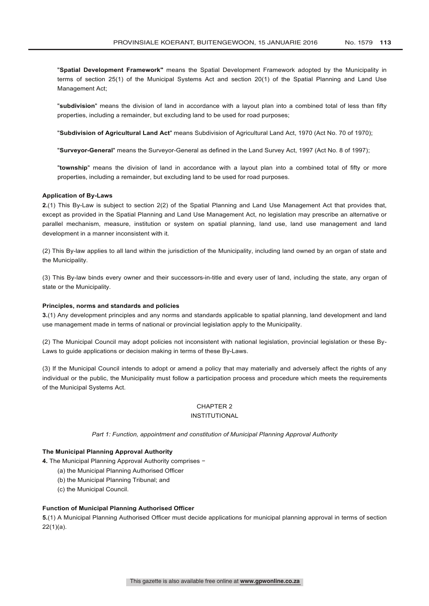"**Spatial Development Framework"** means the Spatial Development Framework adopted by the Municipality in terms of section 25(1) of the Municipal Systems Act and section 20(1) of the Spatial Planning and Land Use Management Act;

"**subdivision**" means the division of land in accordance with a layout plan into a combined total of less than fifty properties, including a remainder, but excluding land to be used for road purposes;

"**Subdivision of Agricultural Land Act**" means Subdivision of Agricultural Land Act, 1970 (Act No. 70 of 1970);

"**Surveyor-General**" means the Surveyor-General as defined in the Land Survey Act, 1997 (Act No. 8 of 1997);

"**township**" means the division of land in accordance with a layout plan into a combined total of fifty or more properties, including a remainder, but excluding land to be used for road purposes.

#### **Application of By-Laws**

**2.**(1) This By-Law is subject to section 2(2) of the Spatial Planning and Land Use Management Act that provides that, except as provided in the Spatial Planning and Land Use Management Act, no legislation may prescribe an alternative or parallel mechanism, measure, institution or system on spatial planning, land use, land use management and land development in a manner inconsistent with it.

(2) This By-law applies to all land within the jurisdiction of the Municipality, including land owned by an organ of state and the Municipality.

(3) This By-law binds every owner and their successors-in-title and every user of land, including the state, any organ of state or the Municipality.

#### **Principles, norms and standards and policies**

**3.**(1) Any development principles and any norms and standards applicable to spatial planning, land development and land use management made in terms of national or provincial legislation apply to the Municipality.

(2) The Municipal Council may adopt policies not inconsistent with national legislation, provincial legislation or these By-Laws to guide applications or decision making in terms of these By-Laws.

(3) If the Municipal Council intends to adopt or amend a policy that may materially and adversely affect the rights of any individual or the public, the Municipality must follow a participation process and procedure which meets the requirements of the Municipal Systems Act.

# CHAPTER 2

# INSTITUTIONAL

*Part 1: Function, appointment and constitution of Municipal Planning Approval Authority*

# **The Municipal Planning Approval Authority**

**4.** The Municipal Planning Approval Authority comprises −

- (a) the Municipal Planning Authorised Officer
- (b) the Municipal Planning Tribunal; and
- (c) the Municipal Council.

# **Function of Municipal Planning Authorised Officer**

**5.**(1) A Municipal Planning Authorised Officer must decide applications for municipal planning approval in terms of section 22(1)(a).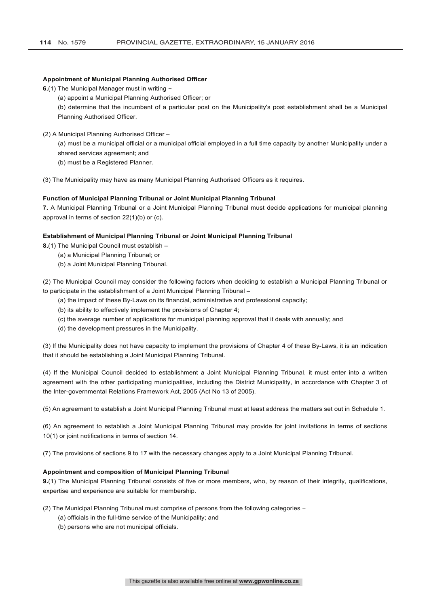#### **Appointment of Municipal Planning Authorised Officer**

**6.**(1) The Municipal Manager must in writing −

(a) appoint a Municipal Planning Authorised Officer; or

(b) determine that the incumbent of a particular post on the Municipality's post establishment shall be a Municipal Planning Authorised Officer.

(2) A Municipal Planning Authorised Officer –

(a) must be a municipal official or a municipal official employed in a full time capacity by another Municipality under a shared services agreement; and

(b) must be a Registered Planner.

(3) The Municipality may have as many Municipal Planning Authorised Officers as it requires.

# **Function of Municipal Planning Tribunal or Joint Municipal Planning Tribunal**

**7.** A Municipal Planning Tribunal or a Joint Municipal Planning Tribunal must decide applications for municipal planning approval in terms of section 22(1)(b) or (c).

#### **Establishment of Municipal Planning Tribunal or Joint Municipal Planning Tribunal**

**8.**(1) The Municipal Council must establish –

- (a) a Municipal Planning Tribunal; or
- (b) a Joint Municipal Planning Tribunal.

(2) The Municipal Council may consider the following factors when deciding to establish a Municipal Planning Tribunal or to participate in the establishment of a Joint Municipal Planning Tribunal –

(a) the impact of these By-Laws on its financial, administrative and professional capacity;

- (b) its ability to effectively implement the provisions of Chapter 4;
- (c) the average number of applications for municipal planning approval that it deals with annually; and
- (d) the development pressures in the Municipality.

(3) If the Municipality does not have capacity to implement the provisions of Chapter 4 of these By-Laws, it is an indication that it should be establishing a Joint Municipal Planning Tribunal.

(4) If the Municipal Council decided to establishment a Joint Municipal Planning Tribunal, it must enter into a written agreement with the other participating municipalities, including the District Municipality, in accordance with Chapter 3 of the Inter-governmental Relations Framework Act, 2005 (Act No 13 of 2005).

(5) An agreement to establish a Joint Municipal Planning Tribunal must at least address the matters set out in Schedule 1.

(6) An agreement to establish a Joint Municipal Planning Tribunal may provide for joint invitations in terms of sections 10(1) or joint notifications in terms of section 14.

(7) The provisions of sections 9 to 17 with the necessary changes apply to a Joint Municipal Planning Tribunal.

#### **Appointment and composition of Municipal Planning Tribunal**

**9.**(1) The Municipal Planning Tribunal consists of five or more members, who, by reason of their integrity, qualifications, expertise and experience are suitable for membership.

- (2) The Municipal Planning Tribunal must comprise of persons from the following categories −
	- (a) officials in the full-time service of the Municipality; and
	- (b) persons who are not municipal officials.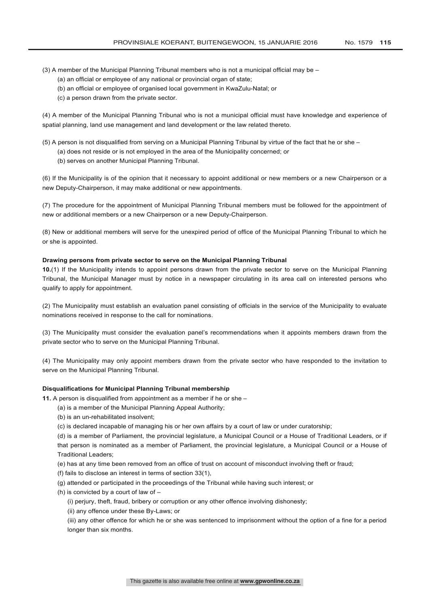- (3) A member of the Municipal Planning Tribunal members who is not a municipal official may be
	- (a) an official or employee of any national or provincial organ of state;
	- (b) an official or employee of organised local government in KwaZulu-Natal; or
	- (c) a person drawn from the private sector.

(4) A member of the Municipal Planning Tribunal who is not a municipal official must have knowledge and experience of spatial planning, land use management and land development or the law related thereto.

(5) A person is not disqualified from serving on a Municipal Planning Tribunal by virtue of the fact that he or she –

- (a) does not reside or is not employed in the area of the Municipality concerned; or
- (b) serves on another Municipal Planning Tribunal.

(6) If the Municipality is of the opinion that it necessary to appoint additional or new members or a new Chairperson or a new Deputy-Chairperson, it may make additional or new appointments.

(7) The procedure for the appointment of Municipal Planning Tribunal members must be followed for the appointment of new or additional members or a new Chairperson or a new Deputy-Chairperson.

(8) New or additional members will serve for the unexpired period of office of the Municipal Planning Tribunal to which he or she is appointed.

#### **Drawing persons from private sector to serve on the Municipal Planning Tribunal**

**10.**(1) If the Municipality intends to appoint persons drawn from the private sector to serve on the Municipal Planning Tribunal, the Municipal Manager must by notice in a newspaper circulating in its area call on interested persons who qualify to apply for appointment.

(2) The Municipality must establish an evaluation panel consisting of officials in the service of the Municipality to evaluate nominations received in response to the call for nominations.

(3) The Municipality must consider the evaluation panel's recommendations when it appoints members drawn from the private sector who to serve on the Municipal Planning Tribunal.

(4) The Municipality may only appoint members drawn from the private sector who have responded to the invitation to serve on the Municipal Planning Tribunal.

# **Disqualifications for Municipal Planning Tribunal membership**

**11.** A person is disqualified from appointment as a member if he or she –

- (a) is a member of the Municipal Planning Appeal Authority;
- (b) is an un-rehabilitated insolvent;
- (c) is declared incapable of managing his or her own affairs by a court of law or under curatorship;

(d) is a member of Parliament, the provincial legislature, a Municipal Council or a House of Traditional Leaders, or if that person is nominated as a member of Parliament, the provincial legislature, a Municipal Council or a House of Traditional Leaders;

(e) has at any time been removed from an office of trust on account of misconduct involving theft or fraud;

- (f) fails to disclose an interest in terms of section 33(1),
- (g) attended or participated in the proceedings of the Tribunal while having such interest; or
- (h) is convicted by a court of law of
	- (i) perjury, theft, fraud, bribery or corruption or any other offence involving dishonesty;
	- (ii) any offence under these By-Laws; or

(iii) any other offence for which he or she was sentenced to imprisonment without the option of a fine for a period longer than six months.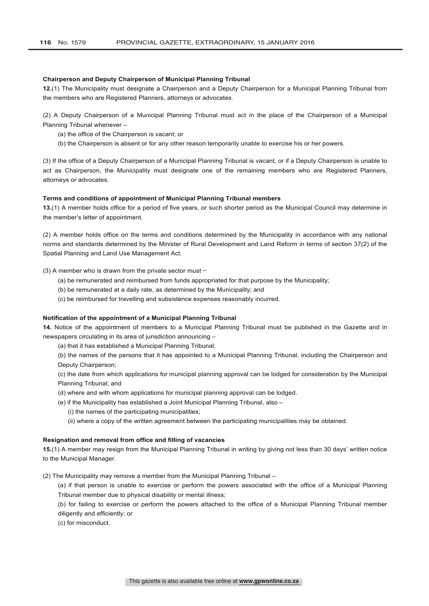# **Chairperson and Deputy Chairperson of Municipal Planning Tribunal**

**12.**(1) The Municipality must designate a Chairperson and a Deputy Chairperson for a Municipal Planning Tribunal from the members who are Registered Planners, attorneys or advocates.

(2) A Deputy Chairperson of a Municipal Planning Tribunal must act in the place of the Chairperson of a Municipal Planning Tribunal whenever –

- (a) the office of the Chairperson is vacant; or
- (b) the Chairperson is absent or for any other reason temporarily unable to exercise his or her powers.

(3) If the office of a Deputy Chairperson of a Municipal Planning Tribunal is vacant, or if a Deputy Chairperson is unable to act as Chairperson, the Municipality must designate one of the remaining members who are Registered Planners, attorneys or advocates.

#### **Terms and conditions of appointment of Municipal Planning Tribunal members**

**13.**(1) A member holds office for a period of five years, or such shorter period as the Municipal Council may determine in the member's letter of appointment.

(2) A member holds office on the terms and conditions determined by the Municipality in accordance with any national norms and standards determined by the Minister of Rural Development and Land Reform in terms of section 37(2) of the Spatial Planning and Land Use Management Act.

# (3) A member who is drawn from the private sector must −

- (a) be remunerated and reimbursed from funds appropriated for that purpose by the Municipality;
- (b) be remunerated at a daily rate, as determined by the Municipality; and
- (c) be reimbursed for travelling and subsistence expenses reasonably incurred.

# **Notification of the appointment of a Municipal Planning Tribunal**

**14.** Notice of the appointment of members to a Municipal Planning Tribunal must be published in the Gazette and in newspapers circulating in its area of jurisdiction announcing –

(a) that it has established a Municipal Planning Tribunal;

(b) the names of the persons that it has appointed to a Municipal Planning Tribunal, including the Chairperson and Deputy Chairperson;

(c) the date from which applications for municipal planning approval can be lodged for consideration by the Municipal Planning Tribunal; and

- (d) where and with whom applications for municipal planning approval can be lodged.
- (e) if the Municipality has established a Joint Municipal Planning Tribunal, also
	- (i) the names of the participating municipalities;
	- (ii) where a copy of the written agreement between the participating municipalities may be obtained.

#### **Resignation and removal from office and filling of vacancies**

**15.**(1) A member may resign from the Municipal Planning Tribunal in writing by giving not less than 30 days' written notice to the Municipal Manager.

(2) The Municipality may remove a member from the Municipal Planning Tribunal –

(a) if that person is unable to exercise or perform the powers associated with the office of a Municipal Planning Tribunal member due to physical disability or mental illness;

(b) for failing to exercise or perform the powers attached to the office of a Municipal Planning Tribunal member diligently and efficiently; or

(c) for misconduct.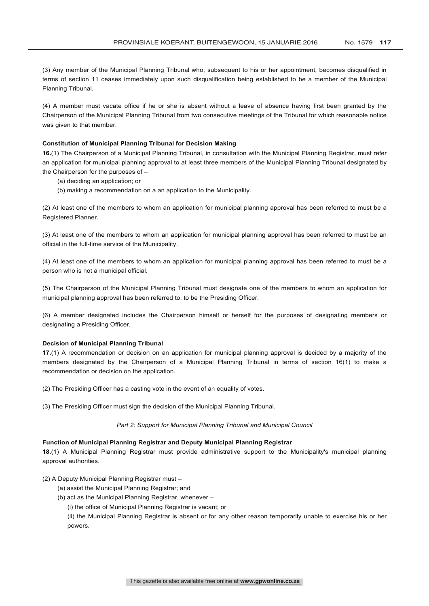(3) Any member of the Municipal Planning Tribunal who, subsequent to his or her appointment, becomes disqualified in terms of section 11 ceases immediately upon such disqualification being established to be a member of the Municipal Planning Tribunal.

(4) A member must vacate office if he or she is absent without a leave of absence having first been granted by the Chairperson of the Municipal Planning Tribunal from two consecutive meetings of the Tribunal for which reasonable notice was given to that member.

## **Constitution of Municipal Planning Tribunal for Decision Making**

**16.**(1) The Chairperson of a Municipal Planning Tribunal, in consultation with the Municipal Planning Registrar, must refer an application for municipal planning approval to at least three members of the Municipal Planning Tribunal designated by the Chairperson for the purposes of –

- (a) deciding an application; or
- (b) making a recommendation on a an application to the Municipality.

(2) At least one of the members to whom an application for municipal planning approval has been referred to must be a Registered Planner.

(3) At least one of the members to whom an application for municipal planning approval has been referred to must be an official in the full-time service of the Municipality.

(4) At least one of the members to whom an application for municipal planning approval has been referred to must be a person who is not a municipal official.

(5) The Chairperson of the Municipal Planning Tribunal must designate one of the members to whom an application for municipal planning approval has been referred to, to be the Presiding Officer.

(6) A member designated includes the Chairperson himself or herself for the purposes of designating members or designating a Presiding Officer.

# **Decision of Municipal Planning Tribunal**

**17.**(1) A recommendation or decision on an application for municipal planning approval is decided by a majority of the members designated by the Chairperson of a Municipal Planning Tribunal in terms of section 16(1) to make a recommendation or decision on the application.

(2) The Presiding Officer has a casting vote in the event of an equality of votes.

(3) The Presiding Officer must sign the decision of the Municipal Planning Tribunal.

#### *Part 2: Support for Municipal Planning Tribunal and Municipal Council*

# **Function of Municipal Planning Registrar and Deputy Municipal Planning Registrar**

**18.**(1) A Municipal Planning Registrar must provide administrative support to the Municipality's municipal planning approval authorities.

# (2) A Deputy Municipal Planning Registrar must –

- (a) assist the Municipal Planning Registrar; and
- (b) act as the Municipal Planning Registrar, whenever
	- (i) the office of Municipal Planning Registrar is vacant; or

(ii) the Municipal Planning Registrar is absent or for any other reason temporarily unable to exercise his or her powers.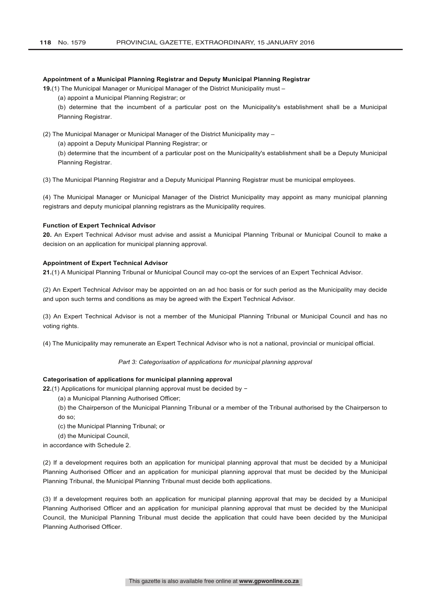# **Appointment of a Municipal Planning Registrar and Deputy Municipal Planning Registrar**

**19.**(1) The Municipal Manager or Municipal Manager of the District Municipality must –

(a) appoint a Municipal Planning Registrar; or

(b) determine that the incumbent of a particular post on the Municipality's establishment shall be a Municipal Planning Registrar.

(2) The Municipal Manager or Municipal Manager of the District Municipality may –

(a) appoint a Deputy Municipal Planning Registrar; or

(b) determine that the incumbent of a particular post on the Municipality's establishment shall be a Deputy Municipal Planning Registrar.

(3) The Municipal Planning Registrar and a Deputy Municipal Planning Registrar must be municipal employees.

(4) The Municipal Manager or Municipal Manager of the District Municipality may appoint as many municipal planning registrars and deputy municipal planning registrars as the Municipality requires.

#### **Function of Expert Technical Advisor**

**20.** An Expert Technical Advisor must advise and assist a Municipal Planning Tribunal or Municipal Council to make a decision on an application for municipal planning approval.

# **Appointment of Expert Technical Advisor**

**21.**(1) A Municipal Planning Tribunal or Municipal Council may co-opt the services of an Expert Technical Advisor.

(2) An Expert Technical Advisor may be appointed on an ad hoc basis or for such period as the Municipality may decide and upon such terms and conditions as may be agreed with the Expert Technical Advisor.

(3) An Expert Technical Advisor is not a member of the Municipal Planning Tribunal or Municipal Council and has no voting rights.

(4) The Municipality may remunerate an Expert Technical Advisor who is not a national, provincial or municipal official.

#### *Part 3: Categorisation of applications for municipal planning approval*

#### **Categorisation of applications for municipal planning approval**

**22.**(1) Applications for municipal planning approval must be decided by −

- (a) a Municipal Planning Authorised Officer;
	- (b) the Chairperson of the Municipal Planning Tribunal or a member of the Tribunal authorised by the Chairperson to do so;
	-
	- (c) the Municipal Planning Tribunal; or
- (d) the Municipal Council,

in accordance with Schedule 2.

(2) If a development requires both an application for municipal planning approval that must be decided by a Municipal Planning Authorised Officer and an application for municipal planning approval that must be decided by the Municipal Planning Tribunal, the Municipal Planning Tribunal must decide both applications.

(3) If a development requires both an application for municipal planning approval that may be decided by a Municipal Planning Authorised Officer and an application for municipal planning approval that must be decided by the Municipal Council, the Municipal Planning Tribunal must decide the application that could have been decided by the Municipal Planning Authorised Officer.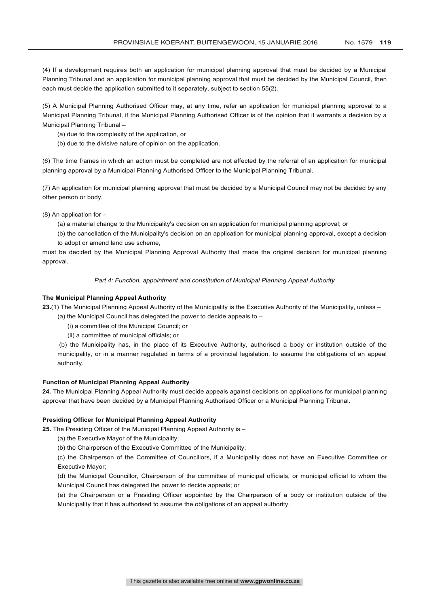(4) If a development requires both an application for municipal planning approval that must be decided by a Municipal Planning Tribunal and an application for municipal planning approval that must be decided by the Municipal Council, then each must decide the application submitted to it separately, subject to section 55(2).

(5) A Municipal Planning Authorised Officer may, at any time, refer an application for municipal planning approval to a Municipal Planning Tribunal, if the Municipal Planning Authorised Officer is of the opinion that it warrants a decision by a Municipal Planning Tribunal –

- (a) due to the complexity of the application, or
- (b) due to the divisive nature of opinion on the application.

(6) The time frames in which an action must be completed are not affected by the referral of an application for municipal planning approval by a Municipal Planning Authorised Officer to the Municipal Planning Tribunal.

(7) An application for municipal planning approval that must be decided by a Municipal Council may not be decided by any other person or body.

(8) An application for –

(a) a material change to the Municipality's decision on an application for municipal planning approval; or

(b) the cancellation of the Municipality's decision on an application for municipal planning approval, except a decision to adopt or amend land use scheme,

must be decided by the Municipal Planning Approval Authority that made the original decision for municipal planning approval.

*Part 4: Function, appointment and constitution of Municipal Planning Appeal Authority*

### **The Municipal Planning Appeal Authority**

**23.**(1) The Municipal Planning Appeal Authority of the Municipality is the Executive Authority of the Municipality, unless –

(a) the Municipal Council has delegated the power to decide appeals to –

(i) a committee of the Municipal Council; or

(ii) a committee of municipal officials; or

(b) the Municipality has, in the place of its Executive Authority, authorised a body or institution outside of the municipality, or in a manner regulated in terms of a provincial legislation, to assume the obligations of an appeal authority.

# **Function of Municipal Planning Appeal Authority**

**24.** The Municipal Planning Appeal Authority must decide appeals against decisions on applications for municipal planning approval that have been decided by a Municipal Planning Authorised Officer or a Municipal Planning Tribunal.

# **Presiding Officer for Municipal Planning Appeal Authority**

**25.** The Presiding Officer of the Municipal Planning Appeal Authority is –

- (a) the Executive Mayor of the Municipality;
- (b) the Chairperson of the Executive Committee of the Municipality;

(c) the Chairperson of the Committee of Councillors, if a Municipality does not have an Executive Committee or Executive Mayor;

(d) the Municipal Councillor, Chairperson of the committee of municipal officials, or municipal official to whom the Municipal Council has delegated the power to decide appeals; or

(e) the Chairperson or a Presiding Officer appointed by the Chairperson of a body or institution outside of the Municipality that it has authorised to assume the obligations of an appeal authority.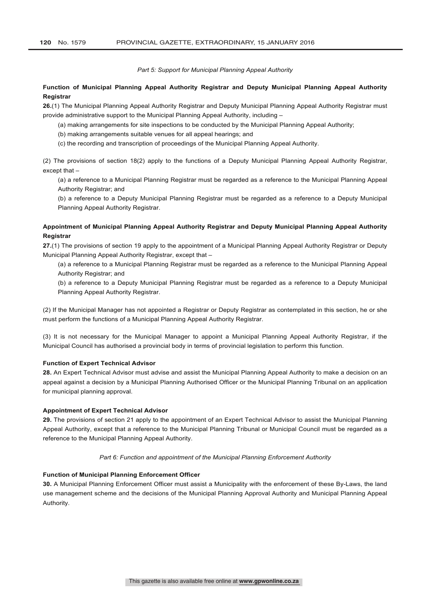*Part 5: Support for Municipal Planning Appeal Authority*

# **Function of Municipal Planning Appeal Authority Registrar and Deputy Municipal Planning Appeal Authority Registrar**

**26.**(1) The Municipal Planning Appeal Authority Registrar and Deputy Municipal Planning Appeal Authority Registrar must provide administrative support to the Municipal Planning Appeal Authority, including –

(a) making arrangements for site inspections to be conducted by the Municipal Planning Appeal Authority;

(b) making arrangements suitable venues for all appeal hearings; and

(c) the recording and transcription of proceedings of the Municipal Planning Appeal Authority.

(2) The provisions of section 18(2) apply to the functions of a Deputy Municipal Planning Appeal Authority Registrar, except that –

(a) a reference to a Municipal Planning Registrar must be regarded as a reference to the Municipal Planning Appeal Authority Registrar; and

(b) a reference to a Deputy Municipal Planning Registrar must be regarded as a reference to a Deputy Municipal Planning Appeal Authority Registrar.

# **Appointment of Municipal Planning Appeal Authority Registrar and Deputy Municipal Planning Appeal Authority Registrar**

**27.**(1) The provisions of section 19 apply to the appointment of a Municipal Planning Appeal Authority Registrar or Deputy Municipal Planning Appeal Authority Registrar, except that –

(a) a reference to a Municipal Planning Registrar must be regarded as a reference to the Municipal Planning Appeal Authority Registrar; and

(b) a reference to a Deputy Municipal Planning Registrar must be regarded as a reference to a Deputy Municipal Planning Appeal Authority Registrar.

(2) If the Municipal Manager has not appointed a Registrar or Deputy Registrar as contemplated in this section, he or she must perform the functions of a Municipal Planning Appeal Authority Registrar.

(3) It is not necessary for the Municipal Manager to appoint a Municipal Planning Appeal Authority Registrar, if the Municipal Council has authorised a provincial body in terms of provincial legislation to perform this function.

#### **Function of Expert Technical Advisor**

**28.** An Expert Technical Advisor must advise and assist the Municipal Planning Appeal Authority to make a decision on an appeal against a decision by a Municipal Planning Authorised Officer or the Municipal Planning Tribunal on an application for municipal planning approval.

#### **Appointment of Expert Technical Advisor**

**29.** The provisions of section 21 apply to the appointment of an Expert Technical Advisor to assist the Municipal Planning Appeal Authority, except that a reference to the Municipal Planning Tribunal or Municipal Council must be regarded as a reference to the Municipal Planning Appeal Authority.

#### *Part 6: Function and appointment of the Municipal Planning Enforcement Authority*

#### **Function of Municipal Planning Enforcement Officer**

**30.** A Municipal Planning Enforcement Officer must assist a Municipality with the enforcement of these By-Laws, the land use management scheme and the decisions of the Municipal Planning Approval Authority and Municipal Planning Appeal Authority.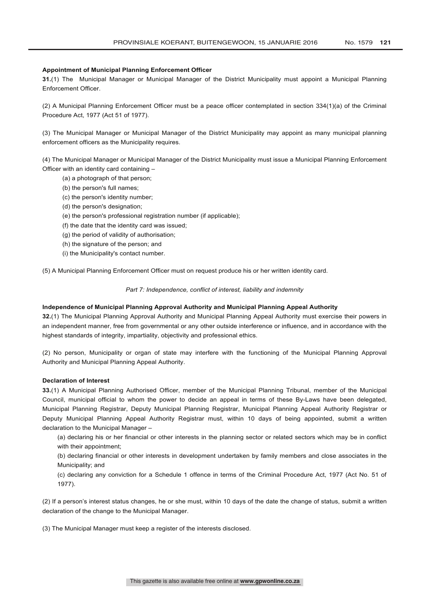# **Appointment of Municipal Planning Enforcement Officer**

**31.**(1) The Municipal Manager or Municipal Manager of the District Municipality must appoint a Municipal Planning Enforcement Officer.

(2) A Municipal Planning Enforcement Officer must be a peace officer contemplated in section 334(1)(a) of the Criminal Procedure Act, 1977 (Act 51 of 1977).

(3) The Municipal Manager or Municipal Manager of the District Municipality may appoint as many municipal planning enforcement officers as the Municipality requires.

(4) The Municipal Manager or Municipal Manager of the District Municipality must issue a Municipal Planning Enforcement Officer with an identity card containing –

- (a) a photograph of that person;
- (b) the person's full names;
- (c) the person's identity number;
- (d) the person's designation;
- (e) the person's professional registration number (if applicable);
- (f) the date that the identity card was issued;
- (g) the period of validity of authorisation;
- (h) the signature of the person; and
- (i) the Municipality's contact number.

(5) A Municipal Planning Enforcement Officer must on request produce his or her written identity card.

#### *Part 7: Independence, conflict of interest, liability and indemnity*

# **Independence of Municipal Planning Approval Authority and Municipal Planning Appeal Authority**

**32.**(1) The Municipal Planning Approval Authority and Municipal Planning Appeal Authority must exercise their powers in an independent manner, free from governmental or any other outside interference or influence, and in accordance with the highest standards of integrity, impartiality, objectivity and professional ethics.

(2) No person, Municipality or organ of state may interfere with the functioning of the Municipal Planning Approval Authority and Municipal Planning Appeal Authority.

# **Declaration of Interest**

**33.**(1) A Municipal Planning Authorised Officer, member of the Municipal Planning Tribunal, member of the Municipal Council, municipal official to whom the power to decide an appeal in terms of these By-Laws have been delegated, Municipal Planning Registrar, Deputy Municipal Planning Registrar, Municipal Planning Appeal Authority Registrar or Deputy Municipal Planning Appeal Authority Registrar must, within 10 days of being appointed, submit a written declaration to the Municipal Manager –

(a) declaring his or her financial or other interests in the planning sector or related sectors which may be in conflict with their appointment:

(b) declaring financial or other interests in development undertaken by family members and close associates in the Municipality; and

(c) declaring any conviction for a Schedule 1 offence in terms of the Criminal Procedure Act, 1977 (Act No. 51 of 1977).

(2) If a person's interest status changes, he or she must, within 10 days of the date the change of status, submit a written declaration of the change to the Municipal Manager.

(3) The Municipal Manager must keep a register of the interests disclosed.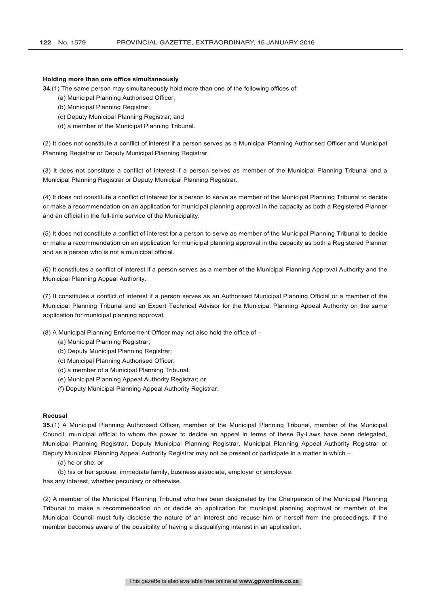# **Holding more than one office simultaneously**

**34.**(1) The same person may simultaneously hold more than one of the following offices of:

- (a) Municipal Planning Authorised Officer;
- (b) Municipal Planning Registrar;
- (c) Deputy Municipal Planning Registrar; and
- (d) a member of the Municipal Planning Tribunal.

(2) It does not constitute a conflict of interest if a person serves as a Municipal Planning Authorised Officer and Municipal Planning Registrar or Deputy Municipal Planning Registrar.

(3) It does not constitute a conflict of interest if a person serves as member of the Municipal Planning Tribunal and a Municipal Planning Registrar or Deputy Municipal Planning Registrar.

(4) It does not constitute a conflict of interest for a person to serve as member of the Municipal Planning Tribunal to decide or make a recommendation on an application for municipal planning approval in the capacity as both a Registered Planner and an official in the full-time service of the Municipality.

(5) It does not constitute a conflict of interest for a person to serve as member of the Municipal Planning Tribunal to decide or make a recommendation on an application for municipal planning approval in the capacity as both a Registered Planner and as a person who is not a municipal official.

(6) It constitutes a conflict of interest if a person serves as a member of the Municipal Planning Approval Authority and the Municipal Planning Appeal Authority.

(7) It constitutes a conflict of interest if a person serves as an Authorised Municipal Planning Official or a member of the Municipal Planning Tribunal and an Expert Technical Advisor for the Municipal Planning Appeal Authority on the same application for municipal planning approval.

(8) A Municipal Planning Enforcement Officer may not also hold the office of –

- (a) Municipal Planning Registrar;
- (b) Deputy Municipal Planning Registrar;
- (c) Municipal Planning Authorised Officer;
- (d) a member of a Municipal Planning Tribunal;
- (e) Municipal Planning Appeal Authority Registrar; or
- (f) Deputy Municipal Planning Appeal Authority Registrar.

#### **Recusal**

**35.**(1) A Municipal Planning Authorised Officer, member of the Municipal Planning Tribunal, member of the Municipal Council, municipal official to whom the power to decide an appeal in terms of these By-Laws have been delegated, Municipal Planning Registrar, Deputy Municipal Planning Registrar, Municipal Planning Appeal Authority Registrar or Deputy Municipal Planning Appeal Authority Registrar may not be present or participate in a matter in which –

- (a) he or she; or
- (b) his or her spouse, immediate family, business associate, employer or employee,

has any interest, whether pecuniary or otherwise.

(2) A member of the Municipal Planning Tribunal who has been designated by the Chairperson of the Municipal Planning Tribunal to make a recommendation on or decide an application for municipal planning approval or member of the Municipal Council must fully disclose the nature of an interest and recuse him or herself from the proceedings, if the member becomes aware of the possibility of having a disqualifying interest in an application.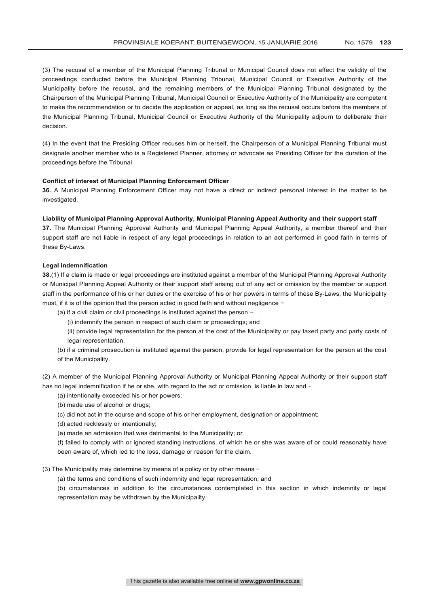(3) The recusal of a member of the Municipal Planning Tribunal or Municipal Council does not affect the validity of the proceedings conducted before the Municipal Planning Tribunal, Municipal Council or Executive Authority of the Municipality before the recusal, and the remaining members of the Municipal Planning Tribunal designated by the Chairperson of the Municipal Planning Tribunal, Municipal Council or Executive Authority of the Municipality are competent to make the recommendation or to decide the application or appeal, as long as the recusal occurs before the members of the Municipal Planning Tribunal, Municipal Council or Executive Authority of the Municipality adjourn to deliberate their decision.

(4) In the event that the Presiding Officer recuses him or herself, the Chairperson of a Municipal Planning Tribunal must designate another member who is a Registered Planner, attorney or advocate as Presiding Officer for the duration of the proceedings before the Tribunal

#### **Conflict of interest of Municipal Planning Enforcement Officer**

**36.** A Municipal Planning Enforcement Officer may not have a direct or indirect personal interest in the matter to be investigated.

## **Liability of Municipal Planning Approval Authority, Municipal Planning Appeal Authority and their support staff**

**37.** The Municipal Planning Approval Authority and Municipal Planning Appeal Authority, a member thereof and their support staff are not liable in respect of any legal proceedings in relation to an act performed in good faith in terms of these By-Laws.

#### **Legal indemnification**

**38.**(1) If a claim is made or legal proceedings are instituted against a member of the Municipal Planning Approval Authority or Municipal Planning Appeal Authority or their support staff arising out of any act or omission by the member or support staff in the performance of his or her duties or the exercise of his or her powers in terms of these By-Laws, the Municipality must, if it is of the opinion that the person acted in good faith and without negligence −

- (a) if a civil claim or civil proceedings is instituted against the person
	- (i) indemnify the person in respect of such claim or proceedings; and

(ii) provide legal representation for the person at the cost of the Municipality or pay taxed party and party costs of legal representation.

(b) if a criminal prosecution is instituted against the person, provide for legal representation for the person at the cost of the Municipality.

(2) A member of the Municipal Planning Approval Authority or Municipal Planning Appeal Authority or their support staff has no legal indemnification if he or she, with regard to the act or omission, is liable in law and −

- (a) intentionally exceeded his or her powers;
- (b) made use of alcohol or drugs;
- (c) did not act in the course and scope of his or her employment, designation or appointment;
- (d) acted recklessly or intentionally;
- (e) made an admission that was detrimental to the Municipality; or

(f) failed to comply with or ignored standing instructions, of which he or she was aware of or could reasonably have been aware of, which led to the loss, damage or reason for the claim.

- (3) The Municipality may determine by means of a policy or by other means −
	- (a) the terms and conditions of such indemnity and legal representation; and

(b) circumstances in addition to the circumstances contemplated in this section in which indemnity or legal representation may be withdrawn by the Municipality.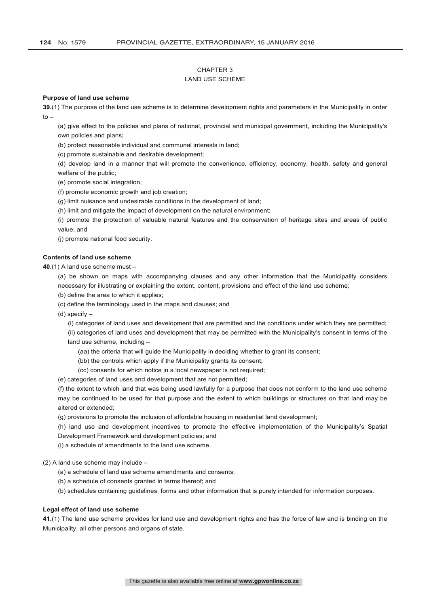# CHAPTER 3

# LAND USE SCHEME

### **Purpose of land use scheme**

**39.**(1) The purpose of the land use scheme is to determine development rights and parameters in the Municipality in order  $to -$ 

(a) give effect to the policies and plans of national, provincial and municipal government, including the Municipality's own policies and plans;

(b) protect reasonable individual and communal interests in land;

(c) promote sustainable and desirable development;

(d) develop land in a manner that will promote the convenience, efficiency, economy, health, safety and general welfare of the public;

(e) promote social integration;

(f) promote economic growth and job creation;

(g) limit nuisance and undesirable conditions in the development of land;

(h) limit and mitigate the impact of development on the natural environment;

(i) promote the protection of valuable natural features and the conservation of heritage sites and areas of public value; and

(j) promote national food security.

# **Contents of land use scheme**

**40.**(1) A land use scheme must –

(a) be shown on maps with accompanying clauses and any other information that the Municipality considers necessary for illustrating or explaining the extent, content, provisions and effect of the land use scheme;

(b) define the area to which it applies;

(c) define the terminology used in the maps and clauses; and

(d) specify –

(i) categories of land uses and development that are permitted and the conditions under which they are permitted;

(ii) categories of land uses and development that may be permitted with the Municipality's consent in terms of the land use scheme, including –

(aa) the criteria that will guide the Municipality in deciding whether to grant its consent;

(bb) the controls which apply if the Municipality grants its consent;

(cc) consents for which notice in a local newspaper is not required;

(e) categories of land uses and development that are not permitted;

(f) the extent to which land that was being used lawfully for a purpose that does not conform to the land use scheme may be continued to be used for that purpose and the extent to which buildings or structures on that land may be altered or extended;

(g) provisions to promote the inclusion of affordable housing in residential land development;

(h) land use and development incentives to promote the effective implementation of the Municipality's Spatial Development Framework and development policies; and

(i) a schedule of amendments to the land use scheme.

(2) A land use scheme may include –

- (a) a schedule of land use scheme amendments and consents;
- (b) a schedule of consents granted in terms thereof; and

(b) schedules containing guidelines, forms and other information that is purely intended for information purposes.

# **Legal effect of land use scheme**

**41.**(1) The land use scheme provides for land use and development rights and has the force of law and is binding on the Municipality, all other persons and organs of state.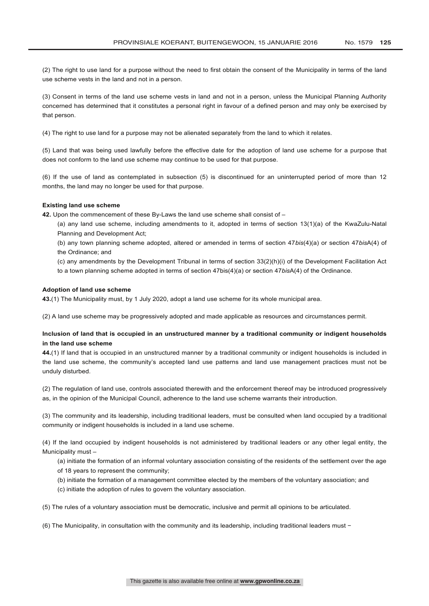(2) The right to use land for a purpose without the need to first obtain the consent of the Municipality in terms of the land use scheme vests in the land and not in a person.

(3) Consent in terms of the land use scheme vests in land and not in a person, unless the Municipal Planning Authority concerned has determined that it constitutes a personal right in favour of a defined person and may only be exercised by that person.

(4) The right to use land for a purpose may not be alienated separately from the land to which it relates.

(5) Land that was being used lawfully before the effective date for the adoption of land use scheme for a purpose that does not conform to the land use scheme may continue to be used for that purpose.

(6) If the use of land as contemplated in subsection (5) is discontinued for an uninterrupted period of more than 12 months, the land may no longer be used for that purpose.

#### **Existing land use scheme**

**42.** Upon the commencement of these By-Laws the land use scheme shall consist of –

(a) any land use scheme, including amendments to it, adopted in terms of section 13(1)(a) of the KwaZulu-Natal Planning and Development Act;

(b) any town planning scheme adopted, altered or amended in terms of section 47*bis*(4)(a) or section 47*bis*A(4) of the Ordinance; and

(c) any amendments by the Development Tribunal in terms of section 33(2)(h)(i) of the Development Facilitation Act to a town planning scheme adopted in terms of section 47bis(4)(a) or section 47*bis*A(4) of the Ordinance.

#### **Adoption of land use scheme**

**43.**(1) The Municipality must, by 1 July 2020, adopt a land use scheme for its whole municipal area.

(2) A land use scheme may be progressively adopted and made applicable as resources and circumstances permit.

# **Inclusion of land that is occupied in an unstructured manner by a traditional community or indigent households in the land use scheme**

**44.**(1) If land that is occupied in an unstructured manner by a traditional community or indigent households is included in the land use scheme, the community's accepted land use patterns and land use management practices must not be unduly disturbed.

(2) The regulation of land use, controls associated therewith and the enforcement thereof may be introduced progressively as, in the opinion of the Municipal Council, adherence to the land use scheme warrants their introduction.

(3) The community and its leadership, including traditional leaders, must be consulted when land occupied by a traditional community or indigent households is included in a land use scheme.

(4) If the land occupied by indigent households is not administered by traditional leaders or any other legal entity, the Municipality must –

- (a) initiate the formation of an informal voluntary association consisting of the residents of the settlement over the age of 18 years to represent the community;
- (b) initiate the formation of a management committee elected by the members of the voluntary association; and
- (c) initiate the adoption of rules to govern the voluntary association.

(5) The rules of a voluntary association must be democratic, inclusive and permit all opinions to be articulated.

(6) The Municipality, in consultation with the community and its leadership, including traditional leaders must −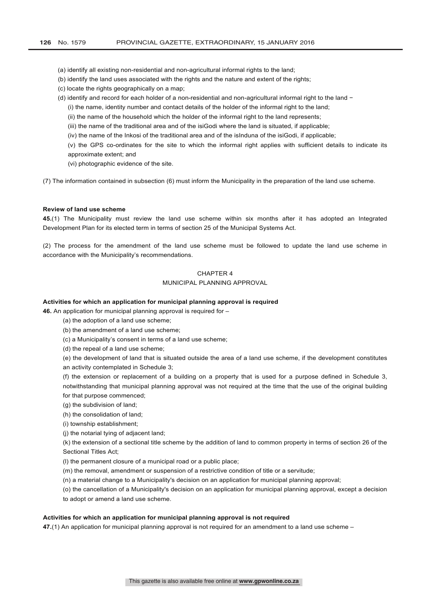- (a) identify all existing non-residential and non-agricultural informal rights to the land;
- (b) identify the land uses associated with the rights and the nature and extent of the rights;
- (c) locate the rights geographically on a map;
- (d) identify and record for each holder of a non-residential and non-agricultural informal right to the land −
	- (i) the name, identity number and contact details of the holder of the informal right to the land;
	- (ii) the name of the household which the holder of the informal right to the land represents;
	- (iii) the name of the traditional area and of the isiGodi where the land is situated, if applicable;
	- (iv) the name of the Inkosi of the traditional area and of the isInduna of the isiGodi, if applicable;

(v) the GPS co-ordinates for the site to which the informal right applies with sufficient details to indicate its approximate extent; and

(vi) photographic evidence of the site.

(7) The information contained in subsection (6) must inform the Municipality in the preparation of the land use scheme.

#### **Review of land use scheme**

**45.**(1) The Municipality must review the land use scheme within six months after it has adopted an Integrated Development Plan for its elected term in terms of section 25 of the Municipal Systems Act.

(2) The process for the amendment of the land use scheme must be followed to update the land use scheme in accordance with the Municipality's recommendations.

# CHAPTER 4 MUNICIPAL PLANNING APPROVAL

#### **Activities for which an application for municipal planning approval is required**

**46.** An application for municipal planning approval is required for –

- (a) the adoption of a land use scheme;
- (b) the amendment of a land use scheme;
- (c) a Municipality's consent in terms of a land use scheme;
- (d) the repeal of a land use scheme;

(e) the development of land that is situated outside the area of a land use scheme, if the development constitutes an activity contemplated in Schedule 3;

(f) the extension or replacement of a building on a property that is used for a purpose defined in Schedule 3, notwithstanding that municipal planning approval was not required at the time that the use of the original building for that purpose commenced;

- (g) the subdivision of land;
- (h) the consolidation of land;
- (i) township establishment;
- (j) the notarial tying of adjacent land;

(k) the extension of a sectional title scheme by the addition of land to common property in terms of section 26 of the Sectional Titles Act;

(l) the permanent closure of a municipal road or a public place;

- (m) the removal, amendment or suspension of a restrictive condition of title or a servitude;
- (n) a material change to a Municipality's decision on an application for municipal planning approval;

(o) the cancellation of a Municipality's decision on an application for municipal planning approval, except a decision to adopt or amend a land use scheme.

#### **Activities for which an application for municipal planning approval is not required**

**47.**(1) An application for municipal planning approval is not required for an amendment to a land use scheme –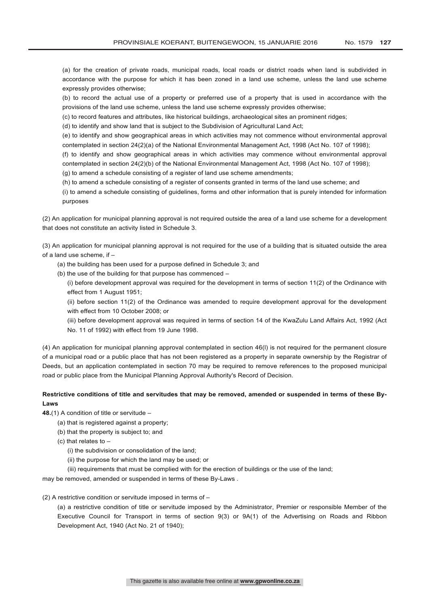(a) for the creation of private roads, municipal roads, local roads or district roads when land is subdivided in accordance with the purpose for which it has been zoned in a land use scheme, unless the land use scheme expressly provides otherwise;

(b) to record the actual use of a property or preferred use of a property that is used in accordance with the provisions of the land use scheme, unless the land use scheme expressly provides otherwise;

(c) to record features and attributes, like historical buildings, archaeological sites an prominent ridges;

(d) to identify and show land that is subject to the Subdivision of Agricultural Land Act;

(e) to identify and show geographical areas in which activities may not commence without environmental approval contemplated in section 24(2)(a) of the National Environmental Management Act, 1998 (Act No. 107 of 1998);

(f) to identify and show geographical areas in which activities may commence without environmental approval contemplated in section 24(2)(b) of the National Environmental Management Act, 1998 (Act No. 107 of 1998);

(g) to amend a schedule consisting of a register of land use scheme amendments;

(h) to amend a schedule consisting of a register of consents granted in terms of the land use scheme; and

(i) to amend a schedule consisting of guidelines, forms and other information that is purely intended for information purposes

(2) An application for municipal planning approval is not required outside the area of a land use scheme for a development that does not constitute an activity listed in Schedule 3.

(3) An application for municipal planning approval is not required for the use of a building that is situated outside the area of a land use scheme, if –

(a) the building has been used for a purpose defined in Schedule 3; and

(b) the use of the building for that purpose has commenced –

(i) before development approval was required for the development in terms of section 11(2) of the Ordinance with effect from 1 August 1951;

(ii) before section 11(2) of the Ordinance was amended to require development approval for the development with effect from 10 October 2008; or

(iii) before development approval was required in terms of section 14 of the KwaZulu Land Affairs Act, 1992 (Act No. 11 of 1992) with effect from 19 June 1998.

(4) An application for municipal planning approval contemplated in section 46(l) is not required for the permanent closure of a municipal road or a public place that has not been registered as a property in separate ownership by the Registrar of Deeds, but an application contemplated in section 70 may be required to remove references to the proposed municipal road or public place from the Municipal Planning Approval Authority's Record of Decision.

# **Restrictive conditions of title and servitudes that may be removed, amended or suspended in terms of these By-Laws**

**48.**(1) A condition of title or servitude –

- (a) that is registered against a property;
- (b) that the property is subject to; and
- (c) that relates to
	- (i) the subdivision or consolidation of the land;
	- (ii) the purpose for which the land may be used; or
	- (iii) requirements that must be complied with for the erection of buildings or the use of the land;

may be removed, amended or suspended in terms of these By-Laws .

(2) A restrictive condition or servitude imposed in terms of –

(a) a restrictive condition of title or servitude imposed by the Administrator, Premier or responsible Member of the Executive Council for Transport in terms of section 9(3) or 9A(1) of the Advertising on Roads and Ribbon Development Act, 1940 (Act No. 21 of 1940);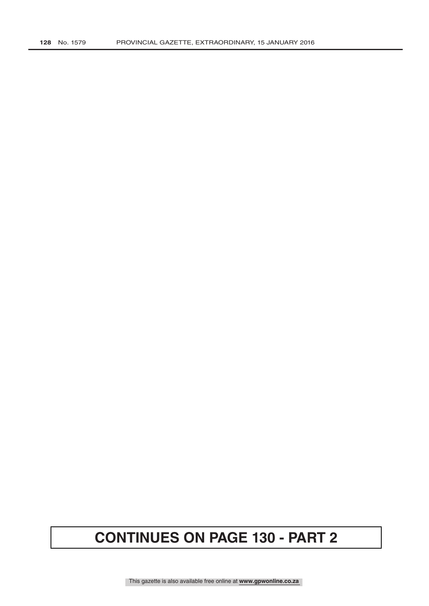# **CONTINUES ON PAGE 130 - PART 2**

This gazette is also available free online at **www.gpwonline.co.za**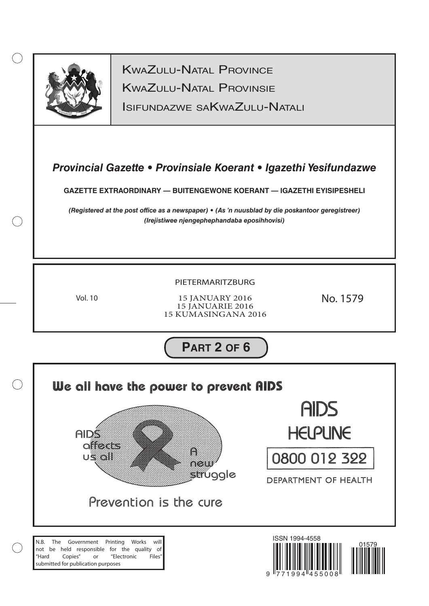

 $(\ )$ 

KwaZulu-Natal Provinsie KwaZulu-Natal Province

Isifundazwe saKwaZulu-Natali

# *Provincial Gazette • Provinsiale Koerant • Igazethi Yesifundazwe*

**GAZETTE EXTRAORDINARY — BUITENGEWONE KOERANT — IGAZETHI EYISIPESHELI**

*(Registered at the post office as a newspaper) • (As 'n nuusblad by die poskantoor geregistreer) (Irejistiwee njengephephandaba eposihhovisi)*

# PIETERMARITZBURG

Vol. 10

15 JANUARY 2016 15 JANUARIE 2016 15 KUMASINGANA 2016 No. 1579

**PART 2 OF 6**

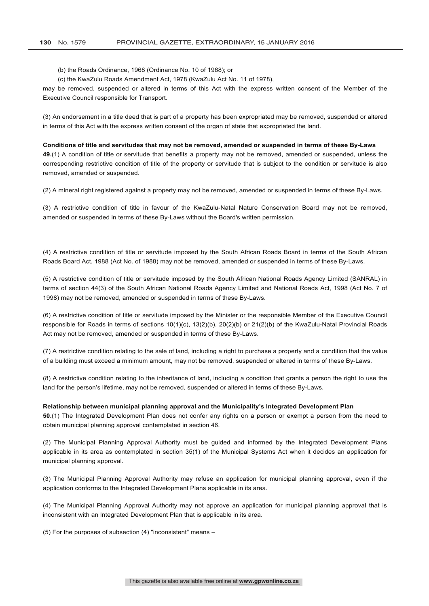(b) the Roads Ordinance, 1968 (Ordinance No. 10 of 1968); or

(c) the KwaZulu Roads Amendment Act, 1978 (KwaZulu Act No. 11 of 1978),

may be removed, suspended or altered in terms of this Act with the express written consent of the Member of the Executive Council responsible for Transport.

(3) An endorsement in a title deed that is part of a property has been expropriated may be removed, suspended or altered in terms of this Act with the express written consent of the organ of state that expropriated the land.

# **Conditions of title and servitudes that may not be removed, amended or suspended in terms of these By-Laws**

**49.**(1) A condition of title or servitude that benefits a property may not be removed, amended or suspended, unless the corresponding restrictive condition of title of the property or servitude that is subject to the condition or servitude is also removed, amended or suspended.

(2) A mineral right registered against a property may not be removed, amended or suspended in terms of these By-Laws.

(3) A restrictive condition of title in favour of the KwaZulu-Natal Nature Conservation Board may not be removed, amended or suspended in terms of these By-Laws without the Board's written permission.

(4) A restrictive condition of title or servitude imposed by the South African Roads Board in terms of the South African Roads Board Act, 1988 (Act No. of 1988) may not be removed, amended or suspended in terms of these By-Laws.

(5) A restrictive condition of title or servitude imposed by the South African National Roads Agency Limited (SANRAL) in terms of section 44(3) of the South African National Roads Agency Limited and National Roads Act, 1998 (Act No. 7 of 1998) may not be removed, amended or suspended in terms of these By-Laws.

(6) A restrictive condition of title or servitude imposed by the Minister or the responsible Member of the Executive Council responsible for Roads in terms of sections 10(1)(c), 13(2)(b), 20(2)(b) or 21(2)(b) of the KwaZulu-Natal Provincial Roads Act may not be removed, amended or suspended in terms of these By-Laws.

(7) A restrictive condition relating to the sale of land, including a right to purchase a property and a condition that the value of a building must exceed a minimum amount, may not be removed, suspended or altered in terms of these By-Laws.

(8) A restrictive condition relating to the inheritance of land, including a condition that grants a person the right to use the land for the person's lifetime, may not be removed, suspended or altered in terms of these By-Laws.

#### **Relationship between municipal planning approval and the Municipality's Integrated Development Plan**

**50.**(1) The Integrated Development Plan does not confer any rights on a person or exempt a person from the need to obtain municipal planning approval contemplated in section 46.

(2) The Municipal Planning Approval Authority must be guided and informed by the Integrated Development Plans applicable in its area as contemplated in section 35(1) of the Municipal Systems Act when it decides an application for municipal planning approval.

(3) The Municipal Planning Approval Authority may refuse an application for municipal planning approval, even if the application conforms to the Integrated Development Plans applicable in its area.

(4) The Municipal Planning Approval Authority may not approve an application for municipal planning approval that is inconsistent with an Integrated Development Plan that is applicable in its area.

(5) For the purposes of subsection (4) "inconsistent" means –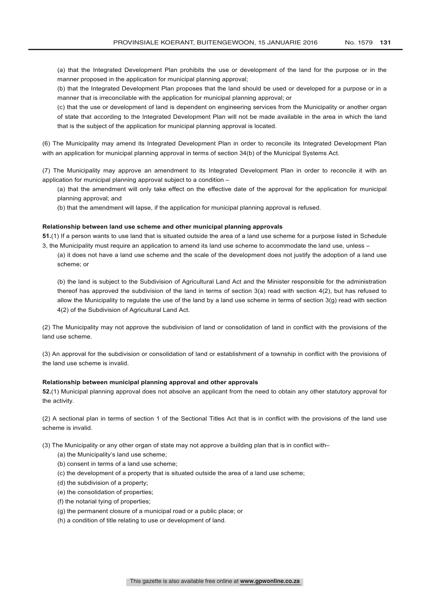(a) that the Integrated Development Plan prohibits the use or development of the land for the purpose or in the manner proposed in the application for municipal planning approval;

(b) that the Integrated Development Plan proposes that the land should be used or developed for a purpose or in a manner that is irreconcilable with the application for municipal planning approval; or

(c) that the use or development of land is dependent on engineering services from the Municipality or another organ of state that according to the Integrated Development Plan will not be made available in the area in which the land that is the subject of the application for municipal planning approval is located.

(6) The Municipality may amend its Integrated Development Plan in order to reconcile its Integrated Development Plan with an application for municipal planning approval in terms of section 34(b) of the Municipal Systems Act.

(7) The Municipality may approve an amendment to its Integrated Development Plan in order to reconcile it with an application for municipal planning approval subject to a condition –

(a) that the amendment will only take effect on the effective date of the approval for the application for municipal planning approval; and

(b) that the amendment will lapse, if the application for municipal planning approval is refused.

# **Relationship between land use scheme and other municipal planning approvals**

**51.**(1) If a person wants to use land that is situated outside the area of a land use scheme for a purpose listed in Schedule 3, the Municipality must require an application to amend its land use scheme to accommodate the land use, unless –

(a) it does not have a land use scheme and the scale of the development does not justify the adoption of a land use scheme; or

(b) the land is subject to the Subdivision of Agricultural Land Act and the Minister responsible for the administration thereof has approved the subdivision of the land in terms of section 3(a) read with section 4(2), but has refused to allow the Municipality to regulate the use of the land by a land use scheme in terms of section 3(g) read with section 4(2) of the Subdivision of Agricultural Land Act.

(2) The Municipality may not approve the subdivision of land or consolidation of land in conflict with the provisions of the land use scheme.

(3) An approval for the subdivision or consolidation of land or establishment of a township in conflict with the provisions of the land use scheme is invalid.

# **Relationship between municipal planning approval and other approvals**

**52.**(1) Municipal planning approval does not absolve an applicant from the need to obtain any other statutory approval for the activity.

(2) A sectional plan in terms of section 1 of the Sectional Titles Act that is in conflict with the provisions of the land use scheme is invalid.

(3) The Municipality or any other organ of state may not approve a building plan that is in conflict with–

- (a) the Municipality's land use scheme;
- (b) consent in terms of a land use scheme;
- (c) the development of a property that is situated outside the area of a land use scheme;
- (d) the subdivision of a property;
- (e) the consolidation of properties;
- (f) the notarial tying of properties;
- (g) the permanent closure of a municipal road or a public place; or
- (h) a condition of title relating to use or development of land.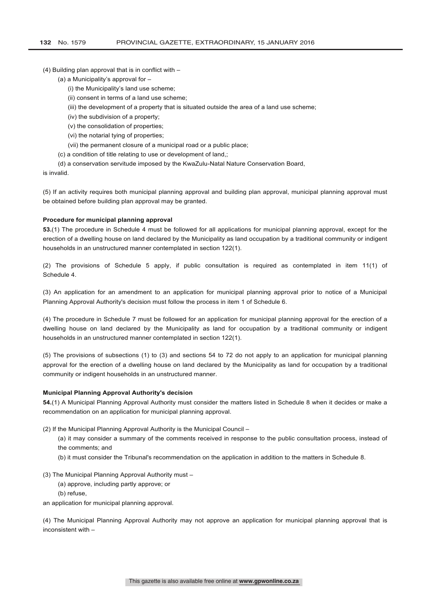(4) Building plan approval that is in conflict with –

- (a) a Municipality's approval for
	- (i) the Municipality's land use scheme;
	- (ii) consent in terms of a land use scheme;
	- (iii) the development of a property that is situated outside the area of a land use scheme;
	- (iv) the subdivision of a property;
	- (v) the consolidation of properties;
	- (vi) the notarial tying of properties;
	- (vii) the permanent closure of a municipal road or a public place;
- (c) a condition of title relating to use or development of land,;
- (d) a conservation servitude imposed by the KwaZulu-Natal Nature Conservation Board,

is invalid.

(5) If an activity requires both municipal planning approval and building plan approval, municipal planning approval must be obtained before building plan approval may be granted.

#### **Procedure for municipal planning approval**

**53.**(1) The procedure in Schedule 4 must be followed for all applications for municipal planning approval, except for the erection of a dwelling house on land declared by the Municipality as land occupation by a traditional community or indigent households in an unstructured manner contemplated in section 122(1).

(2) The provisions of Schedule 5 apply, if public consultation is required as contemplated in item 11(1) of Schedule 4.

(3) An application for an amendment to an application for municipal planning approval prior to notice of a Municipal Planning Approval Authority's decision must follow the process in item 1 of Schedule 6.

(4) The procedure in Schedule 7 must be followed for an application for municipal planning approval for the erection of a dwelling house on land declared by the Municipality as land for occupation by a traditional community or indigent households in an unstructured manner contemplated in section 122(1).

(5) The provisions of subsections (1) to (3) and sections 54 to 72 do not apply to an application for municipal planning approval for the erection of a dwelling house on land declared by the Municipality as land for occupation by a traditional community or indigent households in an unstructured manner.

#### **Municipal Planning Approval Authority's decision**

**54.**(1) A Municipal Planning Approval Authority must consider the matters listed in Schedule 8 when it decides or make a recommendation on an application for municipal planning approval.

(2) If the Municipal Planning Approval Authority is the Municipal Council –

- (a) it may consider a summary of the comments received in response to the public consultation process, instead of the comments; and
- (b) it must consider the Tribunal's recommendation on the application in addition to the matters in Schedule 8.

#### (3) The Municipal Planning Approval Authority must –

(a) approve, including partly approve; or

(b) refuse,

an application for municipal planning approval.

(4) The Municipal Planning Approval Authority may not approve an application for municipal planning approval that is inconsistent with –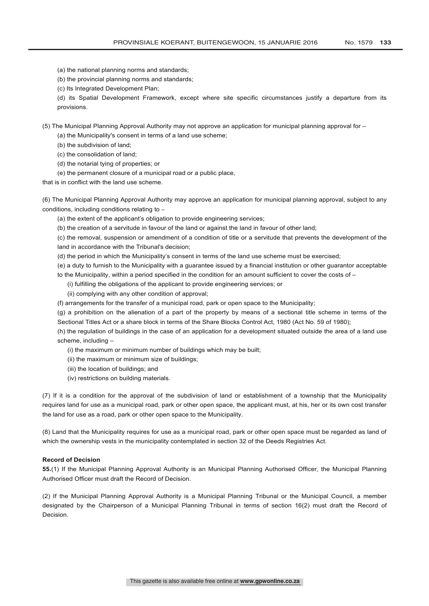- (a) the national planning norms and standards;
- (b) the provincial planning norms and standards;
- (c) Its Integrated Development Plan;

(d) its Spatial Development Framework, except where site specific circumstances justify a departure from its provisions.

(5) The Municipal Planning Approval Authority may not approve an application for municipal planning approval for –

- (a) the Municipality's consent in terms of a land use scheme;
- (b) the subdivision of land;
- (c) the consolidation of land;
- (d) the notarial tying of properties; or
- (e) the permanent closure of a municipal road or a public place,

that is in conflict with the land use scheme.

(6) The Municipal Planning Approval Authority may approve an application for municipal planning approval, subject to any conditions, including conditions relating to -

(a) the extent of the applicant's obligation to provide engineering services;

(b) the creation of a servitude in favour of the land or against the land in favour of other land;

(c) the removal, suspension or amendment of a condition of title or a servitude that prevents the development of the land in accordance with the Tribunal's decision;

- (d) the period in which the Municipality's consent in terms of the land use scheme must be exercised;
- (e) a duty to furnish to the Municipality with a guarantee issued by a financial institution or other guarantor acceptable
- to the Municipality, within a period specified in the condition for an amount sufficient to cover the costs of
	- (i) fulfilling the obligations of the applicant to provide engineering services; or
	- (ii) complying with any other condition of approval;
- (f) arrangements for the transfer of a municipal road, park or open space to the Municipality;

(g) a prohibition on the alienation of a part of the property by means of a sectional title scheme in terms of the Sectional Titles Act or a share block in terms of the Share Blocks Control Act, 1980 (Act No. 59 of 1980);

(h) the regulation of buildings in the case of an application for a development situated outside the area of a land use scheme, including –

- (i) the maximum or minimum number of buildings which may be built;
- (ii) the maximum or minimum size of buildings;
- (iii) the location of buildings; and
- (iv) restrictions on building materials.

(7) If it is a condition for the approval of the subdivision of land or establishment of a township that the Municipality requires land for use as a municipal road, park or other open space, the applicant must, at his, her or its own cost transfer the land for use as a road, park or other open space to the Municipality.

(8) Land that the Municipality requires for use as a municipal road, park or other open space must be regarded as land of which the ownership vests in the municipality contemplated in section 32 of the Deeds Registries Act.

# **Record of Decision**

**55.**(1) If the Municipal Planning Approval Authority is an Municipal Planning Authorised Officer, the Municipal Planning Authorised Officer must draft the Record of Decision.

(2) If the Municipal Planning Approval Authority is a Municipal Planning Tribunal or the Municipal Council, a member designated by the Chairperson of a Municipal Planning Tribunal in terms of section 16(2) must draft the Record of Decision.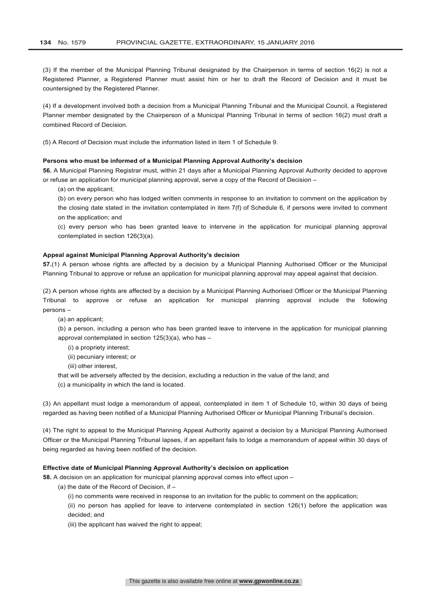(3) If the member of the Municipal Planning Tribunal designated by the Chairperson in terms of section 16(2) is not a Registered Planner, a Registered Planner must assist him or her to draft the Record of Decision and it must be countersigned by the Registered Planner.

(4) If a development involved both a decision from a Municipal Planning Tribunal and the Municipal Council, a Registered Planner member designated by the Chairperson of a Municipal Planning Tribunal in terms of section 16(2) must draft a combined Record of Decision.

(5) A Record of Decision must include the information listed in item 1 of Schedule 9.

# **Persons who must be informed of a Municipal Planning Approval Authority's decision**

**56.** A Municipal Planning Registrar must, within 21 days after a Municipal Planning Approval Authority decided to approve or refuse an application for municipal planning approval, serve a copy of the Record of Decision –

(a) on the applicant;

(b) on every person who has lodged written comments in response to an invitation to comment on the application by the closing date stated in the invitation contemplated in item 7(f) of Schedule 6, if persons were invited to comment on the application; and

(c) every person who has been granted leave to intervene in the application for municipal planning approval contemplated in section 126(3)(a).

# **Appeal against Municipal Planning Approval Authority's decision**

**57.**(1) A person whose rights are affected by a decision by a Municipal Planning Authorised Officer or the Municipal Planning Tribunal to approve or refuse an application for municipal planning approval may appeal against that decision.

(2) A person whose rights are affected by a decision by a Municipal Planning Authorised Officer or the Municipal Planning Tribunal to approve or refuse an application for municipal planning approval include the following persons –

(a) an applicant;

(b) a person, including a person who has been granted leave to intervene in the application for municipal planning approval contemplated in section 125(3)(a), who has –

- (i) a propriety interest;
- (ii) pecuniary interest; or
- (iii) other interest,
- that will be adversely affected by the decision, excluding a reduction in the value of the land; and
- (c) a municipality in which the land is located.

(3) An appellant must lodge a memorandum of appeal, contemplated in item 1 of Schedule 10, within 30 days of being regarded as having been notified of a Municipal Planning Authorised Officer or Municipal Planning Tribunal's decision.

(4) The right to appeal to the Municipal Planning Appeal Authority against a decision by a Municipal Planning Authorised Officer or the Municipal Planning Tribunal lapses, if an appellant fails to lodge a memorandum of appeal within 30 days of being regarded as having been notified of the decision.

# **Effective date of Municipal Planning Approval Authority's decision on application**

**58.** A decision on an application for municipal planning approval comes into effect upon –

- (a) the date of the Record of Decision, if
	- (i) no comments were received in response to an invitation for the public to comment on the application;

(ii) no person has applied for leave to intervene contemplated in section 126(1) before the application was decided; and

(iii) the applicant has waived the right to appeal;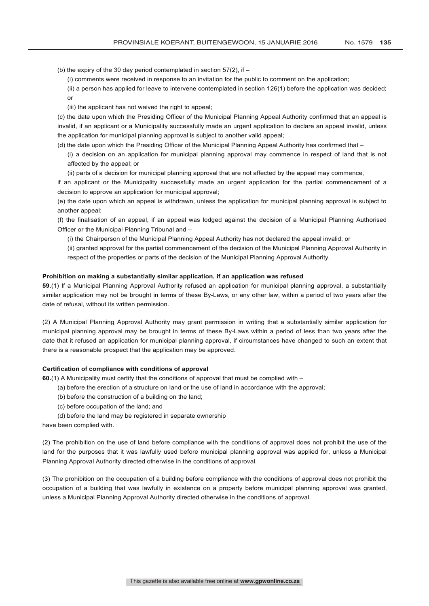(b) the expiry of the 30 day period contemplated in section  $57(2)$ , if –

(i) comments were received in response to an invitation for the public to comment on the application;

- (ii) a person has applied for leave to intervene contemplated in section 126(1) before the application was decided; or
- (iii) the applicant has not waived the right to appeal;

(c) the date upon which the Presiding Officer of the Municipal Planning Appeal Authority confirmed that an appeal is invalid, if an applicant or a Municipality successfully made an urgent application to declare an appeal invalid, unless the application for municipal planning approval is subject to another valid appeal;

- (d) the date upon which the Presiding Officer of the Municipal Planning Appeal Authority has confirmed that
	- (i) a decision on an application for municipal planning approval may commence in respect of land that is not affected by the appeal; or
	- (ii) parts of a decision for municipal planning approval that are not affected by the appeal may commence,

if an applicant or the Municipality successfully made an urgent application for the partial commencement of a decision to approve an application for municipal approval;

(e) the date upon which an appeal is withdrawn, unless the application for municipal planning approval is subject to another appeal;

(f) the finalisation of an appeal, if an appeal was lodged against the decision of a Municipal Planning Authorised Officer or the Municipal Planning Tribunal and –

(i) the Chairperson of the Municipal Planning Appeal Authority has not declared the appeal invalid; or

(ii) granted approval for the partial commencement of the decision of the Municipal Planning Approval Authority in respect of the properties or parts of the decision of the Municipal Planning Approval Authority.

#### **Prohibition on making a substantially similar application, if an application was refused**

**59.**(1) If a Municipal Planning Approval Authority refused an application for municipal planning approval, a substantially similar application may not be brought in terms of these By-Laws, or any other law, within a period of two years after the date of refusal, without its written permission.

(2) A Municipal Planning Approval Authority may grant permission in writing that a substantially similar application for municipal planning approval may be brought in terms of these By-Laws within a period of less than two years after the date that it refused an application for municipal planning approval, if circumstances have changed to such an extent that there is a reasonable prospect that the application may be approved.

#### **Certification of compliance with conditions of approval**

**60.**(1) A Municipality must certify that the conditions of approval that must be complied with –

- (a) before the erection of a structure on land or the use of land in accordance with the approval;
- (b) before the construction of a building on the land;
- (c) before occupation of the land; and
- (d) before the land may be registered in separate ownership

have been complied with.

(2) The prohibition on the use of land before compliance with the conditions of approval does not prohibit the use of the land for the purposes that it was lawfully used before municipal planning approval was applied for, unless a Municipal Planning Approval Authority directed otherwise in the conditions of approval.

(3) The prohibition on the occupation of a building before compliance with the conditions of approval does not prohibit the occupation of a building that was lawfully in existence on a property before municipal planning approval was granted, unless a Municipal Planning Approval Authority directed otherwise in the conditions of approval.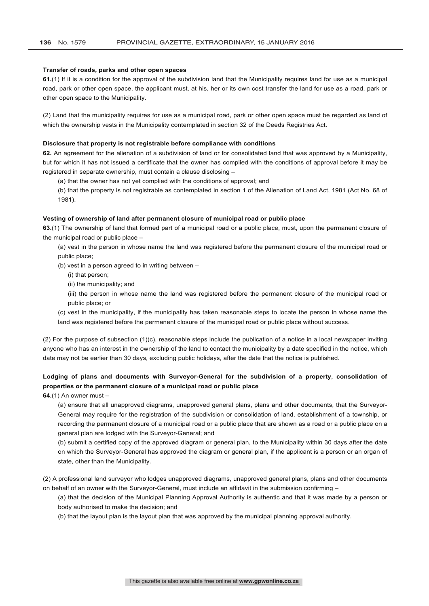#### **Transfer of roads, parks and other open spaces**

**61.**(1) If it is a condition for the approval of the subdivision land that the Municipality requires land for use as a municipal road, park or other open space, the applicant must, at his, her or its own cost transfer the land for use as a road, park or other open space to the Municipality.

(2) Land that the municipality requires for use as a municipal road, park or other open space must be regarded as land of which the ownership vests in the Municipality contemplated in section 32 of the Deeds Registries Act.

#### **Disclosure that property is not registrable before compliance with conditions**

**62.** An agreement for the alienation of a subdivision of land or for consolidated land that was approved by a Municipality, but for which it has not issued a certificate that the owner has complied with the conditions of approval before it may be registered in separate ownership, must contain a clause disclosing –

(a) that the owner has not yet complied with the conditions of approval; and

(b) that the property is not registrable as contemplated in section 1 of the Alienation of Land Act, 1981 (Act No. 68 of 1981).

# **Vesting of ownership of land after permanent closure of municipal road or public place**

**63.**(1) The ownership of land that formed part of a municipal road or a public place, must, upon the permanent closure of the municipal road or public place –

(a) vest in the person in whose name the land was registered before the permanent closure of the municipal road or public place;

(b) vest in a person agreed to in writing between –

- (i) that person;
- (ii) the municipality; and

(iii) the person in whose name the land was registered before the permanent closure of the municipal road or public place; or

(c) vest in the municipality, if the municipality has taken reasonable steps to locate the person in whose name the land was registered before the permanent closure of the municipal road or public place without success.

(2) For the purpose of subsection (1)(c), reasonable steps include the publication of a notice in a local newspaper inviting anyone who has an interest in the ownership of the land to contact the municipality by a date specified in the notice, which date may not be earlier than 30 days, excluding public holidays, after the date that the notice is published.

# **Lodging of plans and documents with Surveyor-General for the subdivision of a property, consolidation of properties or the permanent closure of a municipal road or public place**

**64.**(1) An owner must –

(a) ensure that all unapproved diagrams, unapproved general plans, plans and other documents, that the Surveyor-General may require for the registration of the subdivision or consolidation of land, establishment of a township, or recording the permanent closure of a municipal road or a public place that are shown as a road or a public place on a general plan are lodged with the Surveyor-General; and

(b) submit a certified copy of the approved diagram or general plan, to the Municipality within 30 days after the date on which the Surveyor-General has approved the diagram or general plan, if the applicant is a person or an organ of state, other than the Municipality.

(2) A professional land surveyor who lodges unapproved diagrams, unapproved general plans, plans and other documents on behalf of an owner with the Surveyor-General, must include an affidavit in the submission confirming –

(a) that the decision of the Municipal Planning Approval Authority is authentic and that it was made by a person or body authorised to make the decision; and

(b) that the layout plan is the layout plan that was approved by the municipal planning approval authority.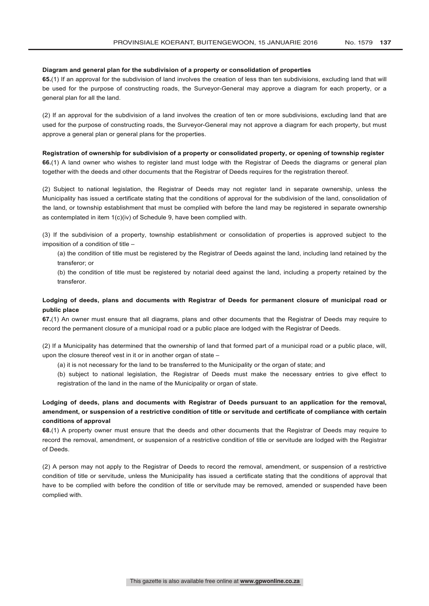#### **Diagram and general plan for the subdivision of a property or consolidation of properties**

**65.**(1) If an approval for the subdivision of land involves the creation of less than ten subdivisions, excluding land that will be used for the purpose of constructing roads, the Surveyor-General may approve a diagram for each property, or a general plan for all the land.

(2) If an approval for the subdivision of a land involves the creation of ten or more subdivisions, excluding land that are used for the purpose of constructing roads, the Surveyor-General may not approve a diagram for each property, but must approve a general plan or general plans for the properties.

**Registration of ownership for subdivision of a property or consolidated property, or opening of township register 66.**(1) A land owner who wishes to register land must lodge with the Registrar of Deeds the diagrams or general plan together with the deeds and other documents that the Registrar of Deeds requires for the registration thereof.

(2) Subject to national legislation, the Registrar of Deeds may not register land in separate ownership, unless the Municipality has issued a certificate stating that the conditions of approval for the subdivision of the land, consolidation of the land, or township establishment that must be complied with before the land may be registered in separate ownership as contemplated in item 1(c)(iv) of Schedule 9, have been complied with.

(3) If the subdivision of a property, township establishment or consolidation of properties is approved subject to the imposition of a condition of title –

(a) the condition of title must be registered by the Registrar of Deeds against the land, including land retained by the transferor; or

(b) the condition of title must be registered by notarial deed against the land, including a property retained by the transferor.

## **Lodging of deeds, plans and documents with Registrar of Deeds for permanent closure of municipal road or public place**

**67.**(1) An owner must ensure that all diagrams, plans and other documents that the Registrar of Deeds may require to record the permanent closure of a municipal road or a public place are lodged with the Registrar of Deeds.

(2) If a Municipality has determined that the ownership of land that formed part of a municipal road or a public place, will, upon the closure thereof vest in it or in another organ of state –

(a) it is not necessary for the land to be transferred to the Municipality or the organ of state; and

(b) subject to national legislation, the Registrar of Deeds must make the necessary entries to give effect to registration of the land in the name of the Municipality or organ of state.

## **Lodging of deeds, plans and documents with Registrar of Deeds pursuant to an application for the removal, amendment, or suspension of a restrictive condition of title or servitude and certificate of compliance with certain conditions of approval**

**68.**(1) A property owner must ensure that the deeds and other documents that the Registrar of Deeds may require to record the removal, amendment, or suspension of a restrictive condition of title or servitude are lodged with the Registrar of Deeds.

(2) A person may not apply to the Registrar of Deeds to record the removal, amendment, or suspension of a restrictive condition of title or servitude, unless the Municipality has issued a certificate stating that the conditions of approval that have to be complied with before the condition of title or servitude may be removed, amended or suspended have been complied with.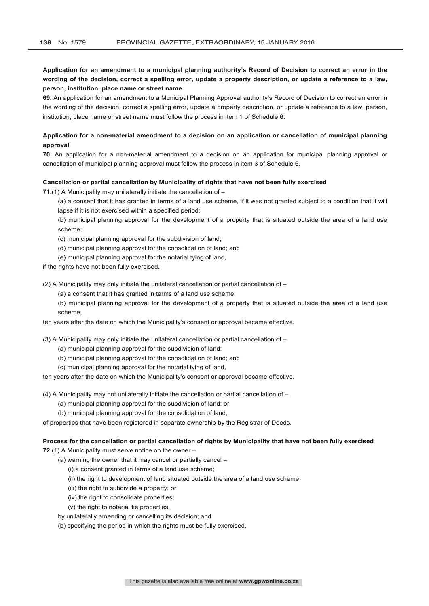## **Application for an amendment to a municipal planning authority's Record of Decision to correct an error in the wording of the decision, correct a spelling error, update a property description, or update a reference to a law, person, institution, place name or street name**

**69.** An application for an amendment to a Municipal Planning Approval authority's Record of Decision to correct an error in the wording of the decision, correct a spelling error, update a property description, or update a reference to a law, person, institution, place name or street name must follow the process in item 1 of Schedule 6.

## **Application for a non-material amendment to a decision on an application or cancellation of municipal planning approval**

**70.** An application for a non-material amendment to a decision on an application for municipal planning approval or cancellation of municipal planning approval must follow the process in item 3 of Schedule 6.

### **Cancellation or partial cancellation by Municipality of rights that have not been fully exercised**

**71.**(1) A Municipality may unilaterally initiate the cancellation of –

(a) a consent that it has granted in terms of a land use scheme, if it was not granted subject to a condition that it will lapse if it is not exercised within a specified period;

(b) municipal planning approval for the development of a property that is situated outside the area of a land use scheme;

(c) municipal planning approval for the subdivision of land;

- (d) municipal planning approval for the consolidation of land; and
- (e) municipal planning approval for the notarial tying of land,

if the rights have not been fully exercised.

(2) A Municipality may only initiate the unilateral cancellation or partial cancellation of –

(a) a consent that it has granted in terms of a land use scheme;

(b) municipal planning approval for the development of a property that is situated outside the area of a land use scheme,

ten years after the date on which the Municipality's consent or approval became effective.

(3) A Municipality may only initiate the unilateral cancellation or partial cancellation of –

- (a) municipal planning approval for the subdivision of land;
- (b) municipal planning approval for the consolidation of land; and
- (c) municipal planning approval for the notarial tying of land,

ten years after the date on which the Municipality's consent or approval became effective.

(4) A Municipality may not unilaterally initiate the cancellation or partial cancellation of –

- (a) municipal planning approval for the subdivision of land; or
- (b) municipal planning approval for the consolidation of land,

of properties that have been registered in separate ownership by the Registrar of Deeds.

#### **Process for the cancellation or partial cancellation of rights by Municipality that have not been fully exercised**

**72.**(1) A Municipality must serve notice on the owner –

- (a) warning the owner that it may cancel or partially cancel
	- (i) a consent granted in terms of a land use scheme;
	- (ii) the right to development of land situated outside the area of a land use scheme;
	- (iii) the right to subdivide a property; or
	- (iv) the right to consolidate properties;
	- (v) the right to notarial tie properties,
- by unilaterally amending or cancelling its decision; and
- (b) specifying the period in which the rights must be fully exercised.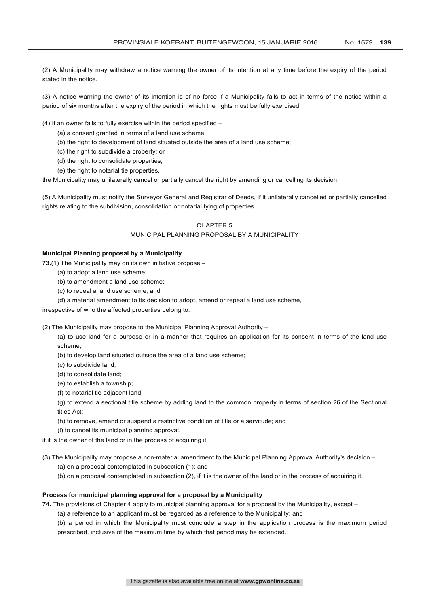(2) A Municipality may withdraw a notice warning the owner of its intention at any time before the expiry of the period stated in the notice.

(3) A notice warning the owner of its intention is of no force if a Municipality fails to act in terms of the notice within a period of six months after the expiry of the period in which the rights must be fully exercised.

(4) If an owner fails to fully exercise within the period specified –

- (a) a consent granted in terms of a land use scheme;
- (b) the right to development of land situated outside the area of a land use scheme;
- (c) the right to subdivide a property; or
- (d) the right to consolidate properties;
- (e) the right to notarial tie properties,

the Municipality may unilaterally cancel or partially cancel the right by amending or cancelling its decision.

(5) A Municipality must notify the Surveyor General and Registrar of Deeds, if it unilaterally cancelled or partially cancelled rights relating to the subdivision, consolidation or notarial tying of properties.

#### CHAPTER 5

### MUNICIPAL PLANNING PROPOSAL BY A MUNICIPALITY

### **Municipal Planning proposal by a Municipality**

**73.**(1) The Municipality may on its own initiative propose –

- (a) to adopt a land use scheme;
- (b) to amendment a land use scheme;
- (c) to repeal a land use scheme; and
- (d) a material amendment to its decision to adopt, amend or repeal a land use scheme,

irrespective of who the affected properties belong to.

(2) The Municipality may propose to the Municipal Planning Approval Authority –

(a) to use land for a purpose or in a manner that requires an application for its consent in terms of the land use scheme;

- (b) to develop land situated outside the area of a land use scheme;
- (c) to subdivide land;
- (d) to consolidate land;
- (e) to establish a township;
- (f) to notarial tie adjacent land;

(g) to extend a sectional title scheme by adding land to the common property in terms of section 26 of the Sectional titles Act;

- (h) to remove, amend or suspend a restrictive condition of title or a servitude; and
- (i) to cancel its municipal planning approval,
- if it is the owner of the land or in the process of acquiring it.
- (3) The Municipality may propose a non-material amendment to the Municipal Planning Approval Authority's decision
	- (a) on a proposal contemplated in subsection (1); and
	- (b) on a proposal contemplated in subsection (2), if it is the owner of the land or in the process of acquiring it.

## **Process for municipal planning approval for a proposal by a Municipality**

- **74.** The provisions of Chapter 4 apply to municipal planning approval for a proposal by the Municipality, except
	- (a) a reference to an applicant must be regarded as a reference to the Municipality; and

(b) a period in which the Municipality must conclude a step in the application process is the maximum period prescribed, inclusive of the maximum time by which that period may be extended.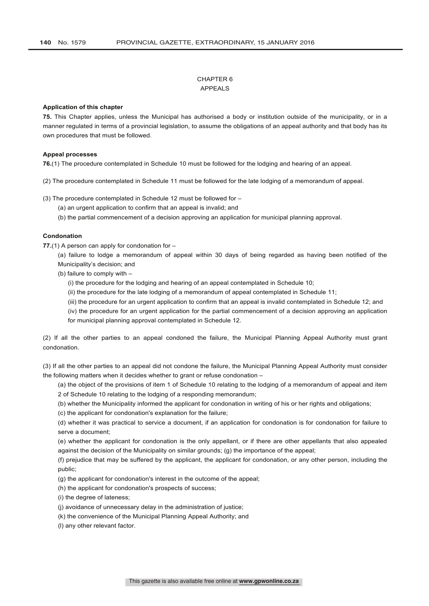## CHAPTER 6 APPEALS

### **Application of this chapter**

**75.** This Chapter applies, unless the Municipal has authorised a body or institution outside of the municipality, or in a manner regulated in terms of a provincial legislation, to assume the obligations of an appeal authority and that body has its own procedures that must be followed.

#### **Appeal processes**

**76.**(1) The procedure contemplated in Schedule 10 must be followed for the lodging and hearing of an appeal.

(2) The procedure contemplated in Schedule 11 must be followed for the late lodging of a memorandum of appeal.

(3) The procedure contemplated in Schedule 12 must be followed for –

(a) an urgent application to confirm that an appeal is invalid; and

(b) the partial commencement of a decision approving an application for municipal planning approval.

#### **Condonation**

**77.**(1) A person can apply for condonation for –

(a) failure to lodge a memorandum of appeal within 30 days of being regarded as having been notified of the Municipality's decision; and

(b) failure to comply with –

(i) the procedure for the lodging and hearing of an appeal contemplated in Schedule 10;

(ii) the procedure for the late lodging of a memorandum of appeal contemplated in Schedule 11;

(iii) the procedure for an urgent application to confirm that an appeal is invalid contemplated in Schedule 12; and

(iv) the procedure for an urgent application for the partial commencement of a decision approving an application for municipal planning approval contemplated in Schedule 12.

(2) If all the other parties to an appeal condoned the failure, the Municipal Planning Appeal Authority must grant condonation.

(3) If all the other parties to an appeal did not condone the failure, the Municipal Planning Appeal Authority must consider the following matters when it decides whether to grant or refuse condonation –

(a) the object of the provisions of item 1 of Schedule 10 relating to the lodging of a memorandum of appeal and item 2 of Schedule 10 relating to the lodging of a responding memorandum;

(b) whether the Municipality informed the applicant for condonation in writing of his or her rights and obligations;

(c) the applicant for condonation's explanation for the failure;

(d) whether it was practical to service a document, if an application for condonation is for condonation for failure to serve a document;

(e) whether the applicant for condonation is the only appellant, or if there are other appellants that also appealed against the decision of the Municipality on similar grounds; (g) the importance of the appeal;

(f) prejudice that may be suffered by the applicant, the applicant for condonation, or any other person, including the public;

(g) the applicant for condonation's interest in the outcome of the appeal;

(h) the applicant for condonation's prospects of success;

(i) the degree of lateness;

(j) avoidance of unnecessary delay in the administration of justice;

(k) the convenience of the Municipal Planning Appeal Authority; and

(l) any other relevant factor.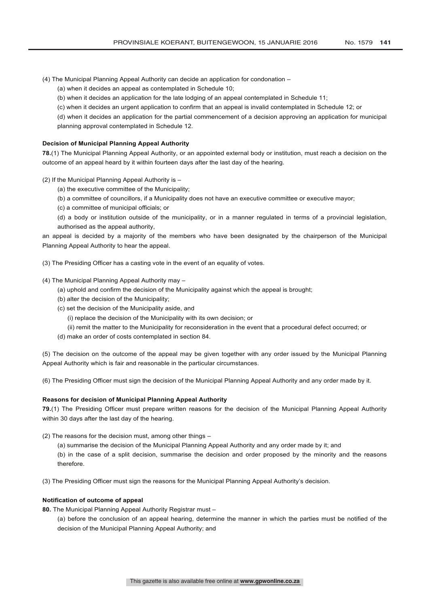(4) The Municipal Planning Appeal Authority can decide an application for condonation –

(a) when it decides an appeal as contemplated in Schedule 10;

(b) when it decides an application for the late lodging of an appeal contemplated in Schedule 11;

(c) when it decides an urgent application to confirm that an appeal is invalid contemplated in Schedule 12; or

(d) when it decides an application for the partial commencement of a decision approving an application for municipal

planning approval contemplated in Schedule 12.

## **Decision of Municipal Planning Appeal Authority**

**78.**(1) The Municipal Planning Appeal Authority, or an appointed external body or institution, must reach a decision on the outcome of an appeal heard by it within fourteen days after the last day of the hearing.

(2) If the Municipal Planning Appeal Authority is –

(a) the executive committee of the Municipality;

(b) a committee of councillors, if a Municipality does not have an executive committee or executive mayor;

(c) a committee of municipal officials; or

(d) a body or institution outside of the municipality, or in a manner regulated in terms of a provincial legislation, authorised as the appeal authority,

an appeal is decided by a majority of the members who have been designated by the chairperson of the Municipal Planning Appeal Authority to hear the appeal.

(3) The Presiding Officer has a casting vote in the event of an equality of votes.

(4) The Municipal Planning Appeal Authority may –

- (a) uphold and confirm the decision of the Municipality against which the appeal is brought;
- (b) alter the decision of the Municipality;
- (c) set the decision of the Municipality aside, and
	- (i) replace the decision of the Municipality with its own decision; or
	- (ii) remit the matter to the Municipality for reconsideration in the event that a procedural defect occurred; or
- (d) make an order of costs contemplated in section 84.

(5) The decision on the outcome of the appeal may be given together with any order issued by the Municipal Planning Appeal Authority which is fair and reasonable in the particular circumstances.

(6) The Presiding Officer must sign the decision of the Municipal Planning Appeal Authority and any order made by it.

## **Reasons for decision of Municipal Planning Appeal Authority**

**79.**(1) The Presiding Officer must prepare written reasons for the decision of the Municipal Planning Appeal Authority within 30 days after the last day of the hearing.

- (2) The reasons for the decision must, among other things
	- (a) summarise the decision of the Municipal Planning Appeal Authority and any order made by it; and

(b) in the case of a split decision, summarise the decision and order proposed by the minority and the reasons therefore.

(3) The Presiding Officer must sign the reasons for the Municipal Planning Appeal Authority's decision.

### **Notification of outcome of appeal**

**80.** The Municipal Planning Appeal Authority Registrar must –

(a) before the conclusion of an appeal hearing, determine the manner in which the parties must be notified of the decision of the Municipal Planning Appeal Authority; and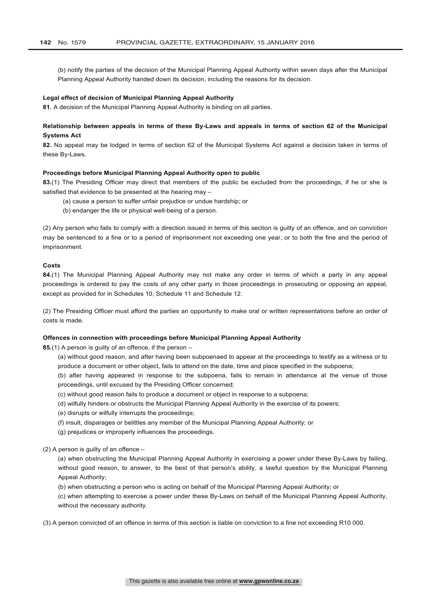(b) notify the parties of the decision of the Municipal Planning Appeal Authority within seven days after the Municipal Planning Appeal Authority handed down its decision, including the reasons for its decision.

### **Legal effect of decision of Municipal Planning Appeal Authority**

**81**. A decision of the Municipal Planning Appeal Authority is binding on all parties.

## **Relationship between appeals in terms of these By-Laws and appeals in terms of section 62 of the Municipal Systems Act**

**82.** No appeal may be lodged in terms of section 62 of the Municipal Systems Act against a decision taken in terms of these By-Laws.

#### **Proceedings before Municipal Planning Appeal Authority open to public**

**83.**(1) The Presiding Officer may direct that members of the public be excluded from the proceedings, if he or she is satisfied that evidence to be presented at the hearing may –

- (a) cause a person to suffer unfair prejudice or undue hardship; or
- (b) endanger the life or physical well-being of a person.

(2) Any person who fails to comply with a direction issued in terms of this section is guilty of an offence, and on conviction may be sentenced to a fine or to a period of imprisonment not exceeding one year, or to both the fine and the period of imprisonment.

## **Costs**

**84.**(1) The Municipal Planning Appeal Authority may not make any order in terms of which a party in any appeal proceedings is ordered to pay the costs of any other party in those proceedings in prosecuting or opposing an appeal, except as provided for in Schedules 10, Schedule 11 and Schedule 12.

(2) The Presiding Officer must afford the parties an opportunity to make oral or written representations before an order of costs is made.

## **Offences in connection with proceedings before Municipal Planning Appeal Authority**

**85.**(1) A person is guilty of an offence, if the person –

- (a) without good reason, and after having been subpoenaed to appear at the proceedings to testify as a witness or to produce a document or other object, fails to attend on the date, time and place specified in the subpoena;
- (b) after having appeared in response to the subpoena, fails to remain in attendance at the venue of those proceedings, until excused by the Presiding Officer concerned;
- (c) without good reason fails to produce a document or object in response to a subpoena;
- (d) wilfully hinders or obstructs the Municipal Planning Appeal Authority in the exercise of its powers;
- (e) disrupts or wilfully interrupts the proceedings;
- (f) insult, disparages or belittles any member of the Municipal Planning Appeal Authority; or
- (g) prejudices or improperly influences the proceedings.

(2) A person is guilty of an offence –

(a) when obstructing the Municipal Planning Appeal Authority in exercising a power under these By-Laws by failing, without good reason, to answer, to the best of that person's ability, a lawful question by the Municipal Planning Appeal Authority;

(b) when obstructing a person who is acting on behalf of the Municipal Planning Appeal Authority; or

(c) when attempting to exercise a power under these By-Laws on behalf of the Municipal Planning Appeal Authority, without the necessary authority.

(3) A person convicted of an offence in terms of this section is liable on conviction to a fine not exceeding R10 000.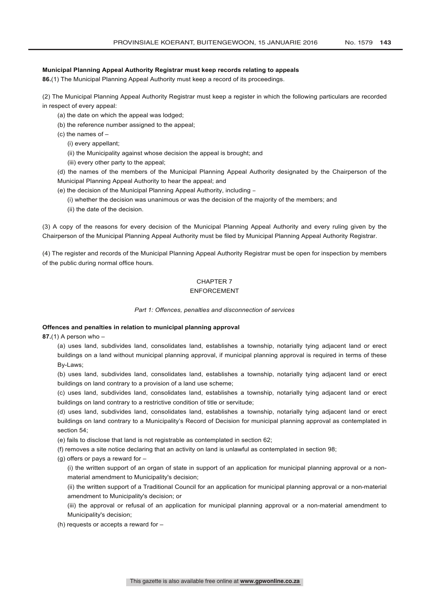## **Municipal Planning Appeal Authority Registrar must keep records relating to appeals**

**86.**(1) The Municipal Planning Appeal Authority must keep a record of its proceedings.

(2) The Municipal Planning Appeal Authority Registrar must keep a register in which the following particulars are recorded in respect of every appeal:

- (a) the date on which the appeal was lodged;
- (b) the reference number assigned to the appeal;
- $(c)$  the names of  $-$ 
	- (i) every appellant;
	- (ii) the Municipality against whose decision the appeal is brought; and
	- (iii) every other party to the appeal;

(d) the names of the members of the Municipal Planning Appeal Authority designated by the Chairperson of the Municipal Planning Appeal Authority to hear the appeal; and

- (e) the decision of the Municipal Planning Appeal Authority, including
	- (i) whether the decision was unanimous or was the decision of the majority of the members; and
	- (ii) the date of the decision.

(3) A copy of the reasons for every decision of the Municipal Planning Appeal Authority and every ruling given by the Chairperson of the Municipal Planning Appeal Authority must be filed by Municipal Planning Appeal Authority Registrar.

(4) The register and records of the Municipal Planning Appeal Authority Registrar must be open for inspection by members of the public during normal office hours.

## CHAPTER 7

## ENFORCEMENT

### *Part 1: Offences, penalties and disconnection of services*

## **Offences and penalties in relation to municipal planning approval**

**87.**(1) A person who –

(a) uses land, subdivides land, consolidates land, establishes a township, notarially tying adjacent land or erect buildings on a land without municipal planning approval, if municipal planning approval is required in terms of these By-Laws;

(b) uses land, subdivides land, consolidates land, establishes a township, notarially tying adjacent land or erect buildings on land contrary to a provision of a land use scheme;

(c) uses land, subdivides land, consolidates land, establishes a township, notarially tying adjacent land or erect buildings on land contrary to a restrictive condition of title or servitude;

(d) uses land, subdivides land, consolidates land, establishes a township, notarially tying adjacent land or erect buildings on land contrary to a Municipality's Record of Decision for municipal planning approval as contemplated in section 54;

(e) fails to disclose that land is not registrable as contemplated in section 62;

(f) removes a site notice declaring that an activity on land is unlawful as contemplated in section 98;

(g) offers or pays a reward for –

(i) the written support of an organ of state in support of an application for municipal planning approval or a nonmaterial amendment to Municipality's decision;

(ii) the written support of a Traditional Council for an application for municipal planning approval or a non-material amendment to Municipality's decision; or

(iii) the approval or refusal of an application for municipal planning approval or a non-material amendment to Municipality's decision;

(h) requests or accepts a reward for –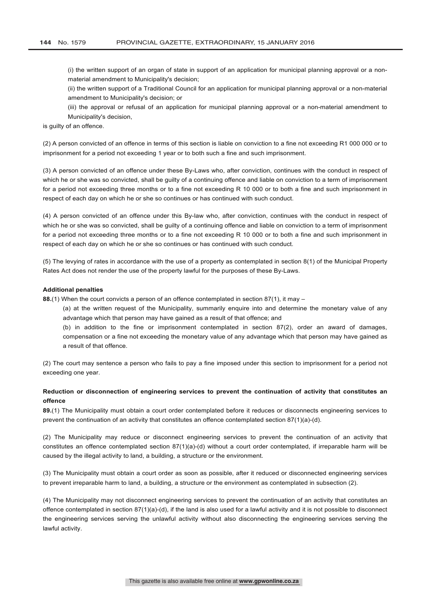(i) the written support of an organ of state in support of an application for municipal planning approval or a nonmaterial amendment to Municipality's decision;

(ii) the written support of a Traditional Council for an application for municipal planning approval or a non-material amendment to Municipality's decision; or

(iii) the approval or refusal of an application for municipal planning approval or a non-material amendment to Municipality's decision,

is guilty of an offence.

(2) A person convicted of an offence in terms of this section is liable on conviction to a fine not exceeding R1 000 000 or to imprisonment for a period not exceeding 1 year or to both such a fine and such imprisonment.

(3) A person convicted of an offence under these By-Laws who, after conviction, continues with the conduct in respect of which he or she was so convicted, shall be guilty of a continuing offence and liable on conviction to a term of imprisonment for a period not exceeding three months or to a fine not exceeding R 10 000 or to both a fine and such imprisonment in respect of each day on which he or she so continues or has continued with such conduct.

(4) A person convicted of an offence under this By-law who, after conviction, continues with the conduct in respect of which he or she was so convicted, shall be guilty of a continuing offence and liable on conviction to a term of imprisonment for a period not exceeding three months or to a fine not exceeding R 10 000 or to both a fine and such imprisonment in respect of each day on which he or she so continues or has continued with such conduct.

(5) The levying of rates in accordance with the use of a property as contemplated in section 8(1) of the Municipal Property Rates Act does not render the use of the property lawful for the purposes of these By-Laws.

#### **Additional penalties**

**88.**(1) When the court convicts a person of an offence contemplated in section 87(1), it may –

(a) at the written request of the Municipality, summarily enquire into and determine the monetary value of any advantage which that person may have gained as a result of that offence; and

(b) in addition to the fine or imprisonment contemplated in section 87(2), order an award of damages, compensation or a fine not exceeding the monetary value of any advantage which that person may have gained as a result of that offence.

(2) The court may sentence a person who fails to pay a fine imposed under this section to imprisonment for a period not exceeding one year.

## **Reduction or disconnection of engineering services to prevent the continuation of activity that constitutes an offence**

**89.**(1) The Municipality must obtain a court order contemplated before it reduces or disconnects engineering services to prevent the continuation of an activity that constitutes an offence contemplated section 87(1)(a)-(d).

(2) The Municipality may reduce or disconnect engineering services to prevent the continuation of an activity that constitutes an offence contemplated section 87(1)(a)-(d) without a court order contemplated, if irreparable harm will be caused by the illegal activity to land, a building, a structure or the environment.

(3) The Municipality must obtain a court order as soon as possible, after it reduced or disconnected engineering services to prevent irreparable harm to land, a building, a structure or the environment as contemplated in subsection (2).

(4) The Municipality may not disconnect engineering services to prevent the continuation of an activity that constitutes an offence contemplated in section 87(1)(a)-(d), if the land is also used for a lawful activity and it is not possible to disconnect the engineering services serving the unlawful activity without also disconnecting the engineering services serving the lawful activity.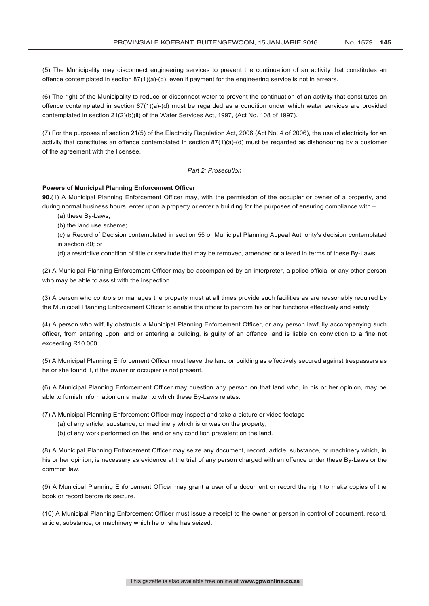(5) The Municipality may disconnect engineering services to prevent the continuation of an activity that constitutes an offence contemplated in section 87(1)(a)-(d), even if payment for the engineering service is not in arrears.

(6) The right of the Municipality to reduce or disconnect water to prevent the continuation of an activity that constitutes an offence contemplated in section 87(1)(a)-(d) must be regarded as a condition under which water services are provided contemplated in section 21(2)(b)(ii) of the Water Services Act, 1997, (Act No. 108 of 1997).

(7) For the purposes of section 21(5) of the Electricity Regulation Act, 2006 (Act No. 4 of 2006), the use of electricity for an activity that constitutes an offence contemplated in section 87(1)(a)-(d) must be regarded as dishonouring by a customer of the agreement with the licensee.

## *Part 2: Prosecution*

### **Powers of Municipal Planning Enforcement Officer**

**90.**(1) A Municipal Planning Enforcement Officer may, with the permission of the occupier or owner of a property, and during normal business hours, enter upon a property or enter a building for the purposes of ensuring compliance with –

- (a) these By-Laws;
- (b) the land use scheme;

(c) a Record of Decision contemplated in section 55 or Municipal Planning Appeal Authority's decision contemplated in section 80; or

(d) a restrictive condition of title or servitude that may be removed, amended or altered in terms of these By-Laws.

(2) A Municipal Planning Enforcement Officer may be accompanied by an interpreter, a police official or any other person who may be able to assist with the inspection.

(3) A person who controls or manages the property must at all times provide such facilities as are reasonably required by the Municipal Planning Enforcement Officer to enable the officer to perform his or her functions effectively and safely.

(4) A person who wilfully obstructs a Municipal Planning Enforcement Officer, or any person lawfully accompanying such officer, from entering upon land or entering a building, is guilty of an offence, and is liable on conviction to a fine not exceeding R10 000.

(5) A Municipal Planning Enforcement Officer must leave the land or building as effectively secured against trespassers as he or she found it, if the owner or occupier is not present.

(6) A Municipal Planning Enforcement Officer may question any person on that land who, in his or her opinion, may be able to furnish information on a matter to which these By-Laws relates.

(7) A Municipal Planning Enforcement Officer may inspect and take a picture or video footage –

- (a) of any article, substance, or machinery which is or was on the property,
- (b) of any work performed on the land or any condition prevalent on the land.

(8) A Municipal Planning Enforcement Officer may seize any document, record, article, substance, or machinery which, in his or her opinion, is necessary as evidence at the trial of any person charged with an offence under these By-Laws or the common law.

(9) A Municipal Planning Enforcement Officer may grant a user of a document or record the right to make copies of the book or record before its seizure.

(10) A Municipal Planning Enforcement Officer must issue a receipt to the owner or person in control of document, record, article, substance, or machinery which he or she has seized.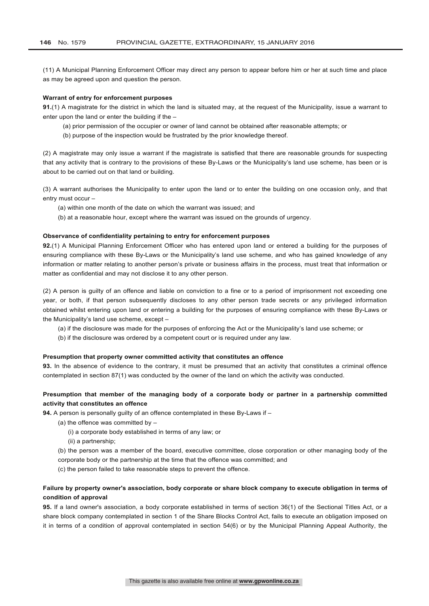(11) A Municipal Planning Enforcement Officer may direct any person to appear before him or her at such time and place as may be agreed upon and question the person.

### **Warrant of entry for enforcement purposes**

**91.**(1) A magistrate for the district in which the land is situated may, at the request of the Municipality, issue a warrant to enter upon the land or enter the building if the –

- (a) prior permission of the occupier or owner of land cannot be obtained after reasonable attempts; or
- (b) purpose of the inspection would be frustrated by the prior knowledge thereof.

(2) A magistrate may only issue a warrant if the magistrate is satisfied that there are reasonable grounds for suspecting that any activity that is contrary to the provisions of these By-Laws or the Municipality's land use scheme, has been or is about to be carried out on that land or building.

(3) A warrant authorises the Municipality to enter upon the land or to enter the building on one occasion only, and that entry must occur –

- (a) within one month of the date on which the warrant was issued; and
- (b) at a reasonable hour, except where the warrant was issued on the grounds of urgency.

### **Observance of confidentiality pertaining to entry for enforcement purposes**

**92.**(1) A Municipal Planning Enforcement Officer who has entered upon land or entered a building for the purposes of ensuring compliance with these By-Laws or the Municipality's land use scheme, and who has gained knowledge of any information or matter relating to another person's private or business affairs in the process, must treat that information or matter as confidential and may not disclose it to any other person.

(2) A person is guilty of an offence and liable on conviction to a fine or to a period of imprisonment not exceeding one year, or both, if that person subsequently discloses to any other person trade secrets or any privileged information obtained whilst entering upon land or entering a building for the purposes of ensuring compliance with these By-Laws or the Municipality's land use scheme, except –

- (a) if the disclosure was made for the purposes of enforcing the Act or the Municipality's land use scheme; or
- (b) if the disclosure was ordered by a competent court or is required under any law.

#### **Presumption that property owner committed activity that constitutes an offence**

**93.** In the absence of evidence to the contrary, it must be presumed that an activity that constitutes a criminal offence contemplated in section 87(1) was conducted by the owner of the land on which the activity was conducted.

## **Presumption that member of the managing body of a corporate body or partner in a partnership committed activity that constitutes an offence**

**94.** A person is personally guilty of an offence contemplated in these By-Laws if –

- (a) the offence was committed by  $-$ 
	- (i) a corporate body established in terms of any law; or
	- (ii) a partnership;

(b) the person was a member of the board, executive committee, close corporation or other managing body of the corporate body or the partnership at the time that the offence was committed; and

(c) the person failed to take reasonable steps to prevent the offence.

## **Failure by property owner's association, body corporate or share block company to execute obligation in terms of condition of approval**

**95.** If a land owner's association, a body corporate established in terms of section 36(1) of the Sectional Titles Act, or a share block company contemplated in section 1 of the Share Blocks Control Act, fails to execute an obligation imposed on it in terms of a condition of approval contemplated in section 54(6) or by the Municipal Planning Appeal Authority, the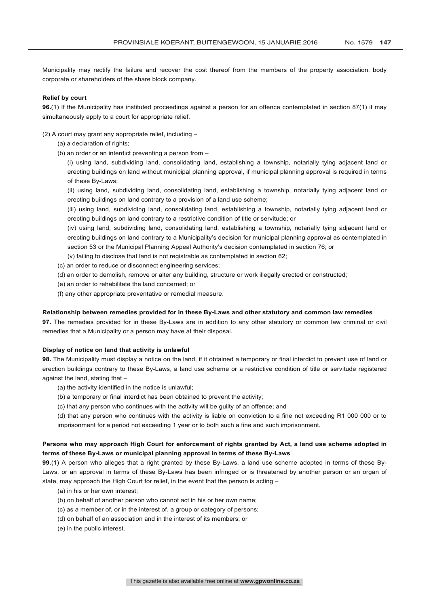Municipality may rectify the failure and recover the cost thereof from the members of the property association, body corporate or shareholders of the share block company.

### **Relief by court**

**96.**(1) If the Municipality has instituted proceedings against a person for an offence contemplated in section 87(1) it may simultaneously apply to a court for appropriate relief.

(2) A court may grant any appropriate relief, including –

- (a) a declaration of rights;
- (b) an order or an interdict preventing a person from –

(i) using land, subdividing land, consolidating land, establishing a township, notarially tying adjacent land or erecting buildings on land without municipal planning approval, if municipal planning approval is required in terms of these By-Laws;

(ii) using land, subdividing land, consolidating land, establishing a township, notarially tying adjacent land or erecting buildings on land contrary to a provision of a land use scheme;

(iii) using land, subdividing land, consolidating land, establishing a township, notarially tying adjacent land or erecting buildings on land contrary to a restrictive condition of title or servitude; or

(iv) using land, subdividing land, consolidating land, establishing a township, notarially tying adjacent land or erecting buildings on land contrary to a Municipality's decision for municipal planning approval as contemplated in section 53 or the Municipal Planning Appeal Authority's decision contemplated in section 76; or

(v) failing to disclose that land is not registrable as contemplated in section 62;

- (c) an order to reduce or disconnect engineering services;
- (d) an order to demolish, remove or alter any building, structure or work illegally erected or constructed;
- (e) an order to rehabilitate the land concerned; or
- (f) any other appropriate preventative or remedial measure.

#### **Relationship between remedies provided for in these By-Laws and other statutory and common law remedies**

**97.** The remedies provided for in these By-Laws are in addition to any other statutory or common law criminal or civil remedies that a Municipality or a person may have at their disposal.

### **Display of notice on land that activity is unlawful**

**98.** The Municipality must display a notice on the land, if it obtained a temporary or final interdict to prevent use of land or erection buildings contrary to these By-Laws, a land use scheme or a restrictive condition of title or servitude registered against the land, stating that –

- (a) the activity identified in the notice is unlawful;
- (b) a temporary or final interdict has been obtained to prevent the activity;
- (c) that any person who continues with the activity will be guilty of an offence; and

(d) that any person who continues with the activity is liable on conviction to a fine not exceeding R1 000 000 or to imprisonment for a period not exceeding 1 year or to both such a fine and such imprisonment.

## **Persons who may approach High Court for enforcement of rights granted by Act, a land use scheme adopted in terms of these By-Laws or municipal planning approval in terms of these By-Laws**

**99.**(1) A person who alleges that a right granted by these By-Laws, a land use scheme adopted in terms of these By-Laws, or an approval in terms of these By-Laws has been infringed or is threatened by another person or an organ of state, may approach the High Court for relief, in the event that the person is acting –

- (a) in his or her own interest;
- (b) on behalf of another person who cannot act in his or her own name;
- (c) as a member of, or in the interest of, a group or category of persons;
- (d) on behalf of an association and in the interest of its members; or
- (e) in the public interest.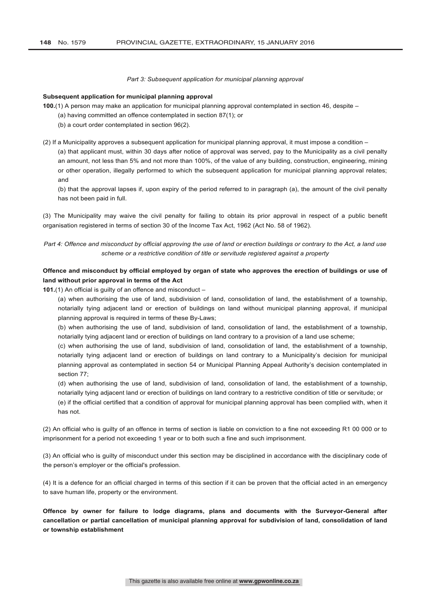#### *Part 3: Subsequent application for municipal planning approval*

#### **Subsequent application for municipal planning approval**

**100.**(1) A person may make an application for municipal planning approval contemplated in section 46, despite –

(a) having committed an offence contemplated in section 87(1); or

(b) a court order contemplated in section 96(2).

(2) If a Municipality approves a subsequent application for municipal planning approval, it must impose a condition –

(a) that applicant must, within 30 days after notice of approval was served, pay to the Municipality as a civil penalty an amount, not less than 5% and not more than 100%, of the value of any building, construction, engineering, mining or other operation, illegally performed to which the subsequent application for municipal planning approval relates; and

(b) that the approval lapses if, upon expiry of the period referred to in paragraph (a), the amount of the civil penalty has not been paid in full.

(3) The Municipality may waive the civil penalty for failing to obtain its prior approval in respect of a public benefit organisation registered in terms of section 30 of the Income Tax Act, 1962 (Act No. 58 of 1962).

*Part 4: Offence and misconduct by official approving the use of land or erection buildings or contrary to the Act, a land use scheme or a restrictive condition of title or servitude registered against a property*

## **Offence and misconduct by official employed by organ of state who approves the erection of buildings or use of land without prior approval in terms of the Act**

**101.**(1) An official is guilty of an offence and misconduct –

(a) when authorising the use of land, subdivision of land, consolidation of land, the establishment of a township, notarially tying adjacent land or erection of buildings on land without municipal planning approval, if municipal planning approval is required in terms of these By-Laws;

(b) when authorising the use of land, subdivision of land, consolidation of land, the establishment of a township, notarially tying adjacent land or erection of buildings on land contrary to a provision of a land use scheme;

(c) when authorising the use of land, subdivision of land, consolidation of land, the establishment of a township, notarially tying adjacent land or erection of buildings on land contrary to a Municipality's decision for municipal planning approval as contemplated in section 54 or Municipal Planning Appeal Authority's decision contemplated in section 77;

(d) when authorising the use of land, subdivision of land, consolidation of land, the establishment of a township, notarially tying adjacent land or erection of buildings on land contrary to a restrictive condition of title or servitude; or (e) if the official certified that a condition of approval for municipal planning approval has been complied with, when it

has not.

(2) An official who is guilty of an offence in terms of section is liable on conviction to a fine not exceeding R1 00 000 or to imprisonment for a period not exceeding 1 year or to both such a fine and such imprisonment.

(3) An official who is guilty of misconduct under this section may be disciplined in accordance with the disciplinary code of the person's employer or the official's profession.

(4) It is a defence for an official charged in terms of this section if it can be proven that the official acted in an emergency to save human life, property or the environment.

**Offence by owner for failure to lodge diagrams, plans and documents with the Surveyor-General after cancellation or partial cancellation of municipal planning approval for subdivision of land, consolidation of land or township establishment**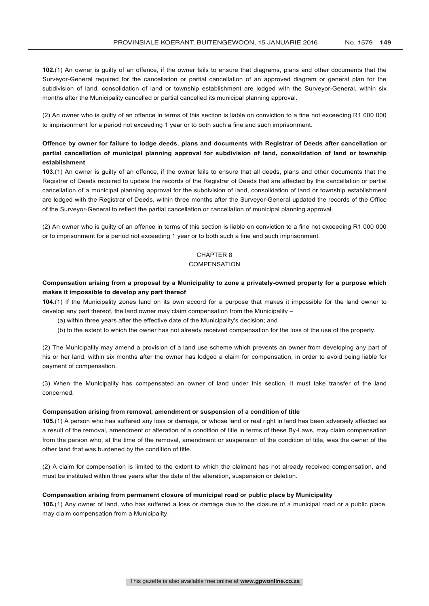**102.**(1) An owner is guilty of an offence, if the owner fails to ensure that diagrams, plans and other documents that the Surveyor-General required for the cancellation or partial cancellation of an approved diagram or general plan for the subdivision of land, consolidation of land or township establishment are lodged with the Surveyor-General, within six months after the Municipality cancelled or partial cancelled its municipal planning approval.

(2) An owner who is guilty of an offence in terms of this section is liable on conviction to a fine not exceeding R1 000 000 to imprisonment for a period not exceeding 1 year or to both such a fine and such imprisonment.

## **Offence by owner for failure to lodge deeds, plans and documents with Registrar of Deeds after cancellation or partial cancellation of municipal planning approval for subdivision of land, consolidation of land or township establishment**

**103.**(1) An owner is guilty of an offence, if the owner fails to ensure that all deeds, plans and other documents that the Registrar of Deeds required to update the records of the Registrar of Deeds that are affected by the cancellation or partial cancellation of a municipal planning approval for the subdivision of land, consolidation of land or township establishment are lodged with the Registrar of Deeds, within three months after the Surveyor-General updated the records of the Office of the Surveyor-General to reflect the partial cancellation or cancellation of municipal planning approval.

(2) An owner who is guilty of an offence in terms of this section is liable on conviction to a fine not exceeding R1 000 000 or to imprisonment for a period not exceeding 1 year or to both such a fine and such imprisonment.

## CHAPTER 8

## **COMPENSATION**

## **Compensation arising from a proposal by a Municipality to zone a privately-owned property for a purpose which makes it impossible to develop any part thereof**

**104.**(1) If the Municipality zones land on its own accord for a purpose that makes it impossible for the land owner to develop any part thereof, the land owner may claim compensation from the Municipality –

- (a) within three years after the effective date of the Municipality's decision; and
- (b) to the extent to which the owner has not already received compensation for the loss of the use of the property.

(2) The Municipality may amend a provision of a land use scheme which prevents an owner from developing any part of his or her land, within six months after the owner has lodged a claim for compensation, in order to avoid being liable for payment of compensation.

(3) When the Municipality has compensated an owner of land under this section, it must take transfer of the land concerned.

#### **Compensation arising from removal, amendment or suspension of a condition of title**

**105.**(1) A person who has suffered any loss or damage, or whose land or real right in land has been adversely affected as a result of the removal, amendment or alteration of a condition of title in terms of these By-Laws, may claim compensation from the person who, at the time of the removal, amendment or suspension of the condition of title, was the owner of the other land that was burdened by the condition of title.

(2) A claim for compensation is limited to the extent to which the claimant has not already received compensation, and must be instituted within three years after the date of the alteration, suspension or deletion.

## **Compensation arising from permanent closure of municipal road or public place by Municipality**

**106.**(1) Any owner of land, who has suffered a loss or damage due to the closure of a municipal road or a public place, may claim compensation from a Municipality.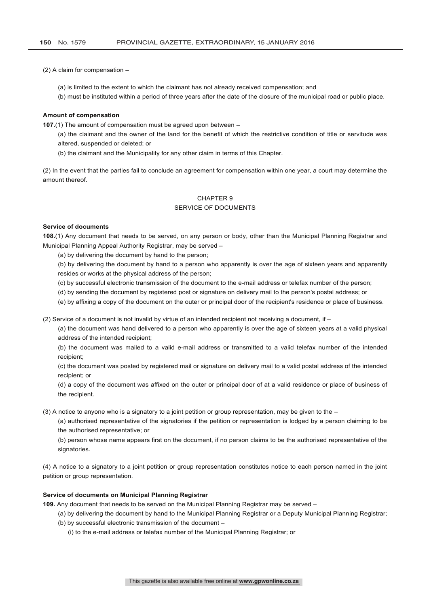(2) A claim for compensation –

- (a) is limited to the extent to which the claimant has not already received compensation; and
- (b) must be instituted within a period of three years after the date of the closure of the municipal road or public place.

### **Amount of compensation**

**107.**(1) The amount of compensation must be agreed upon between –

- (a) the claimant and the owner of the land for the benefit of which the restrictive condition of title or servitude was altered, suspended or deleted; or
- (b) the claimant and the Municipality for any other claim in terms of this Chapter.

(2) In the event that the parties fail to conclude an agreement for compensation within one year, a court may determine the amount thereof.

## CHAPTER 9 SERVICE OF DOCUMENTS

### **Service of documents**

**108.**(1) Any document that needs to be served, on any person or body, other than the Municipal Planning Registrar and Municipal Planning Appeal Authority Registrar, may be served –

(a) by delivering the document by hand to the person;

(b) by delivering the document by hand to a person who apparently is over the age of sixteen years and apparently resides or works at the physical address of the person;

(c) by successful electronic transmission of the document to the e-mail address or telefax number of the person;

(d) by sending the document by registered post or signature on delivery mail to the person's postal address; or

(e) by affixing a copy of the document on the outer or principal door of the recipient's residence or place of business.

(2) Service of a document is not invalid by virtue of an intended recipient not receiving a document, if –

(a) the document was hand delivered to a person who apparently is over the age of sixteen years at a valid physical address of the intended recipient;

(b) the document was mailed to a valid e-mail address or transmitted to a valid telefax number of the intended recipient;

(c) the document was posted by registered mail or signature on delivery mail to a valid postal address of the intended recipient; or

(d) a copy of the document was affixed on the outer or principal door of at a valid residence or place of business of the recipient.

(3) A notice to anyone who is a signatory to a joint petition or group representation, may be given to the –

(a) authorised representative of the signatories if the petition or representation is lodged by a person claiming to be the authorised representative; or

(b) person whose name appears first on the document, if no person claims to be the authorised representative of the signatories.

(4) A notice to a signatory to a joint petition or group representation constitutes notice to each person named in the joint petition or group representation.

## **Service of documents on Municipal Planning Registrar**

**109.** Any document that needs to be served on the Municipal Planning Registrar may be served –

- (a) by delivering the document by hand to the Municipal Planning Registrar or a Deputy Municipal Planning Registrar;
- (b) by successful electronic transmission of the document
	- (i) to the e-mail address or telefax number of the Municipal Planning Registrar; or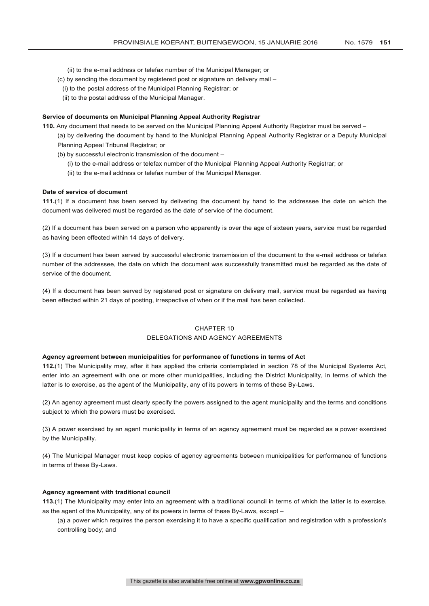- (ii) to the e-mail address or telefax number of the Municipal Manager; or
- (c) by sending the document by registered post or signature on delivery mail –
- (i) to the postal address of the Municipal Planning Registrar; or
- (ii) to the postal address of the Municipal Manager.

#### **Service of documents on Municipal Planning Appeal Authority Registrar**

**110.** Any document that needs to be served on the Municipal Planning Appeal Authority Registrar must be served –

(a) by delivering the document by hand to the Municipal Planning Appeal Authority Registrar or a Deputy Municipal Planning Appeal Tribunal Registrar; or

- (b) by successful electronic transmission of the document
	- (i) to the e-mail address or telefax number of the Municipal Planning Appeal Authority Registrar; or
	- (ii) to the e-mail address or telefax number of the Municipal Manager.

#### **Date of service of document**

**111.**(1) If a document has been served by delivering the document by hand to the addressee the date on which the document was delivered must be regarded as the date of service of the document.

(2) If a document has been served on a person who apparently is over the age of sixteen years, service must be regarded as having been effected within 14 days of delivery.

(3) If a document has been served by successful electronic transmission of the document to the e-mail address or telefax number of the addressee, the date on which the document was successfully transmitted must be regarded as the date of service of the document.

(4) If a document has been served by registered post or signature on delivery mail, service must be regarded as having been effected within 21 days of posting, irrespective of when or if the mail has been collected.

## CHAPTER 10 DELEGATIONS AND AGENCY AGREEMENTS

#### **Agency agreement between municipalities for performance of functions in terms of Act**

**112.**(1) The Municipality may, after it has applied the criteria contemplated in section 78 of the Municipal Systems Act, enter into an agreement with one or more other municipalities, including the District Municipality, in terms of which the latter is to exercise, as the agent of the Municipality, any of its powers in terms of these By-Laws.

(2) An agency agreement must clearly specify the powers assigned to the agent municipality and the terms and conditions subject to which the powers must be exercised.

(3) A power exercised by an agent municipality in terms of an agency agreement must be regarded as a power exercised by the Municipality.

(4) The Municipal Manager must keep copies of agency agreements between municipalities for performance of functions in terms of these By-Laws.

## **Agency agreement with traditional council**

**113.**(1) The Municipality may enter into an agreement with a traditional council in terms of which the latter is to exercise, as the agent of the Municipality, any of its powers in terms of these By-Laws, except –

(a) a power which requires the person exercising it to have a specific qualification and registration with a profession's controlling body; and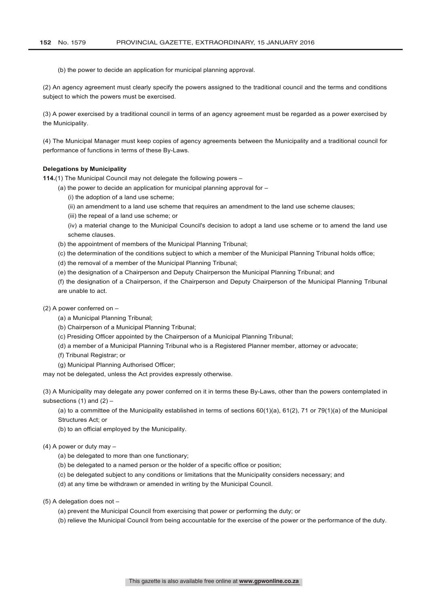(b) the power to decide an application for municipal planning approval.

(2) An agency agreement must clearly specify the powers assigned to the traditional council and the terms and conditions subject to which the powers must be exercised.

(3) A power exercised by a traditional council in terms of an agency agreement must be regarded as a power exercised by the Municipality.

(4) The Municipal Manager must keep copies of agency agreements between the Municipality and a traditional council for performance of functions in terms of these By-Laws.

### **Delegations by Municipality**

**114.**(1) The Municipal Council may not delegate the following powers –

- (a) the power to decide an application for municipal planning approval for
	- (i) the adoption of a land use scheme;
	- (ii) an amendment to a land use scheme that requires an amendment to the land use scheme clauses;
	- (iii) the repeal of a land use scheme; or
	- (iv) a material change to the Municipal Council's decision to adopt a land use scheme or to amend the land use scheme clauses.
- (b) the appointment of members of the Municipal Planning Tribunal;
- (c) the determination of the conditions subject to which a member of the Municipal Planning Tribunal holds office;
- (d) the removal of a member of the Municipal Planning Tribunal;
- (e) the designation of a Chairperson and Deputy Chairperson the Municipal Planning Tribunal; and

(f) the designation of a Chairperson, if the Chairperson and Deputy Chairperson of the Municipal Planning Tribunal are unable to act.

- (2) A power conferred on
	- (a) a Municipal Planning Tribunal;
	- (b) Chairperson of a Municipal Planning Tribunal;
	- (c) Presiding Officer appointed by the Chairperson of a Municipal Planning Tribunal;
	- (d) a member of a Municipal Planning Tribunal who is a Registered Planner member, attorney or advocate;
	- (f) Tribunal Registrar; or
	- (g) Municipal Planning Authorised Officer;

may not be delegated, unless the Act provides expressly otherwise.

(3) A Municipality may delegate any power conferred on it in terms these By-Laws, other than the powers contemplated in subsections (1) and  $(2)$  –

(a) to a committee of the Municipality established in terms of sections  $60(1)(a)$ ,  $61(2)$ , 71 or 79(1)(a) of the Municipal Structures Act; or

(b) to an official employed by the Municipality.

#### (4) A power or duty may –

- (a) be delegated to more than one functionary;
- (b) be delegated to a named person or the holder of a specific office or position;
- (c) be delegated subject to any conditions or limitations that the Municipality considers necessary; and
- (d) at any time be withdrawn or amended in writing by the Municipal Council.
- (5) A delegation does not
	- (a) prevent the Municipal Council from exercising that power or performing the duty; or
	- (b) relieve the Municipal Council from being accountable for the exercise of the power or the performance of the duty.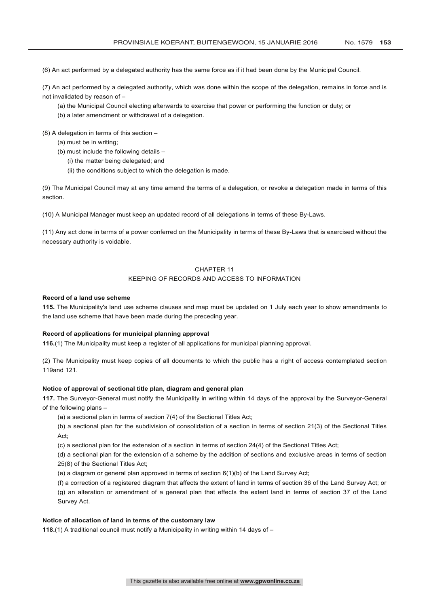(6) An act performed by a delegated authority has the same force as if it had been done by the Municipal Council.

(7) An act performed by a delegated authority, which was done within the scope of the delegation, remains in force and is not invalidated by reason of –

- (a) the Municipal Council electing afterwards to exercise that power or performing the function or duty; or
- (b) a later amendment or withdrawal of a delegation.

(8) A delegation in terms of this section –

- (a) must be in writing;
- (b) must include the following details
	- (i) the matter being delegated; and
	- (ii) the conditions subject to which the delegation is made.

(9) The Municipal Council may at any time amend the terms of a delegation, or revoke a delegation made in terms of this section.

(10) A Municipal Manager must keep an updated record of all delegations in terms of these By-Laws.

(11) Any act done in terms of a power conferred on the Municipality in terms of these By-Laws that is exercised without the necessary authority is voidable.

## CHAPTER 11

### KEEPING OF RECORDS AND ACCESS TO INFORMATION

## **Record of a land use scheme**

**115.** The Municipality's land use scheme clauses and map must be updated on 1 July each year to show amendments to the land use scheme that have been made during the preceding year.

### **Record of applications for municipal planning approval**

**116.**(1) The Municipality must keep a register of all applications for municipal planning approval.

(2) The Municipality must keep copies of all documents to which the public has a right of access contemplated section 119and 121.

## **Notice of approval of sectional title plan, diagram and general plan**

**117.** The Surveyor-General must notify the Municipality in writing within 14 days of the approval by the Surveyor-General of the following plans -

(a) a sectional plan in terms of section 7(4) of the Sectional Titles Act;

(b) a sectional plan for the subdivision of consolidation of a section in terms of section 21(3) of the Sectional Titles Act;

(c) a sectional plan for the extension of a section in terms of section 24(4) of the Sectional Titles Act;

(d) a sectional plan for the extension of a scheme by the addition of sections and exclusive areas in terms of section 25(8) of the Sectional Titles Act;

(e) a diagram or general plan approved in terms of section 6(1)(b) of the Land Survey Act;

(f) a correction of a registered diagram that affects the extent of land in terms of section 36 of the Land Survey Act; or (g) an alteration or amendment of a general plan that effects the extent land in terms of section 37 of the Land Survey Act.

### **Notice of allocation of land in terms of the customary law**

**118.**(1) A traditional council must notify a Municipality in writing within 14 days of –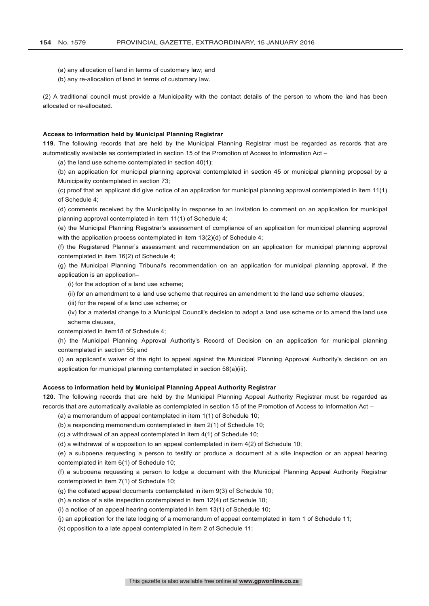- (a) any allocation of land in terms of customary law; and
- (b) any re-allocation of land in terms of customary law.

(2) A traditional council must provide a Municipality with the contact details of the person to whom the land has been allocated or re-allocated.

#### **Access to information held by Municipal Planning Registrar**

**119.** The following records that are held by the Municipal Planning Registrar must be regarded as records that are automatically available as contemplated in section 15 of the Promotion of Access to Information Act –

(a) the land use scheme contemplated in section 40(1);

(b) an application for municipal planning approval contemplated in section 45 or municipal planning proposal by a Municipality contemplated in section 73;

(c) proof that an applicant did give notice of an application for municipal planning approval contemplated in item 11(1) of Schedule 4;

(d) comments received by the Municipality in response to an invitation to comment on an application for municipal planning approval contemplated in item 11(1) of Schedule 4;

(e) the Municipal Planning Registrar's assessment of compliance of an application for municipal planning approval with the application process contemplated in item 13(2)(d) of Schedule 4;

(f) the Registered Planner's assessment and recommendation on an application for municipal planning approval contemplated in item 16(2) of Schedule 4;

(g) the Municipal Planning Tribunal's recommendation on an application for municipal planning approval, if the application is an application–

(i) for the adoption of a land use scheme;

(ii) for an amendment to a land use scheme that requires an amendment to the land use scheme clauses;

(iii) for the repeal of a land use scheme; or

(iv) for a material change to a Municipal Council's decision to adopt a land use scheme or to amend the land use scheme clauses,

contemplated in item18 of Schedule 4;

(h) the Municipal Planning Approval Authority's Record of Decision on an application for municipal planning contemplated in section 55; and

(i) an applicant's waiver of the right to appeal against the Municipal Planning Approval Authority's decision on an application for municipal planning contemplated in section 58(a)(iii).

#### **Access to information held by Municipal Planning Appeal Authority Registrar**

**120.** The following records that are held by the Municipal Planning Appeal Authority Registrar must be regarded as records that are automatically available as contemplated in section 15 of the Promotion of Access to Information Act –

(a) a memorandum of appeal contemplated in item 1(1) of Schedule 10;

(b) a responding memorandum contemplated in item 2(1) of Schedule 10;

(c) a withdrawal of an appeal contemplated in item 4(1) of Schedule 10;

(d) a withdrawal of a opposition to an appeal contemplated in item 4(2) of Schedule 10;

(e) a subpoena requesting a person to testify or produce a document at a site inspection or an appeal hearing contemplated in item 6(1) of Schedule 10;

(f) a subpoena requesting a person to lodge a document with the Municipal Planning Appeal Authority Registrar contemplated in item 7(1) of Schedule 10;

(g) the collated appeal documents contemplated in item 9(3) of Schedule 10;

(h) a notice of a site inspection contemplated in item 12(4) of Schedule 10;

(i) a notice of an appeal hearing contemplated in item 13(1) of Schedule 10;

(j) an application for the late lodging of a memorandum of appeal contemplated in item 1 of Schedule 11;

(k) opposition to a late appeal contemplated in item 2 of Schedule 11;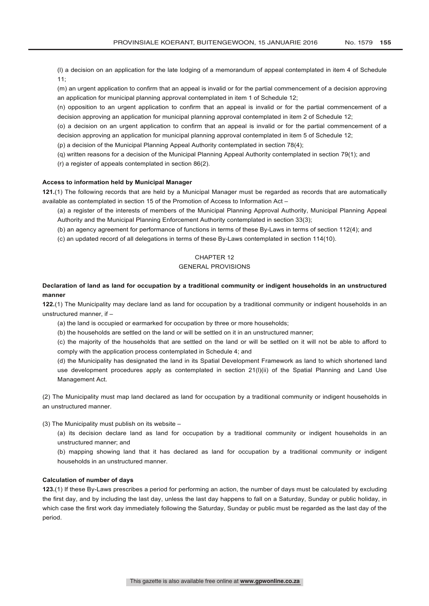(l) a decision on an application for the late lodging of a memorandum of appeal contemplated in item 4 of Schedule  $11:$ 

(m) an urgent application to confirm that an appeal is invalid or for the partial commencement of a decision approving an application for municipal planning approval contemplated in item 1 of Schedule 12;

(n) opposition to an urgent application to confirm that an appeal is invalid or for the partial commencement of a decision approving an application for municipal planning approval contemplated in item 2 of Schedule 12;

(o) a decision on an urgent application to confirm that an appeal is invalid or for the partial commencement of a decision approving an application for municipal planning approval contemplated in item 5 of Schedule 12;

(p) a decision of the Municipal Planning Appeal Authority contemplated in section 78(4);

(q) written reasons for a decision of the Municipal Planning Appeal Authority contemplated in section 79(1); and

(r) a register of appeals contemplated in section 86(2).

### **Access to information held by Municipal Manager**

**121.**(1) The following records that are held by a Municipal Manager must be regarded as records that are automatically available as contemplated in section 15 of the Promotion of Access to Information Act –

(a) a register of the interests of members of the Municipal Planning Approval Authority, Municipal Planning Appeal Authority and the Municipal Planning Enforcement Authority contemplated in section 33(3);

(b) an agency agreement for performance of functions in terms of these By-Laws in terms of section 112(4); and

(c) an updated record of all delegations in terms of these By-Laws contemplated in section 114(10).

## CHAPTER 12

## GENERAL PROVISIONS

## **Declaration of land as land for occupation by a traditional community or indigent households in an unstructured manner**

**122.**(1) The Municipality may declare land as land for occupation by a traditional community or indigent households in an unstructured manner, if –

(a) the land is occupied or earmarked for occupation by three or more households;

(b) the households are settled on the land or will be settled on it in an unstructured manner;

(c) the majority of the households that are settled on the land or will be settled on it will not be able to afford to comply with the application process contemplated in Schedule 4; and

(d) the Municipality has designated the land in its Spatial Development Framework as land to which shortened land use development procedures apply as contemplated in section 21(l)(ii) of the Spatial Planning and Land Use Management Act.

(2) The Municipality must map land declared as land for occupation by a traditional community or indigent households in an unstructured manner.

(3) The Municipality must publish on its website –

(a) its decision declare land as land for occupation by a traditional community or indigent households in an unstructured manner; and

(b) mapping showing land that it has declared as land for occupation by a traditional community or indigent households in an unstructured manner.

## **Calculation of number of days**

**123.**(1) If these By-Laws prescribes a period for performing an action, the number of days must be calculated by excluding the first day, and by including the last day, unless the last day happens to fall on a Saturday, Sunday or public holiday, in which case the first work day immediately following the Saturday, Sunday or public must be regarded as the last day of the period.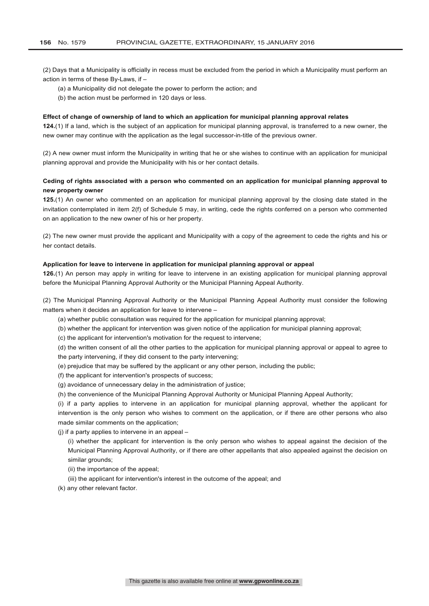(2) Days that a Municipality is officially in recess must be excluded from the period in which a Municipality must perform an action in terms of these By-Laws, if –

- (a) a Municipality did not delegate the power to perform the action; and
- (b) the action must be performed in 120 days or less.

#### **Effect of change of ownership of land to which an application for municipal planning approval relates**

**124.**(1) If a land, which is the subject of an application for municipal planning approval, is transferred to a new owner, the new owner may continue with the application as the legal successor-in-title of the previous owner.

(2) A new owner must inform the Municipality in writing that he or she wishes to continue with an application for municipal planning approval and provide the Municipality with his or her contact details.

## **Ceding of rights associated with a person who commented on an application for municipal planning approval to new property owner**

**125.**(1) An owner who commented on an application for municipal planning approval by the closing date stated in the invitation contemplated in item 2(f) of Schedule 5 may, in writing, cede the rights conferred on a person who commented on an application to the new owner of his or her property.

(2) The new owner must provide the applicant and Municipality with a copy of the agreement to cede the rights and his or her contact details.

## **Application for leave to intervene in application for municipal planning approval or appeal**

**126.**(1) An person may apply in writing for leave to intervene in an existing application for municipal planning approval before the Municipal Planning Approval Authority or the Municipal Planning Appeal Authority.

(2) The Municipal Planning Approval Authority or the Municipal Planning Appeal Authority must consider the following matters when it decides an application for leave to intervene –

(a) whether public consultation was required for the application for municipal planning approval;

(b) whether the applicant for intervention was given notice of the application for municipal planning approval;

(c) the applicant for intervention's motivation for the request to intervene;

(d) the written consent of all the other parties to the application for municipal planning approval or appeal to agree to the party intervening, if they did consent to the party intervening;

(e) prejudice that may be suffered by the applicant or any other person, including the public;

(f) the applicant for intervention's prospects of success;

(g) avoidance of unnecessary delay in the administration of justice;

(h) the convenience of the Municipal Planning Approval Authority or Municipal Planning Appeal Authority;

(i) if a party applies to intervene in an application for municipal planning approval, whether the applicant for intervention is the only person who wishes to comment on the application, or if there are other persons who also made similar comments on the application;

(j) if a party applies to intervene in an appeal –

(i) whether the applicant for intervention is the only person who wishes to appeal against the decision of the Municipal Planning Approval Authority, or if there are other appellants that also appealed against the decision on similar grounds;

(ii) the importance of the appeal;

(iii) the applicant for intervention's interest in the outcome of the appeal; and

(k) any other relevant factor.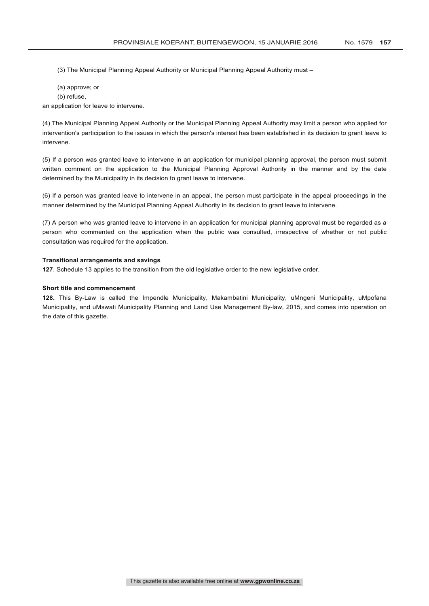(3) The Municipal Planning Appeal Authority or Municipal Planning Appeal Authority must –

- (a) approve; or
- (b) refuse,

an application for leave to intervene.

(4) The Municipal Planning Appeal Authority or the Municipal Planning Appeal Authority may limit a person who applied for intervention's participation to the issues in which the person's interest has been established in its decision to grant leave to intervene.

(5) If a person was granted leave to intervene in an application for municipal planning approval, the person must submit written comment on the application to the Municipal Planning Approval Authority in the manner and by the date determined by the Municipality in its decision to grant leave to intervene.

(6) If a person was granted leave to intervene in an appeal, the person must participate in the appeal proceedings in the manner determined by the Municipal Planning Appeal Authority in its decision to grant leave to intervene.

(7) A person who was granted leave to intervene in an application for municipal planning approval must be regarded as a person who commented on the application when the public was consulted, irrespective of whether or not public consultation was required for the application.

### **Transitional arrangements and savings**

**127**. Schedule 13 applies to the transition from the old legislative order to the new legislative order.

#### **Short title and commencement**

**128.** This By-Law is called the Impendle Municipality, Makambatini Municipality, uMngeni Municipality, uMpofana Municipality, and uMswati Municipality Planning and Land Use Management By-law, 2015, and comes into operation on the date of this gazette.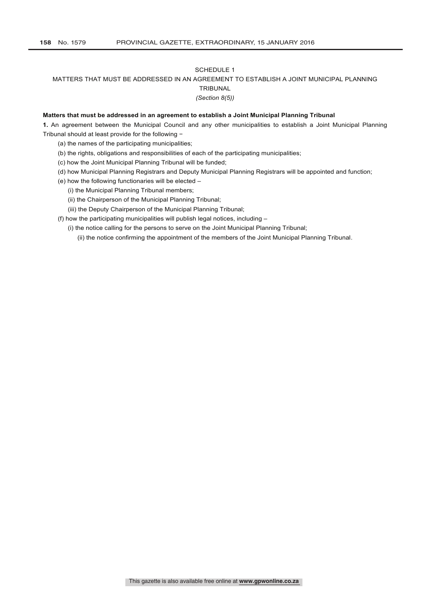### SCHEDULE 1

## MATTERS THAT MUST BE ADDRESSED IN AN AGREEMENT TO ESTABLISH A JOINT MUNICIPAL PLANNING

## **TRIBUNAL**

## *(Section 8(5))*

### **Matters that must be addressed in an agreement to establish a Joint Municipal Planning Tribunal**

**1.** An agreement between the Municipal Council and any other municipalities to establish a Joint Municipal Planning Tribunal should at least provide for the following −

- (a) the names of the participating municipalities;
- (b) the rights, obligations and responsibilities of each of the participating municipalities;
- (c) how the Joint Municipal Planning Tribunal will be funded;
- (d) how Municipal Planning Registrars and Deputy Municipal Planning Registrars will be appointed and function;
- (e) how the following functionaries will be elected
	- (i) the Municipal Planning Tribunal members;
	- (ii) the Chairperson of the Municipal Planning Tribunal;
	- (iii) the Deputy Chairperson of the Municipal Planning Tribunal;

(f) how the participating municipalities will publish legal notices, including –

(i) the notice calling for the persons to serve on the Joint Municipal Planning Tribunal;

(ii) the notice confirming the appointment of the members of the Joint Municipal Planning Tribunal.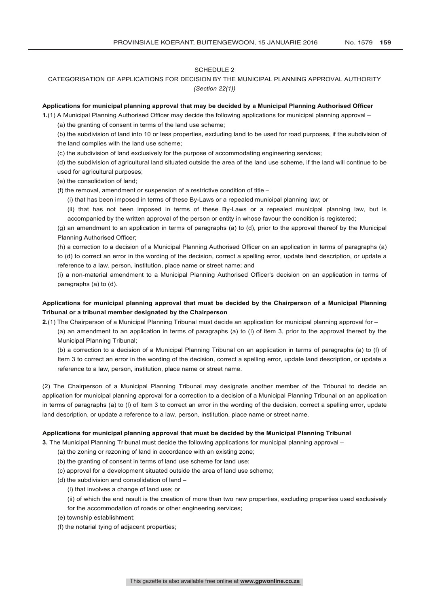### SCHEDULE 2

## CATEGORISATION OF APPLICATIONS FOR DECISION BY THE MUNICIPAL PLANNING APPROVAL AUTHORITY *(Section 22(1))*

## **Applications for municipal planning approval that may be decided by a Municipal Planning Authorised Officer**

**1.**(1) A Municipal Planning Authorised Officer may decide the following applications for municipal planning approval –

(a) the granting of consent in terms of the land use scheme;

(b) the subdivision of land into 10 or less properties, excluding land to be used for road purposes, if the subdivision of the land complies with the land use scheme;

(c) the subdivision of land exclusively for the purpose of accommodating engineering services;

(d) the subdivision of agricultural land situated outside the area of the land use scheme, if the land will continue to be used for agricultural purposes;

(e) the consolidation of land;

(f) the removal, amendment or suspension of a restrictive condition of title –

(i) that has been imposed in terms of these By-Laws or a repealed municipal planning law; or

(ii) that has not been imposed in terms of these By-Laws or a repealed municipal planning law, but is accompanied by the written approval of the person or entity in whose favour the condition is registered;

(g) an amendment to an application in terms of paragraphs (a) to (d), prior to the approval thereof by the Municipal Planning Authorised Officer;

(h) a correction to a decision of a Municipal Planning Authorised Officer on an application in terms of paragraphs (a) to (d) to correct an error in the wording of the decision, correct a spelling error, update land description, or update a reference to a law, person, institution, place name or street name; and

(i) a non-material amendment to a Municipal Planning Authorised Officer's decision on an application in terms of paragraphs (a) to (d).

## **Applications for municipal planning approval that must be decided by the Chairperson of a Municipal Planning Tribunal or a tribunal member designated by the Chairperson**

**2.**(1) The Chairperson of a Municipal Planning Tribunal must decide an application for municipal planning approval for –

(a) an amendment to an application in terms of paragraphs (a) to (l) of item 3, prior to the approval thereof by the Municipal Planning Tribunal;

(b) a correction to a decision of a Municipal Planning Tribunal on an application in terms of paragraphs (a) to (l) of Item 3 to correct an error in the wording of the decision, correct a spelling error, update land description, or update a reference to a law, person, institution, place name or street name.

(2) The Chairperson of a Municipal Planning Tribunal may designate another member of the Tribunal to decide an application for municipal planning approval for a correction to a decision of a Municipal Planning Tribunal on an application in terms of paragraphs (a) to (l) of Item 3 to correct an error in the wording of the decision, correct a spelling error, update land description, or update a reference to a law, person, institution, place name or street name.

### **Applications for municipal planning approval that must be decided by the Municipal Planning Tribunal**

**3.** The Municipal Planning Tribunal must decide the following applications for municipal planning approval –

- (a) the zoning or rezoning of land in accordance with an existing zone;
- (b) the granting of consent in terms of land use scheme for land use;
- (c) approval for a development situated outside the area of land use scheme;
- (d) the subdivision and consolidation of land
	- (i) that involves a change of land use; or

(ii) of which the end result is the creation of more than two new properties, excluding properties used exclusively

- for the accommodation of roads or other engineering services;
- (e) township establishment;
- (f) the notarial tying of adjacent properties;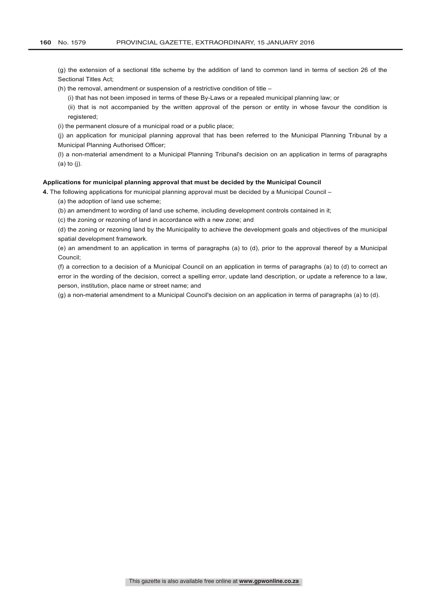(g) the extension of a sectional title scheme by the addition of land to common land in terms of section 26 of the Sectional Titles Act;

(h) the removal, amendment or suspension of a restrictive condition of title –

(i) that has not been imposed in terms of these By-Laws or a repealed municipal planning law; or

(ii) that is not accompanied by the written approval of the person or entity in whose favour the condition is registered;

(i) the permanent closure of a municipal road or a public place;

(j) an application for municipal planning approval that has been referred to the Municipal Planning Tribunal by a Municipal Planning Authorised Officer;

(l) a non-material amendment to a Municipal Planning Tribunal's decision on an application in terms of paragraphs (a) to (j).

### **Applications for municipal planning approval that must be decided by the Municipal Council**

**4.** The following applications for municipal planning approval must be decided by a Municipal Council –

(a) the adoption of land use scheme;

(b) an amendment to wording of land use scheme, including development controls contained in it;

(c) the zoning or rezoning of land in accordance with a new zone; and

(d) the zoning or rezoning land by the Municipality to achieve the development goals and objectives of the municipal spatial development framework.

(e) an amendment to an application in terms of paragraphs (a) to (d), prior to the approval thereof by a Municipal Council;

(f) a correction to a decision of a Municipal Council on an application in terms of paragraphs (a) to (d) to correct an error in the wording of the decision, correct a spelling error, update land description, or update a reference to a law, person, institution, place name or street name; and

(g) a non-material amendment to a Municipal Council's decision on an application in terms of paragraphs (a) to (d).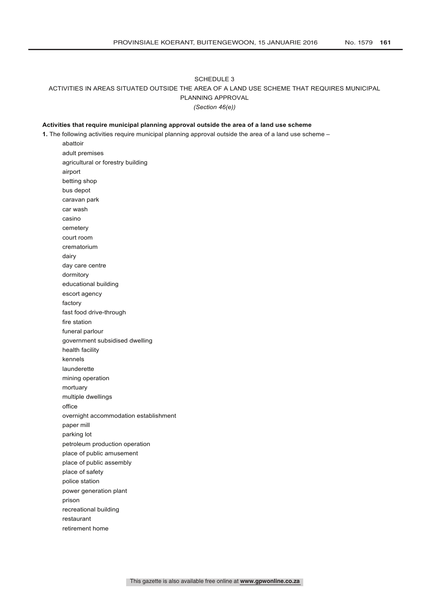## SCHEDULE 3 ACTIVITIES IN AREAS SITUATED OUTSIDE THE AREA OF A LAND USE SCHEME THAT REQUIRES MUNICIPAL PLANNING APPROVAL *(Section 46(e))*

### **Activities that require municipal planning approval outside the area of a land use scheme**

**1.** The following activities require municipal planning approval outside the area of a land use scheme –

abattoir adult premises agricultural or forestry building airport betting shop bus depot caravan park car wash casino cemetery court room crematorium dairy day care centre dormitory educational building escort agency factory fast food drive-through fire station funeral parlour government subsidised dwelling health facility kennels launderette mining operation mortuary multiple dwellings office overnight accommodation establishment paper mill parking lot petroleum production operation place of public amusement place of public assembly place of safety police station power generation plant prison recreational building restaurant retirement home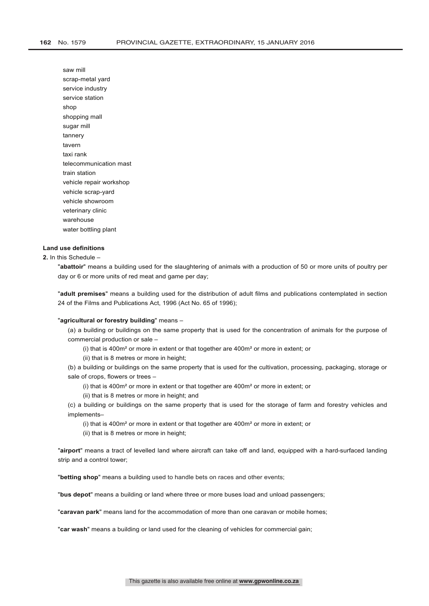saw mill scrap-metal yard service industry service station shop shopping mall sugar mill tannery tavern taxi rank telecommunication mast train station vehicle repair workshop vehicle scrap-yard vehicle showroom veterinary clinic warehouse water bottling plant

### **Land use definitions**

## **2.** In this Schedule –

"**abattoir**" means a building used for the slaughtering of animals with a production of 50 or more units of poultry per day or 6 or more units of red meat and game per day;

"**adult premises**" means a building used for the distribution of adult films and publications contemplated in section 24 of the Films and Publications Act, 1996 (Act No. 65 of 1996);

#### "**agricultural or forestry building**" means –

(a) a building or buildings on the same property that is used for the concentration of animals for the purpose of commercial production or sale –

(i) that is 400m² or more in extent or that together are 400m² or more in extent; or

(ii) that is 8 metres or more in height;

(b) a building or buildings on the same property that is used for the cultivation, processing, packaging, storage or sale of crops, flowers or trees –

(i) that is 400m² or more in extent or that together are 400m² or more in extent; or

(ii) that is 8 metres or more in height; and

(c) a building or buildings on the same property that is used for the storage of farm and forestry vehicles and implements–

(i) that is 400m² or more in extent or that together are 400m² or more in extent; or

(ii) that is 8 metres or more in height;

"**airport**" means a tract of levelled land where aircraft can take off and land, equipped with a hard-surfaced landing strip and a control tower;

"**betting shop**" means a building used to handle bets on races and other events;

"**bus depot**" means a building or land where three or more buses load and unload passengers;

"**caravan park**" means land for the accommodation of more than one caravan or mobile homes;

"**car wash**" means a building or land used for the cleaning of vehicles for commercial gain;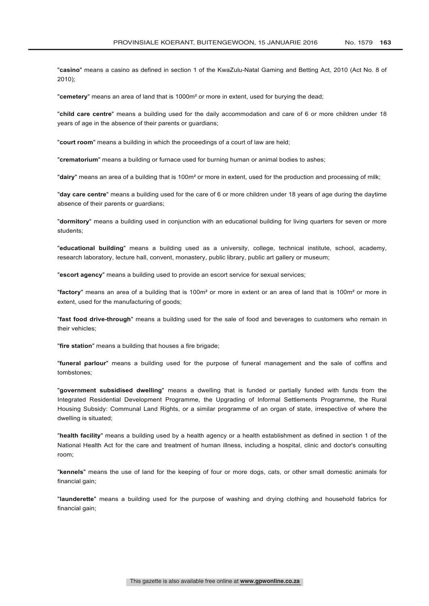"**casino**" means a casino as defined in section 1 of the KwaZulu-Natal Gaming and Betting Act, 2010 (Act No. 8 of 2010);

"**cemetery**" means an area of land that is 1000m² or more in extent, used for burying the dead;

"**child care centre**" means a building used for the daily accommodation and care of 6 or more children under 18 years of age in the absence of their parents or guardians;

"**court room**" means a building in which the proceedings of a court of law are held;

"**crematorium**" means a building or furnace used for burning human or animal bodies to ashes;

"**dairy**" means an area of a building that is 100m² or more in extent, used for the production and processing of milk;

"**day care centre**" means a building used for the care of 6 or more children under 18 years of age during the daytime absence of their parents or guardians;

"**dormitory**" means a building used in conjunction with an educational building for living quarters for seven or more students;

"**educational building**" means a building used as a university, college, technical institute, school, academy, research laboratory, lecture hall, convent, monastery, public library, public art gallery or museum;

"**escort agency**" means a building used to provide an escort service for sexual services;

"**factory**" means an area of a building that is 100m² or more in extent or an area of land that is 100m² or more in extent, used for the manufacturing of goods;

"**fast food drive-through**" means a building used for the sale of food and beverages to customers who remain in their vehicles;

"**fire station**" means a building that houses a fire brigade;

"**funeral parlour**" means a building used for the purpose of funeral management and the sale of coffins and tombstones;

"**government subsidised dwelling**" means a dwelling that is funded or partially funded with funds from the Integrated Residential Development Programme, the Upgrading of Informal Settlements Programme, the Rural Housing Subsidy: Communal Land Rights, or a similar programme of an organ of state, irrespective of where the dwelling is situated;

"**health facility**" means a building used by a health agency or a health establishment as defined in section 1 of the National Health Act for the care and treatment of human illness, including a hospital, clinic and doctor's consulting room;

"**kennels**" means the use of land for the keeping of four or more dogs, cats, or other small domestic animals for financial gain;

"**launderette**" means a building used for the purpose of washing and drying clothing and household fabrics for financial gain;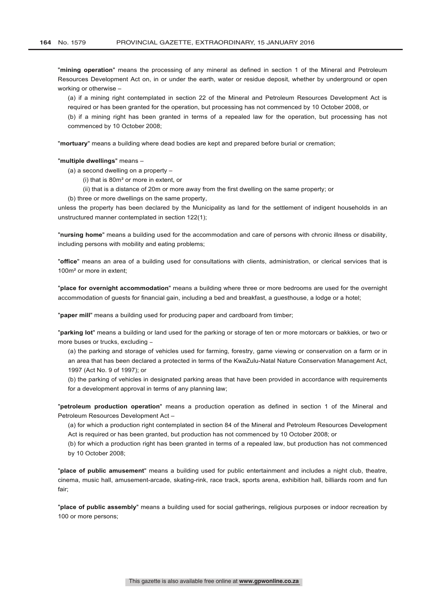"**mining operation**" means the processing of any mineral as defined in section 1 of the Mineral and Petroleum Resources Development Act on, in or under the earth, water or residue deposit, whether by underground or open working or otherwise –

(a) if a mining right contemplated in section 22 of the Mineral and Petroleum Resources Development Act is required or has been granted for the operation, but processing has not commenced by 10 October 2008, or (b) if a mining right has been granted in terms of a repealed law for the operation, but processing has not

"**mortuary**" means a building where dead bodies are kept and prepared before burial or cremation;

#### "**multiple dwellings**" means –

(a) a second dwelling on a property –

commenced by 10 October 2008;

- (i) that is 80m² or more in extent, or
- (ii) that is a distance of 20m or more away from the first dwelling on the same property; or
- (b) three or more dwellings on the same property,

unless the property has been declared by the Municipality as land for the settlement of indigent households in an unstructured manner contemplated in section 122(1);

"**nursing home**" means a building used for the accommodation and care of persons with chronic illness or disability, including persons with mobility and eating problems;

"**office**" means an area of a building used for consultations with clients, administration, or clerical services that is 100m² or more in extent;

"**place for overnight accommodation**" means a building where three or more bedrooms are used for the overnight accommodation of guests for financial gain, including a bed and breakfast, a guesthouse, a lodge or a hotel;

"**paper mill**" means a building used for producing paper and cardboard from timber;

"**parking lot**" means a building or land used for the parking or storage of ten or more motorcars or bakkies, or two or more buses or trucks, excluding -

(a) the parking and storage of vehicles used for farming, forestry, game viewing or conservation on a farm or in an area that has been declared a protected in terms of the KwaZulu-Natal Nature Conservation Management Act, 1997 (Act No. 9 of 1997); or

(b) the parking of vehicles in designated parking areas that have been provided in accordance with requirements for a development approval in terms of any planning law;

"**petroleum production operation**" means a production operation as defined in section 1 of the Mineral and Petroleum Resources Development Act –

(a) for which a production right contemplated in section 84 of the Mineral and Petroleum Resources Development Act is required or has been granted, but production has not commenced by 10 October 2008; or

(b) for which a production right has been granted in terms of a repealed law, but production has not commenced by 10 October 2008;

"**place of public amusement**" means a building used for public entertainment and includes a night club, theatre, cinema, music hall, amusement-arcade, skating-rink, race track, sports arena, exhibition hall, billiards room and fun fair;

"**place of public assembly**" means a building used for social gatherings, religious purposes or indoor recreation by 100 or more persons;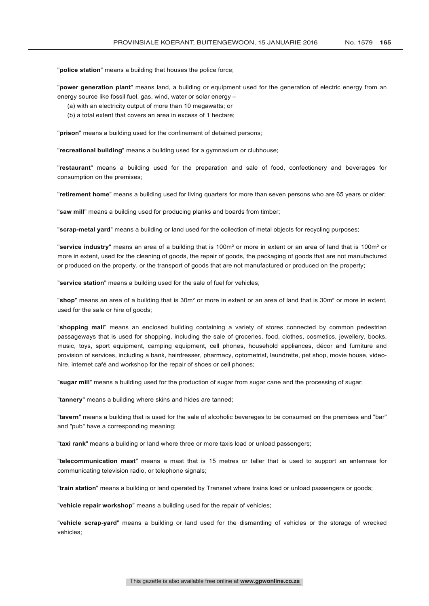"**police station**" means a building that houses the police force;

"**power generation plant**" means land, a building or equipment used for the generation of electric energy from an energy source like fossil fuel, gas, wind, water or solar energy –

- (a) with an electricity output of more than 10 megawatts; or
- (b) a total extent that covers an area in excess of 1 hectare;

"**prison**" means a building used for the confinement of detained persons;

"**recreational building**" means a building used for a gymnasium or clubhouse;

"**restaurant**" means a building used for the preparation and sale of food, confectionery and beverages for consumption on the premises;

"**retirement home**" means a building used for living quarters for more than seven persons who are 65 years or older;

"**saw mill**" means a building used for producing planks and boards from timber;

"**scrap-metal yard**" means a building or land used for the collection of metal objects for recycling purposes;

"**service industry**" means an area of a building that is 100m² or more in extent or an area of land that is 100m² or more in extent, used for the cleaning of goods, the repair of goods, the packaging of goods that are not manufactured or produced on the property, or the transport of goods that are not manufactured or produced on the property;

"**service station**" means a building used for the sale of fuel for vehicles;

"**shop**" means an area of a building that is 30m² or more in extent or an area of land that is 30m² or more in extent, used for the sale or hire of goods;

"**shopping mall**" means an enclosed building containing a variety of stores connected by common pedestrian passageways that is used for shopping, including the sale of groceries, food, clothes, cosmetics, jewellery, books, music, toys, sport equipment, camping equipment, cell phones, household appliances, décor and furniture and provision of services, including a bank, hairdresser, pharmacy, optometrist, laundrette, pet shop, movie house, videohire, internet café and workshop for the repair of shoes or cell phones;

"**sugar mill**" means a building used for the production of sugar from sugar cane and the processing of sugar;

"**tannery**" means a building where skins and hides are tanned;

"**tavern**" means a building that is used for the sale of alcoholic beverages to be consumed on the premises and "bar" and "pub" have a corresponding meaning;

"**taxi rank**" means a building or land where three or more taxis load or unload passengers;

"**telecommunication mast**" means a mast that is 15 metres or taller that is used to support an antennae for communicating television radio, or telephone signals;

"**train station**" means a building or land operated by Transnet where trains load or unload passengers or goods;

"**vehicle repair workshop**" means a building used for the repair of vehicles;

"**vehicle scrap-yard**" means a building or land used for the dismantling of vehicles or the storage of wrecked vehicles;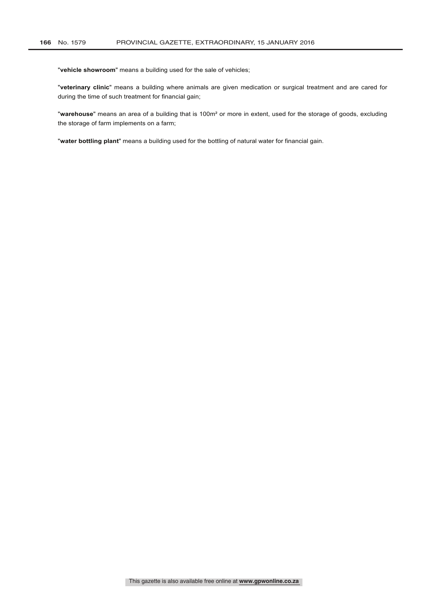"**vehicle showroom**" means a building used for the sale of vehicles;

"**veterinary clinic**" means a building where animals are given medication or surgical treatment and are cared for during the time of such treatment for financial gain;

"**warehouse**" means an area of a building that is 100m² or more in extent, used for the storage of goods, excluding the storage of farm implements on a farm;

"**water bottling plant**" means a building used for the bottling of natural water for financial gain.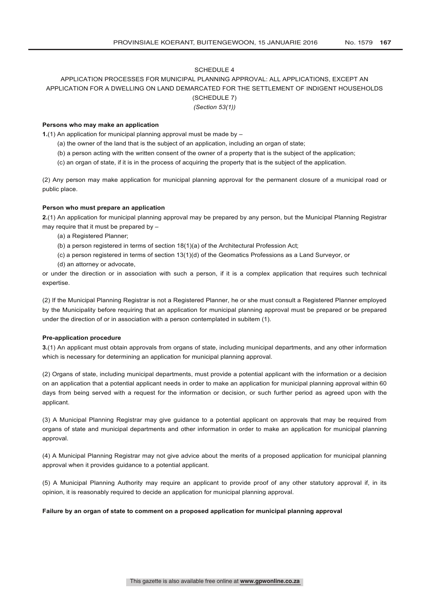## SCHEDULE 4

# APPLICATION PROCESSES FOR MUNICIPAL PLANNING APPROVAL: ALL APPLICATIONS, EXCEPT AN APPLICATION FOR A DWELLING ON LAND DEMARCATED FOR THE SETTLEMENT OF INDIGENT HOUSEHOLDS (SCHEDULE 7)

*(Section 53(1))*

### **Persons who may make an application**

**1.**(1) An application for municipal planning approval must be made by –

- (a) the owner of the land that is the subject of an application, including an organ of state;
- (b) a person acting with the written consent of the owner of a property that is the subject of the application;
- (c) an organ of state, if it is in the process of acquiring the property that is the subject of the application.

(2) Any person may make application for municipal planning approval for the permanent closure of a municipal road or public place.

### **Person who must prepare an application**

**2.**(1) An application for municipal planning approval may be prepared by any person, but the Municipal Planning Registrar may require that it must be prepared by –

- (a) a Registered Planner;
- (b) a person registered in terms of section 18(1)(a) of the Architectural Profession Act;
- (c) a person registered in terms of section 13(1)(d) of the Geomatics Professions as a Land Surveyor, or
- (d) an attorney or advocate,

or under the direction or in association with such a person, if it is a complex application that requires such technical expertise.

(2) If the Municipal Planning Registrar is not a Registered Planner, he or she must consult a Registered Planner employed by the Municipality before requiring that an application for municipal planning approval must be prepared or be prepared under the direction of or in association with a person contemplated in subitem (1).

#### **Pre-application procedure**

**3.**(1) An applicant must obtain approvals from organs of state, including municipal departments, and any other information which is necessary for determining an application for municipal planning approval.

(2) Organs of state, including municipal departments, must provide a potential applicant with the information or a decision on an application that a potential applicant needs in order to make an application for municipal planning approval within 60 days from being served with a request for the information or decision, or such further period as agreed upon with the applicant.

(3) A Municipal Planning Registrar may give guidance to a potential applicant on approvals that may be required from organs of state and municipal departments and other information in order to make an application for municipal planning approval.

(4) A Municipal Planning Registrar may not give advice about the merits of a proposed application for municipal planning approval when it provides guidance to a potential applicant.

(5) A Municipal Planning Authority may require an applicant to provide proof of any other statutory approval if, in its opinion, it is reasonably required to decide an application for municipal planning approval.

### **Failure by an organ of state to comment on a proposed application for municipal planning approval**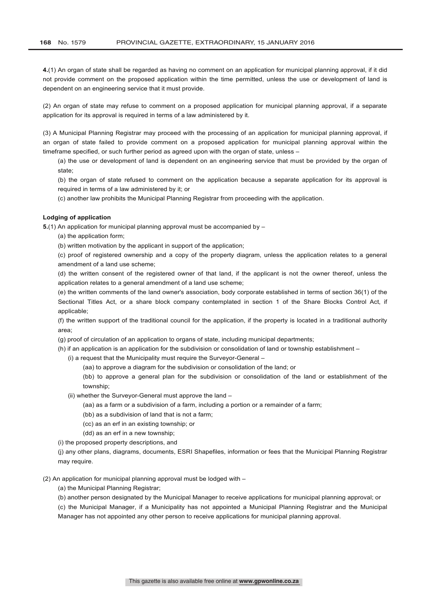**4.**(1) An organ of state shall be regarded as having no comment on an application for municipal planning approval, if it did not provide comment on the proposed application within the time permitted, unless the use or development of land is dependent on an engineering service that it must provide.

(2) An organ of state may refuse to comment on a proposed application for municipal planning approval, if a separate application for its approval is required in terms of a law administered by it.

(3) A Municipal Planning Registrar may proceed with the processing of an application for municipal planning approval, if an organ of state failed to provide comment on a proposed application for municipal planning approval within the timeframe specified, or such further period as agreed upon with the organ of state, unless -

(a) the use or development of land is dependent on an engineering service that must be provided by the organ of state;

(b) the organ of state refused to comment on the application because a separate application for its approval is required in terms of a law administered by it; or

(c) another law prohibits the Municipal Planning Registrar from proceeding with the application.

### **Lodging of application**

**5.**(1) An application for municipal planning approval must be accompanied by –

(a) the application form;

(b) written motivation by the applicant in support of the application;

(c) proof of registered ownership and a copy of the property diagram, unless the application relates to a general amendment of a land use scheme;

(d) the written consent of the registered owner of that land, if the applicant is not the owner thereof, unless the application relates to a general amendment of a land use scheme;

(e) the written comments of the land owner's association, body corporate established in terms of section 36(1) of the Sectional Titles Act, or a share block company contemplated in section 1 of the Share Blocks Control Act, if applicable;

(f) the written support of the traditional council for the application, if the property is located in a traditional authority area;

(g) proof of circulation of an application to organs of state, including municipal departments;

- (h) if an application is an application for the subdivision or consolidation of land or township establishment
	- (i) a request that the Municipality must require the Surveyor-General
		- (aa) to approve a diagram for the subdivision or consolidation of the land; or

(bb) to approve a general plan for the subdivision or consolidation of the land or establishment of the township;

- (ii) whether the Surveyor-General must approve the land
	- (aa) as a farm or a subdivision of a farm, including a portion or a remainder of a farm;
	- (bb) as a subdivision of land that is not a farm;
	- (cc) as an erf in an existing township; or
	- (dd) as an erf in a new township;

(i) the proposed property descriptions, and

(j) any other plans, diagrams, documents, ESRI Shapefiles, information or fees that the Municipal Planning Registrar may require.

(2) An application for municipal planning approval must be lodged with –

(a) the Municipal Planning Registrar;

(b) another person designated by the Municipal Manager to receive applications for municipal planning approval; or

(c) the Municipal Manager, if a Municipality has not appointed a Municipal Planning Registrar and the Municipal Manager has not appointed any other person to receive applications for municipal planning approval.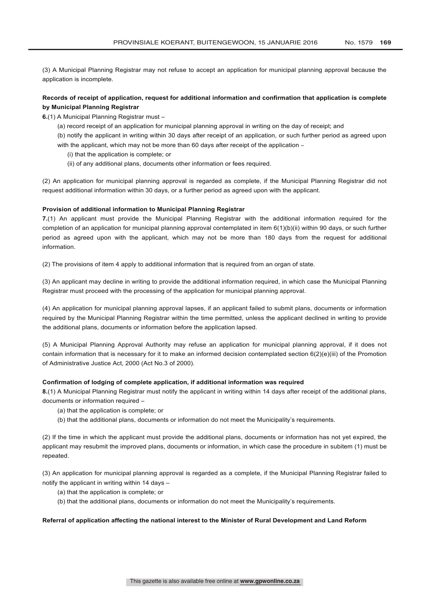(3) A Municipal Planning Registrar may not refuse to accept an application for municipal planning approval because the application is incomplete.

## **Records of receipt of application, request for additional information and confirmation that application is complete by Municipal Planning Registrar**

**6.**(1) A Municipal Planning Registrar must –

- (a) record receipt of an application for municipal planning approval in writing on the day of receipt; and
- (b) notify the applicant in writing within 30 days after receipt of an application, or such further period as agreed upon with the applicant, which may not be more than 60 days after receipt of the application -
	- (i) that the application is complete; or
	- (ii) of any additional plans, documents other information or fees required.

(2) An application for municipal planning approval is regarded as complete, if the Municipal Planning Registrar did not request additional information within 30 days, or a further period as agreed upon with the applicant.

### **Provision of additional information to Municipal Planning Registrar**

**7.**(1) An applicant must provide the Municipal Planning Registrar with the additional information required for the completion of an application for municipal planning approval contemplated in item 6(1)(b)(ii) within 90 days, or such further period as agreed upon with the applicant, which may not be more than 180 days from the request for additional information.

(2) The provisions of item 4 apply to additional information that is required from an organ of state.

(3) An applicant may decline in writing to provide the additional information required, in which case the Municipal Planning Registrar must proceed with the processing of the application for municipal planning approval.

(4) An application for municipal planning approval lapses, if an applicant failed to submit plans, documents or information required by the Municipal Planning Registrar within the time permitted, unless the applicant declined in writing to provide the additional plans, documents or information before the application lapsed.

(5) A Municipal Planning Approval Authority may refuse an application for municipal planning approval, if it does not contain information that is necessary for it to make an informed decision contemplated section 6(2)(e)(iii) of the Promotion of Administrative Justice Act, 2000 (Act No.3 of 2000).

## **Confirmation of lodging of complete application, if additional information was required**

**8.**(1) A Municipal Planning Registrar must notify the applicant in writing within 14 days after receipt of the additional plans, documents or information required –

- (a) that the application is complete; or
- (b) that the additional plans, documents or information do not meet the Municipality's requirements.

(2) If the time in which the applicant must provide the additional plans, documents or information has not yet expired, the applicant may resubmit the improved plans, documents or information, in which case the procedure in subitem (1) must be repeated.

(3) An application for municipal planning approval is regarded as a complete, if the Municipal Planning Registrar failed to notify the applicant in writing within 14 days –

- (a) that the application is complete; or
- (b) that the additional plans, documents or information do not meet the Municipality's requirements.

### **Referral of application affecting the national interest to the Minister of Rural Development and Land Reform**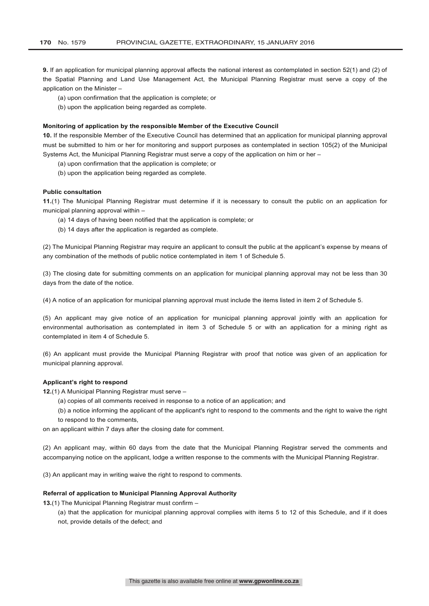**9.** If an application for municipal planning approval affects the national interest as contemplated in section 52(1) and (2) of the Spatial Planning and Land Use Management Act, the Municipal Planning Registrar must serve a copy of the application on the Minister –

(a) upon confirmation that the application is complete; or

(b) upon the application being regarded as complete.

#### **Monitoring of application by the responsible Member of the Executive Council**

**10.** If the responsible Member of the Executive Council has determined that an application for municipal planning approval must be submitted to him or her for monitoring and support purposes as contemplated in section 105(2) of the Municipal Systems Act, the Municipal Planning Registrar must serve a copy of the application on him or her –

- (a) upon confirmation that the application is complete; or
- (b) upon the application being regarded as complete.

#### **Public consultation**

**11.**(1) The Municipal Planning Registrar must determine if it is necessary to consult the public on an application for municipal planning approval within –

- (a) 14 days of having been notified that the application is complete; or
- (b) 14 days after the application is regarded as complete.

(2) The Municipal Planning Registrar may require an applicant to consult the public at the applicant's expense by means of any combination of the methods of public notice contemplated in item 1 of Schedule 5.

(3) The closing date for submitting comments on an application for municipal planning approval may not be less than 30 days from the date of the notice.

(4) A notice of an application for municipal planning approval must include the items listed in item 2 of Schedule 5.

(5) An applicant may give notice of an application for municipal planning approval jointly with an application for environmental authorisation as contemplated in item 3 of Schedule 5 or with an application for a mining right as contemplated in item 4 of Schedule 5.

(6) An applicant must provide the Municipal Planning Registrar with proof that notice was given of an application for municipal planning approval.

## **Applicant's right to respond**

**12.**(1) A Municipal Planning Registrar must serve –

- (a) copies of all comments received in response to a notice of an application; and
- (b) a notice informing the applicant of the applicant's right to respond to the comments and the right to waive the right to respond to the comments,

on an applicant within 7 days after the closing date for comment.

(2) An applicant may, within 60 days from the date that the Municipal Planning Registrar served the comments and accompanying notice on the applicant, lodge a written response to the comments with the Municipal Planning Registrar.

(3) An applicant may in writing waive the right to respond to comments.

## **Referral of application to Municipal Planning Approval Authority**

**13.**(1) The Municipal Planning Registrar must confirm –

(a) that the application for municipal planning approval complies with items 5 to 12 of this Schedule, and if it does not, provide details of the defect; and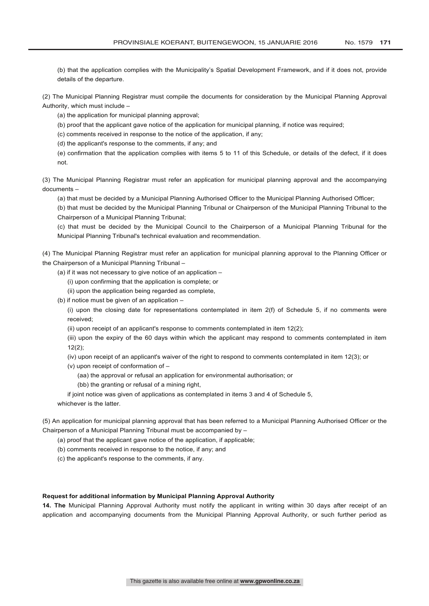(b) that the application complies with the Municipality's Spatial Development Framework, and if it does not, provide details of the departure.

(2) The Municipal Planning Registrar must compile the documents for consideration by the Municipal Planning Approval Authority, which must include –

(a) the application for municipal planning approval;

(b) proof that the applicant gave notice of the application for municipal planning, if notice was required;

(c) comments received in response to the notice of the application, if any;

(d) the applicant's response to the comments, if any; and

(e) confirmation that the application complies with items 5 to 11 of this Schedule, or details of the defect, if it does not.

(3) The Municipal Planning Registrar must refer an application for municipal planning approval and the accompanying documents –

(a) that must be decided by a Municipal Planning Authorised Officer to the Municipal Planning Authorised Officer;

(b) that must be decided by the Municipal Planning Tribunal or Chairperson of the Municipal Planning Tribunal to the Chairperson of a Municipal Planning Tribunal;

(c) that must be decided by the Municipal Council to the Chairperson of a Municipal Planning Tribunal for the Municipal Planning Tribunal's technical evaluation and recommendation.

(4) The Municipal Planning Registrar must refer an application for municipal planning approval to the Planning Officer or the Chairperson of a Municipal Planning Tribunal –

(a) if it was not necessary to give notice of an application –

(i) upon confirming that the application is complete; or

(ii) upon the application being regarded as complete,

(b) if notice must be given of an application –

(i) upon the closing date for representations contemplated in item 2(f) of Schedule 5, if no comments were received;

(ii) upon receipt of an applicant's response to comments contemplated in item 12(2);

(iii) upon the expiry of the 60 days within which the applicant may respond to comments contemplated in item 12(2);

(iv) upon receipt of an applicant's waiver of the right to respond to comments contemplated in item 12(3); or

(v) upon receipt of conformation of –

(aa) the approval or refusal an application for environmental authorisation; or

(bb) the granting or refusal of a mining right,

if joint notice was given of applications as contemplated in items 3 and 4 of Schedule 5, whichever is the latter.

(5) An application for municipal planning approval that has been referred to a Municipal Planning Authorised Officer or the Chairperson of a Municipal Planning Tribunal must be accompanied by –

(a) proof that the applicant gave notice of the application, if applicable;

(b) comments received in response to the notice, if any; and

(c) the applicant's response to the comments, if any.

### **Request for additional information by Municipal Planning Approval Authority**

**14. The** Municipal Planning Approval Authority must notify the applicant in writing within 30 days after receipt of an application and accompanying documents from the Municipal Planning Approval Authority, or such further period as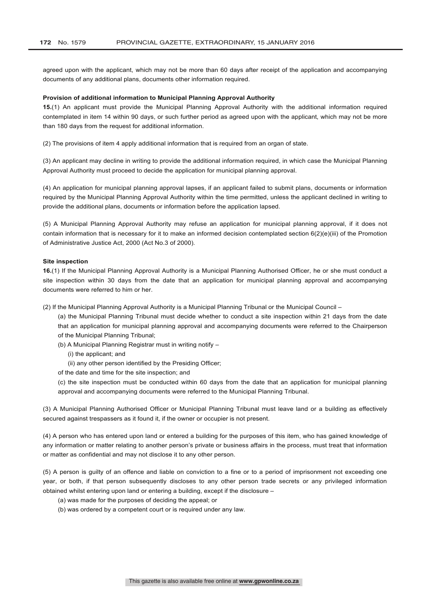agreed upon with the applicant, which may not be more than 60 days after receipt of the application and accompanying documents of any additional plans, documents other information required.

### **Provision of additional information to Municipal Planning Approval Authority**

**15.**(1) An applicant must provide the Municipal Planning Approval Authority with the additional information required contemplated in item 14 within 90 days, or such further period as agreed upon with the applicant, which may not be more than 180 days from the request for additional information.

(2) The provisions of item 4 apply additional information that is required from an organ of state.

(3) An applicant may decline in writing to provide the additional information required, in which case the Municipal Planning Approval Authority must proceed to decide the application for municipal planning approval.

(4) An application for municipal planning approval lapses, if an applicant failed to submit plans, documents or information required by the Municipal Planning Approval Authority within the time permitted, unless the applicant declined in writing to provide the additional plans, documents or information before the application lapsed.

(5) A Municipal Planning Approval Authority may refuse an application for municipal planning approval, if it does not contain information that is necessary for it to make an informed decision contemplated section 6(2)(e)(iii) of the Promotion of Administrative Justice Act, 2000 (Act No.3 of 2000).

#### **Site inspection**

**16.**(1) If the Municipal Planning Approval Authority is a Municipal Planning Authorised Officer, he or she must conduct a site inspection within 30 days from the date that an application for municipal planning approval and accompanying documents were referred to him or her.

- (2) If the Municipal Planning Approval Authority is a Municipal Planning Tribunal or the Municipal Council
	- (a) the Municipal Planning Tribunal must decide whether to conduct a site inspection within 21 days from the date that an application for municipal planning approval and accompanying documents were referred to the Chairperson of the Municipal Planning Tribunal;
	- (b) A Municipal Planning Registrar must in writing notify
		- (i) the applicant; and
		- (ii) any other person identified by the Presiding Officer;
	- of the date and time for the site inspection; and

(c) the site inspection must be conducted within 60 days from the date that an application for municipal planning approval and accompanying documents were referred to the Municipal Planning Tribunal.

(3) A Municipal Planning Authorised Officer or Municipal Planning Tribunal must leave land or a building as effectively secured against trespassers as it found it, if the owner or occupier is not present.

(4) A person who has entered upon land or entered a building for the purposes of this item, who has gained knowledge of any information or matter relating to another person's private or business affairs in the process, must treat that information or matter as confidential and may not disclose it to any other person.

(5) A person is guilty of an offence and liable on conviction to a fine or to a period of imprisonment not exceeding one year, or both, if that person subsequently discloses to any other person trade secrets or any privileged information obtained whilst entering upon land or entering a building, except if the disclosure –

- (a) was made for the purposes of deciding the appeal; or
- (b) was ordered by a competent court or is required under any law.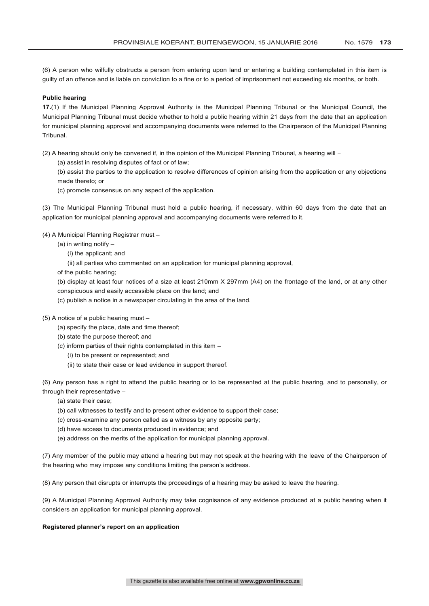(6) A person who wilfully obstructs a person from entering upon land or entering a building contemplated in this item is guilty of an offence and is liable on conviction to a fine or to a period of imprisonment not exceeding six months, or both.

#### **Public hearing**

**17.**(1) If the Municipal Planning Approval Authority is the Municipal Planning Tribunal or the Municipal Council, the Municipal Planning Tribunal must decide whether to hold a public hearing within 21 days from the date that an application for municipal planning approval and accompanying documents were referred to the Chairperson of the Municipal Planning Tribunal.

(2) A hearing should only be convened if, in the opinion of the Municipal Planning Tribunal, a hearing will −

(a) assist in resolving disputes of fact or of law;

(b) assist the parties to the application to resolve differences of opinion arising from the application or any objections made thereto; or

(c) promote consensus on any aspect of the application.

(3) The Municipal Planning Tribunal must hold a public hearing, if necessary, within 60 days from the date that an application for municipal planning approval and accompanying documents were referred to it.

(4) A Municipal Planning Registrar must –

- (a) in writing notify
	- (i) the applicant; and
	- (ii) all parties who commented on an application for municipal planning approval,

of the public hearing;

(b) display at least four notices of a size at least 210mm X 297mm (A4) on the frontage of the land, or at any other conspicuous and easily accessible place on the land; and

- (c) publish a notice in a newspaper circulating in the area of the land.
- (5) A notice of a public hearing must
	- (a) specify the place, date and time thereof;
	- (b) state the purpose thereof; and
	- (c) inform parties of their rights contemplated in this item
		- (i) to be present or represented; and
		- (ii) to state their case or lead evidence in support thereof.

(6) Any person has a right to attend the public hearing or to be represented at the public hearing, and to personally, or through their representative –

- (a) state their case;
- (b) call witnesses to testify and to present other evidence to support their case;
- (c) cross-examine any person called as a witness by any opposite party;
- (d) have access to documents produced in evidence; and
- (e) address on the merits of the application for municipal planning approval.

(7) Any member of the public may attend a hearing but may not speak at the hearing with the leave of the Chairperson of the hearing who may impose any conditions limiting the person's address.

(8) Any person that disrupts or interrupts the proceedings of a hearing may be asked to leave the hearing.

(9) A Municipal Planning Approval Authority may take cognisance of any evidence produced at a public hearing when it considers an application for municipal planning approval.

#### **Registered planner's report on an application**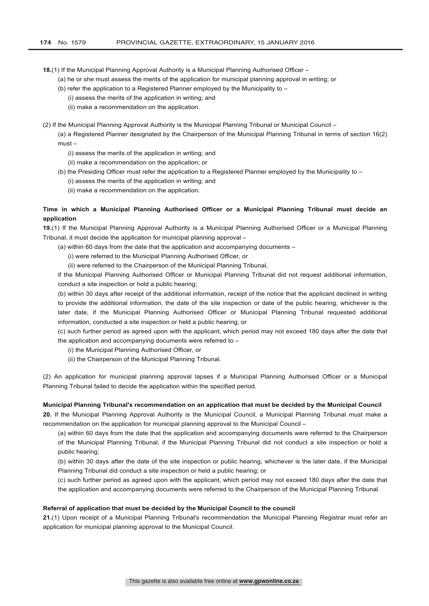**18.**(1) If the Municipal Planning Approval Authority is a Municipal Planning Authorised Officer –

- (a) he or she must assess the merits of the application for municipal planning approval in writing; or
- (b) refer the application to a Registered Planner employed by the Municipality to
	- (i) assess the merits of the application in writing; and
	- (ii) make a recommendation on the application.

(2) If the Municipal Planning Approval Authority is the Municipal Planning Tribunal or Municipal Council –

(a) a Registered Planner designated by the Chairperson of the Municipal Planning Tribunal in terms of section 16(2) must –

- (i) assess the merits of the application in writing; and
- (ii) make a recommendation on the application; or
- (b) the Presiding Officer must refer the application to a Registered Planner employed by the Municipality to
	- (i) assess the merits of the application in writing; and
	- (ii) make a recommendation on the application.

# **Time in which a Municipal Planning Authorised Officer or a Municipal Planning Tribunal must decide an application**

**19.**(1) If the Municipal Planning Approval Authority is a Municipal Planning Authorised Officer or a Municipal Planning Tribunal, it must decide the application for municipal planning approval –

- (a) within 60 days from the date that the application and accompanying documents
	- (i) were referred to the Municipal Planning Authorised Officer, or

(ii) were referred to the Chairperson of the Municipal Planning Tribunal,

if the Municipal Planning Authorised Officer or Municipal Planning Tribunal did not request additional information, conduct a site inspection or hold a public hearing;

(b) within 30 days after receipt of the additional information, receipt of the notice that the applicant declined in writing to provide the additional information, the date of the site inspection or date of the public hearing, whichever is the later date, if the Municipal Planning Authorised Officer or Municipal Planning Tribunal requested additional information, conducted a site inspection or held a public hearing; or

(c) such further period as agreed upon with the applicant, which period may not exceed 180 days after the date that the application and accompanying documents were referred to –

- (i) the Municipal Planning Authorised Officer, or
- (ii) the Chairperson of the Municipal Planning Tribunal.

(2) An application for municipal planning approval lapses if a Municipal Planning Authorised Officer or a Municipal Planning Tribunal failed to decide the application within the specified period.

# **Municipal Planning Tribunal's recommendation on an application that must be decided by the Municipal Council**

**20.** If the Municipal Planning Approval Authority is the Municipal Council, a Municipal Planning Tribunal must make a recommendation on the application for municipal planning approval to the Municipal Council –

(a) within 60 days from the date that the application and accompanying documents were referred to the Chairperson of the Municipal Planning Tribunal, if the Municipal Planning Tribunal did not conduct a site inspection or hold a public hearing;

(b) within 30 days after the date of the site inspection or public hearing, whichever is the later date, if the Municipal Planning Tribunal did conduct a site inspection or held a public hearing; or

(c) such further period as agreed upon with the applicant, which period may not exceed 180 days after the date that the application and accompanying documents were referred to the Chairperson of the Municipal Planning Tribunal.

#### **Referral of application that must be decided by the Municipal Council to the council**

**21.**(1) Upon receipt of a Municipal Planning Tribunal's recommendation the Municipal Planning Registrar must refer an application for municipal planning approval to the Municipal Council.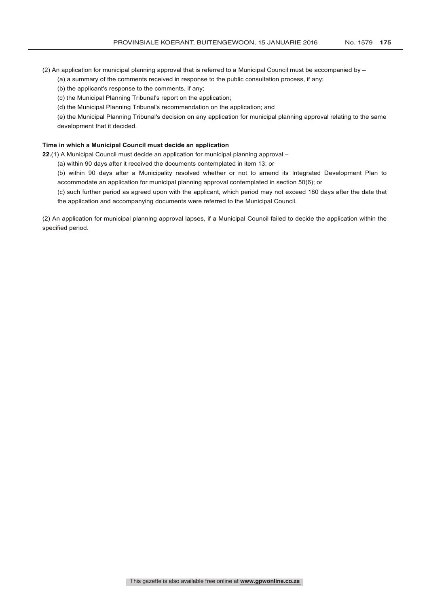(2) An application for municipal planning approval that is referred to a Municipal Council must be accompanied by  $-$ 

(a) a summary of the comments received in response to the public consultation process, if any;

(b) the applicant's response to the comments, if any;

(c) the Municipal Planning Tribunal's report on the application;

(d) the Municipal Planning Tribunal's recommendation on the application; and

(e) the Municipal Planning Tribunal's decision on any application for municipal planning approval relating to the same development that it decided.

### **Time in which a Municipal Council must decide an application**

**22.**(1) A Municipal Council must decide an application for municipal planning approval –

(a) within 90 days after it received the documents contemplated in item 13; or

(b) within 90 days after a Municipality resolved whether or not to amend its Integrated Development Plan to accommodate an application for municipal planning approval contemplated in section 50(6); or

(c) such further period as agreed upon with the applicant, which period may not exceed 180 days after the date that the application and accompanying documents were referred to the Municipal Council.

(2) An application for municipal planning approval lapses, if a Municipal Council failed to decide the application within the specified period.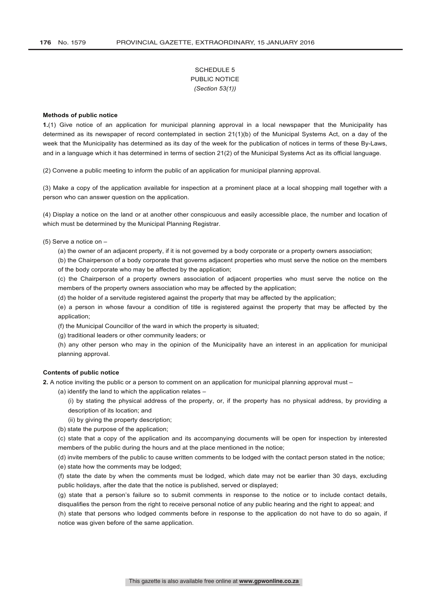# SCHEDULE 5 PUBLIC NOTICE *(Section 53(1))*

#### **Methods of public notice**

**1.**(1) Give notice of an application for municipal planning approval in a local newspaper that the Municipality has determined as its newspaper of record contemplated in section 21(1)(b) of the Municipal Systems Act, on a day of the week that the Municipality has determined as its day of the week for the publication of notices in terms of these By-Laws, and in a language which it has determined in terms of section 21(2) of the Municipal Systems Act as its official language.

(2) Convene a public meeting to inform the public of an application for municipal planning approval.

(3) Make a copy of the application available for inspection at a prominent place at a local shopping mall together with a person who can answer question on the application.

(4) Display a notice on the land or at another other conspicuous and easily accessible place, the number and location of which must be determined by the Municipal Planning Registrar.

- (5) Serve a notice on
	- (a) the owner of an adjacent property, if it is not governed by a body corporate or a property owners association;

(b) the Chairperson of a body corporate that governs adjacent properties who must serve the notice on the members of the body corporate who may be affected by the application;

(c) the Chairperson of a property owners association of adjacent properties who must serve the notice on the members of the property owners association who may be affected by the application;

(d) the holder of a servitude registered against the property that may be affected by the application;

(e) a person in whose favour a condition of title is registered against the property that may be affected by the application;

(f) the Municipal Councillor of the ward in which the property is situated;

(g) traditional leaders or other community leaders; or

(h) any other person who may in the opinion of the Municipality have an interest in an application for municipal planning approval.

### **Contents of public notice**

**2.** A notice inviting the public or a person to comment on an application for municipal planning approval must –

(a) identify the land to which the application relates –

(i) by stating the physical address of the property, or, if the property has no physical address, by providing a description of its location; and

(ii) by giving the property description;

(b) state the purpose of the application;

(c) state that a copy of the application and its accompanying documents will be open for inspection by interested members of the public during the hours and at the place mentioned in the notice;

(d) invite members of the public to cause written comments to be lodged with the contact person stated in the notice;

(e) state how the comments may be lodged;

(f) state the date by when the comments must be lodged, which date may not be earlier than 30 days, excluding public holidays, after the date that the notice is published, served or displayed;

(g) state that a person's failure so to submit comments in response to the notice or to include contact details, disqualifies the person from the right to receive personal notice of any public hearing and the right to appeal; and

(h) state that persons who lodged comments before in response to the application do not have to do so again, if notice was given before of the same application.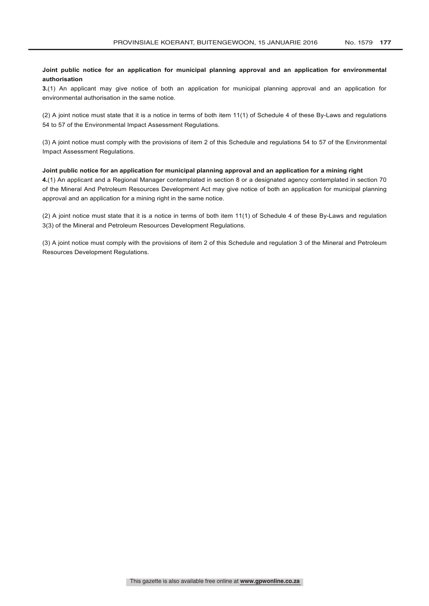# **Joint public notice for an application for municipal planning approval and an application for environmental authorisation**

**3.**(1) An applicant may give notice of both an application for municipal planning approval and an application for environmental authorisation in the same notice.

(2) A joint notice must state that it is a notice in terms of both item 11(1) of Schedule 4 of these By-Laws and regulations 54 to 57 of the Environmental Impact Assessment Regulations.

(3) A joint notice must comply with the provisions of item 2 of this Schedule and regulations 54 to 57 of the Environmental Impact Assessment Regulations.

#### **Joint public notice for an application for municipal planning approval and an application for a mining right**

**4.**(1) An applicant and a Regional Manager contemplated in section 8 or a designated agency contemplated in section 70 of the Mineral And Petroleum Resources Development Act may give notice of both an application for municipal planning approval and an application for a mining right in the same notice.

(2) A joint notice must state that it is a notice in terms of both item 11(1) of Schedule 4 of these By-Laws and regulation 3(3) of the Mineral and Petroleum Resources Development Regulations.

(3) A joint notice must comply with the provisions of item 2 of this Schedule and regulation 3 of the Mineral and Petroleum Resources Development Regulations.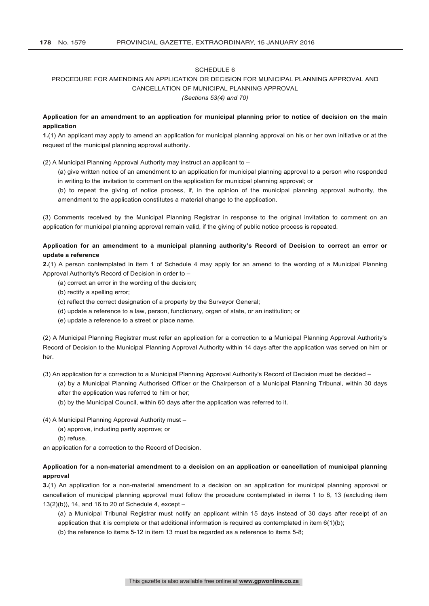# PROCEDURE FOR AMENDING AN APPLICATION OR DECISION FOR MUNICIPAL PLANNING APPROVAL AND CANCELLATION OF MUNICIPAL PLANNING APPROVAL

#### *(Sections 53(4) and 70)*

# **Application for an amendment to an application for municipal planning prior to notice of decision on the main application**

**1.**(1) An applicant may apply to amend an application for municipal planning approval on his or her own initiative or at the request of the municipal planning approval authority.

(2) A Municipal Planning Approval Authority may instruct an applicant to –

(a) give written notice of an amendment to an application for municipal planning approval to a person who responded in writing to the invitation to comment on the application for municipal planning approval; or

(b) to repeat the giving of notice process, if, in the opinion of the municipal planning approval authority, the amendment to the application constitutes a material change to the application.

(3) Comments received by the Municipal Planning Registrar in response to the original invitation to comment on an application for municipal planning approval remain valid, if the giving of public notice process is repeated.

# **Application for an amendment to a municipal planning authority's Record of Decision to correct an error or update a reference**

**2.**(1) A person contemplated in item 1 of Schedule 4 may apply for an amend to the wording of a Municipal Planning Approval Authority's Record of Decision in order to –

- (a) correct an error in the wording of the decision;
- (b) rectify a spelling error;
- (c) reflect the correct designation of a property by the Surveyor General;
- (d) update a reference to a law, person, functionary, organ of state, or an institution; or
- (e) update a reference to a street or place name.

(2) A Municipal Planning Registrar must refer an application for a correction to a Municipal Planning Approval Authority's Record of Decision to the Municipal Planning Approval Authority within 14 days after the application was served on him or her.

(3) An application for a correction to a Municipal Planning Approval Authority's Record of Decision must be decided –

(a) by a Municipal Planning Authorised Officer or the Chairperson of a Municipal Planning Tribunal, within 30 days after the application was referred to him or her;

(b) by the Municipal Council, within 60 days after the application was referred to it.

(4) A Municipal Planning Approval Authority must –

- (a) approve, including partly approve; or
- (b) refuse,

an application for a correction to the Record of Decision.

# **Application for a non-material amendment to a decision on an application or cancellation of municipal planning approval**

**3.**(1) An application for a non-material amendment to a decision on an application for municipal planning approval or cancellation of municipal planning approval must follow the procedure contemplated in items 1 to 8, 13 (excluding item 13(2)(b)), 14, and 16 to 20 of Schedule 4, except –

(a) a Municipal Tribunal Registrar must notify an applicant within 15 days instead of 30 days after receipt of an application that it is complete or that additional information is required as contemplated in item 6(1)(b);

(b) the reference to items 5-12 in item 13 must be regarded as a reference to items 5-8;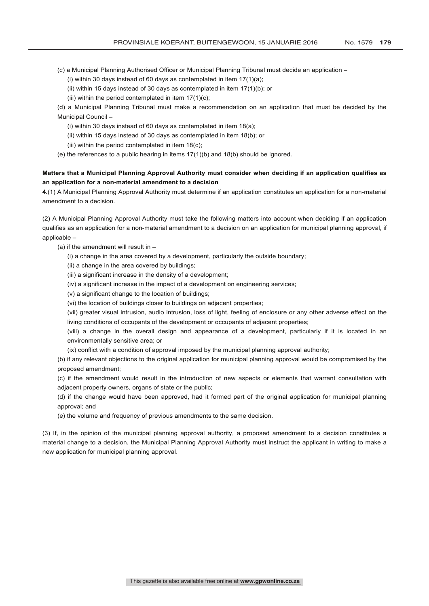- (c) a Municipal Planning Authorised Officer or Municipal Planning Tribunal must decide an application
	- (i) within 30 days instead of 60 days as contemplated in item  $17(1)(a)$ ;
	- (ii) within 15 days instead of 30 days as contemplated in item  $17(1)(b)$ ; or
	- (iii) within the period contemplated in item  $17(1)(c)$ ;

(d) a Municipal Planning Tribunal must make a recommendation on an application that must be decided by the Municipal Council –

- (i) within 30 days instead of 60 days as contemplated in item 18(a);
- (ii) within 15 days instead of 30 days as contemplated in item 18(b); or
- (iii) within the period contemplated in item 18(c);
- (e) the references to a public hearing in items 17(1)(b) and 18(b) should be ignored.

# **Matters that a Municipal Planning Approval Authority must consider when deciding if an application qualifies as an application for a non-material amendment to a decision**

**4.**(1) A Municipal Planning Approval Authority must determine if an application constitutes an application for a non-material amendment to a decision.

(2) A Municipal Planning Approval Authority must take the following matters into account when deciding if an application qualifies as an application for a non-material amendment to a decision on an application for municipal planning approval, if applicable –

(a) if the amendment will result in  $-$ 

- (i) a change in the area covered by a development, particularly the outside boundary;
- (ii) a change in the area covered by buildings;
- (iii) a significant increase in the density of a development;
- (iv) a significant increase in the impact of a development on engineering services;
- (v) a significant change to the location of buildings;
- (vi) the location of buildings closer to buildings on adjacent properties;

(vii) greater visual intrusion, audio intrusion, loss of light, feeling of enclosure or any other adverse effect on the living conditions of occupants of the development or occupants of adjacent properties;

(viii) a change in the overall design and appearance of a development, particularly if it is located in an environmentally sensitive area; or

(ix) conflict with a condition of approval imposed by the municipal planning approval authority;

(b) if any relevant objections to the original application for municipal planning approval would be compromised by the proposed amendment;

(c) if the amendment would result in the introduction of new aspects or elements that warrant consultation with adjacent property owners, organs of state or the public;

(d) if the change would have been approved, had it formed part of the original application for municipal planning approval; and

(e) the volume and frequency of previous amendments to the same decision.

(3) If, in the opinion of the municipal planning approval authority, a proposed amendment to a decision constitutes a material change to a decision, the Municipal Planning Approval Authority must instruct the applicant in writing to make a new application for municipal planning approval.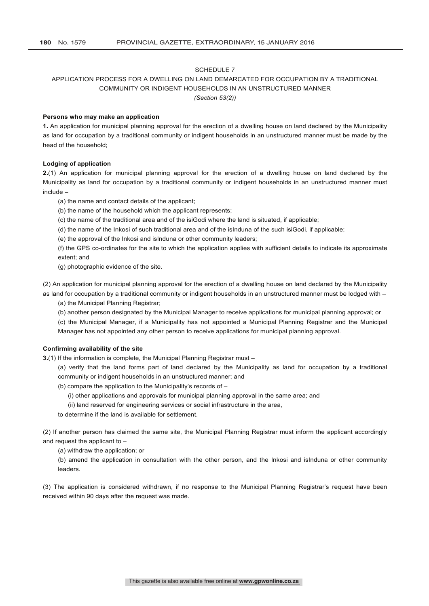# APPLICATION PROCESS FOR A DWELLING ON LAND DEMARCATED FOR OCCUPATION BY A TRADITIONAL COMMUNITY OR INDIGENT HOUSEHOLDS IN AN UNSTRUCTURED MANNER

*(Section 53(2))*

#### **Persons who may make an application**

**1.** An application for municipal planning approval for the erection of a dwelling house on land declared by the Municipality as land for occupation by a traditional community or indigent households in an unstructured manner must be made by the head of the household;

# **Lodging of application**

**2.**(1) An application for municipal planning approval for the erection of a dwelling house on land declared by the Municipality as land for occupation by a traditional community or indigent households in an unstructured manner must include –

- (a) the name and contact details of the applicant;
- (b) the name of the household which the applicant represents;
- (c) the name of the traditional area and of the isiGodi where the land is situated, if applicable;
- (d) the name of the Inkosi of such traditional area and of the isInduna of the such isiGodi, if applicable;
- (e) the approval of the Inkosi and isInduna or other community leaders;

(f) the GPS co-ordinates for the site to which the application applies with sufficient details to indicate its approximate extent; and

(g) photographic evidence of the site.

(2) An application for municipal planning approval for the erection of a dwelling house on land declared by the Municipality as land for occupation by a traditional community or indigent households in an unstructured manner must be lodged with –

(a) the Municipal Planning Registrar;

(b) another person designated by the Municipal Manager to receive applications for municipal planning approval; or

(c) the Municipal Manager, if a Municipality has not appointed a Municipal Planning Registrar and the Municipal Manager has not appointed any other person to receive applications for municipal planning approval.

#### **Confirming availability of the site**

**3.**(1) If the information is complete, the Municipal Planning Registrar must -

- (a) verify that the land forms part of land declared by the Municipality as land for occupation by a traditional community or indigent households in an unstructured manner; and
- (b) compare the application to the Municipality's records of
	- (i) other applications and approvals for municipal planning approval in the same area; and

(ii) land reserved for engineering services or social infrastructure in the area,

to determine if the land is available for settlement.

(2) If another person has claimed the same site, the Municipal Planning Registrar must inform the applicant accordingly and request the applicant to –

(a) withdraw the application; or

(b) amend the application in consultation with the other person, and the Inkosi and isInduna or other community leaders.

(3) The application is considered withdrawn, if no response to the Municipal Planning Registrar's request have been received within 90 days after the request was made.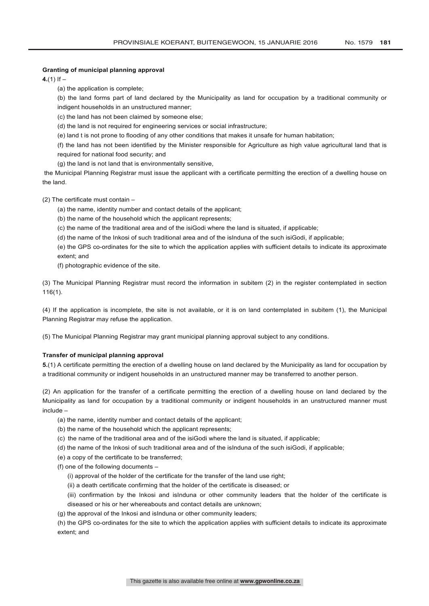### **Granting of municipal planning approval**

**4.**(1) If  $-$ 

(a) the application is complete;

(b) the land forms part of land declared by the Municipality as land for occupation by a traditional community or indigent households in an unstructured manner;

(c) the land has not been claimed by someone else;

(d) the land is not required for engineering services or social infrastructure;

(e) land t is not prone to flooding of any other conditions that makes it unsafe for human habitation;

(f) the land has not been identified by the Minister responsible for Agriculture as high value agricultural land that is required for national food security; and

(g) the land is not land that is environmentally sensitive,

the Municipal Planning Registrar must issue the applicant with a certificate permitting the erection of a dwelling house on the land.

(2) The certificate must contain –

(a) the name, identity number and contact details of the applicant;

(b) the name of the household which the applicant represents;

(c) the name of the traditional area and of the isiGodi where the land is situated, if applicable;

(d) the name of the Inkosi of such traditional area and of the isInduna of the such isiGodi, if applicable;

(e) the GPS co-ordinates for the site to which the application applies with sufficient details to indicate its approximate extent; and

(f) photographic evidence of the site.

(3) The Municipal Planning Registrar must record the information in subitem (2) in the register contemplated in section 116(1).

(4) If the application is incomplete, the site is not available, or it is on land contemplated in subitem (1), the Municipal Planning Registrar may refuse the application.

(5) The Municipal Planning Registrar may grant municipal planning approval subject to any conditions.

#### **Transfer of municipal planning approval**

**5.**(1) A certificate permitting the erection of a dwelling house on land declared by the Municipality as land for occupation by a traditional community or indigent households in an unstructured manner may be transferred to another person.

(2) An application for the transfer of a certificate permitting the erection of a dwelling house on land declared by the Municipality as land for occupation by a traditional community or indigent households in an unstructured manner must include –

- (a) the name, identity number and contact details of the applicant;
- (b) the name of the household which the applicant represents;
- (c) the name of the traditional area and of the isiGodi where the land is situated, if applicable;
- (d) the name of the Inkosi of such traditional area and of the isInduna of the such isiGodi, if applicable;
- (e) a copy of the certificate to be transferred;

(f) one of the following documents –

- (i) approval of the holder of the certificate for the transfer of the land use right;
- (ii) a death certificate confirming that the holder of the certificate is diseased; or
- (iii) confirmation by the Inkosi and isInduna or other community leaders that the holder of the certificate is
- diseased or his or her whereabouts and contact details are unknown;
- (g) the approval of the Inkosi and isInduna or other community leaders;

(h) the GPS co-ordinates for the site to which the application applies with sufficient details to indicate its approximate extent; and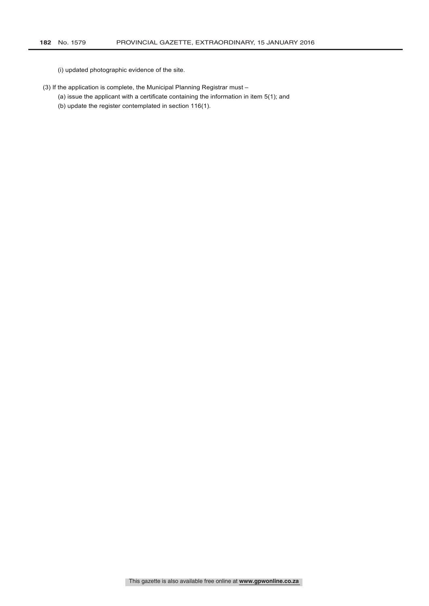(i) updated photographic evidence of the site.

- (3) If the application is complete, the Municipal Planning Registrar must
	- (a) issue the applicant with a certificate containing the information in item 5(1); and
	- (b) update the register contemplated in section 116(1).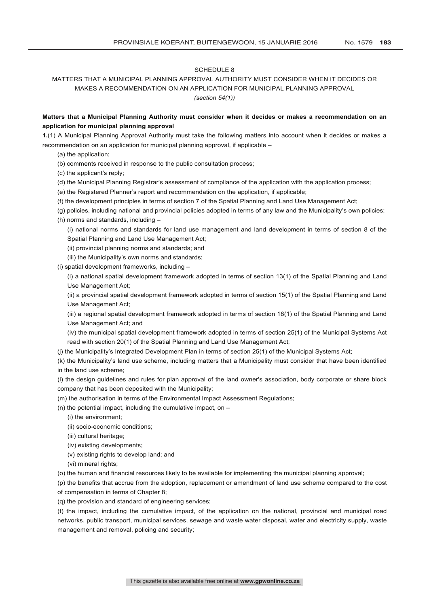# MATTERS THAT A MUNICIPAL PLANNING APPROVAL AUTHORITY MUST CONSIDER WHEN IT DECIDES OR MAKES A RECOMMENDATION ON AN APPLICATION FOR MUNICIPAL PLANNING APPROVAL *(section 54(1))*

# **Matters that a Municipal Planning Authority must consider when it decides or makes a recommendation on an application for municipal planning approval**

**1.**(1) A Municipal Planning Approval Authority must take the following matters into account when it decides or makes a recommendation on an application for municipal planning approval, if applicable –

- (a) the application;
- (b) comments received in response to the public consultation process;
- (c) the applicant's reply;
- (d) the Municipal Planning Registrar's assessment of compliance of the application with the application process;
- (e) the Registered Planner's report and recommendation on the application, if applicable;
- (f) the development principles in terms of section 7 of the Spatial Planning and Land Use Management Act;
- (g) policies, including national and provincial policies adopted in terms of any law and the Municipality's own policies;
- (h) norms and standards, including –

(i) national norms and standards for land use management and land development in terms of section 8 of the Spatial Planning and Land Use Management Act;

- (ii) provincial planning norms and standards; and
- (iii) the Municipality's own norms and standards;
- (i) spatial development frameworks, including –

(i) a national spatial development framework adopted in terms of section 13(1) of the Spatial Planning and Land Use Management Act;

(ii) a provincial spatial development framework adopted in terms of section 15(1) of the Spatial Planning and Land Use Management Act;

(iii) a regional spatial development framework adopted in terms of section 18(1) of the Spatial Planning and Land Use Management Act; and

(iv) the municipal spatial development framework adopted in terms of section 25(1) of the Municipal Systems Act read with section 20(1) of the Spatial Planning and Land Use Management Act;

(j) the Municipality's Integrated Development Plan in terms of section 25(1) of the Municipal Systems Act;

(k) the Municipality's land use scheme, including matters that a Municipality must consider that have been identified in the land use scheme;

(l) the design guidelines and rules for plan approval of the land owner's association, body corporate or share block company that has been deposited with the Municipality;

- (m) the authorisation in terms of the Environmental Impact Assessment Regulations;
- (n) the potential impact, including the cumulative impact, on  $-$ 
	- (i) the environment;
	- (ii) socio-economic conditions;
	- (iii) cultural heritage;
	- (iv) existing developments;
	- (v) existing rights to develop land; and
	- (vi) mineral rights;
- (o) the human and financial resources likely to be available for implementing the municipal planning approval;

(p) the benefits that accrue from the adoption, replacement or amendment of land use scheme compared to the cost of compensation in terms of Chapter 8;

(q) the provision and standard of engineering services;

(t) the impact, including the cumulative impact, of the application on the national, provincial and municipal road networks, public transport, municipal services, sewage and waste water disposal, water and electricity supply, waste management and removal, policing and security;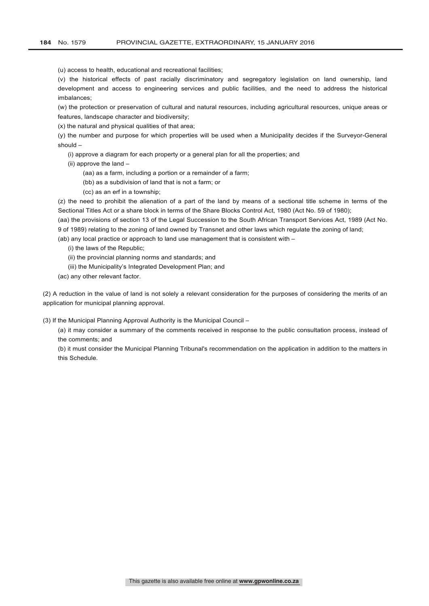(u) access to health, educational and recreational facilities;

(v) the historical effects of past racially discriminatory and segregatory legislation on land ownership, land development and access to engineering services and public facilities, and the need to address the historical imbalances;

(w) the protection or preservation of cultural and natural resources, including agricultural resources, unique areas or features, landscape character and biodiversity;

(x) the natural and physical qualities of that area;

(y) the number and purpose for which properties will be used when a Municipality decides if the Surveyor-General should –

- (i) approve a diagram for each property or a general plan for all the properties; and
- (ii) approve the land
	- (aa) as a farm, including a portion or a remainder of a farm;
	- (bb) as a subdivision of land that is not a farm; or
	- (cc) as an erf in a township;

(z) the need to prohibit the alienation of a part of the land by means of a sectional title scheme in terms of the Sectional Titles Act or a share block in terms of the Share Blocks Control Act, 1980 (Act No. 59 of 1980);

(aa) the provisions of section 13 of the Legal Succession to the South African Transport Services Act, 1989 (Act No. 9 of 1989) relating to the zoning of land owned by Transnet and other laws which regulate the zoning of land;

(ab) any local practice or approach to land use management that is consistent with –

- (i) the laws of the Republic;
- (ii) the provincial planning norms and standards; and
- (iii) the Municipality's Integrated Development Plan; and
- (ac) any other relevant factor.

(2) A reduction in the value of land is not solely a relevant consideration for the purposes of considering the merits of an application for municipal planning approval.

(3) If the Municipal Planning Approval Authority is the Municipal Council –

(a) it may consider a summary of the comments received in response to the public consultation process, instead of the comments; and

(b) it must consider the Municipal Planning Tribunal's recommendation on the application in addition to the matters in this Schedule.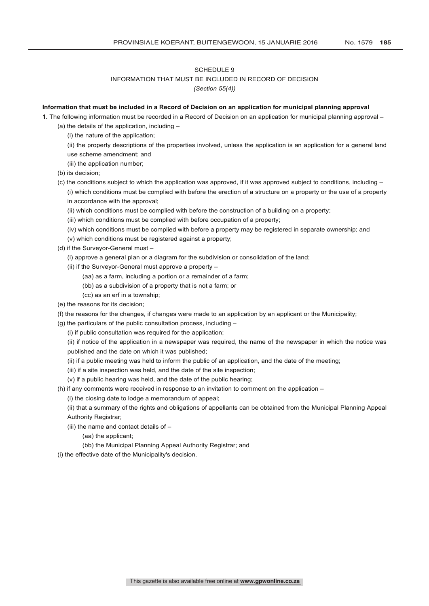# INFORMATION THAT MUST BE INCLUDED IN RECORD OF DECISION *(Section 55(4))*

# **Information that must be included in a Record of Decision on an application for municipal planning approval**

**1.** The following information must be recorded in a Record of Decision on an application for municipal planning approval –

- (a) the details of the application, including
	- (i) the nature of the application;
	- (ii) the property descriptions of the properties involved, unless the application is an application for a general land use scheme amendment; and
	- (iii) the application number;
- (b) its decision;
- (c) the conditions subject to which the application was approved, if it was approved subject to conditions, including  $-$ (i) which conditions must be complied with before the erection of a structure on a property or the use of a property in accordance with the approval;
	- (ii) which conditions must be complied with before the construction of a building on a property;
	- (iii) which conditions must be complied with before occupation of a property;
	- (iv) which conditions must be complied with before a property may be registered in separate ownership; and
	- (v) which conditions must be registered against a property;
- (d) if the Surveyor-General must
	- (i) approve a general plan or a diagram for the subdivision or consolidation of the land;
	- (ii) if the Surveyor-General must approve a property
		- (aa) as a farm, including a portion or a remainder of a farm;
		- (bb) as a subdivision of a property that is not a farm; or
		- (cc) as an erf in a township;
- (e) the reasons for its decision;
- (f) the reasons for the changes, if changes were made to an application by an applicant or the Municipality;
- (g) the particulars of the public consultation process, including
	- (i) if public consultation was required for the application;
	- (ii) if notice of the application in a newspaper was required, the name of the newspaper in which the notice was published and the date on which it was published;
	- (ii) if a public meeting was held to inform the public of an application, and the date of the meeting;
	- (iii) if a site inspection was held, and the date of the site inspection;
	- (v) if a public hearing was held, and the date of the public hearing;
- (h) if any comments were received in response to an invitation to comment on the application
	- (i) the closing date to lodge a memorandum of appeal;
	- (ii) that a summary of the rights and obligations of appellants can be obtained from the Municipal Planning Appeal Authority Registrar;
	- (iii) the name and contact details of
		- (aa) the applicant;
		- (bb) the Municipal Planning Appeal Authority Registrar; and
- (i) the effective date of the Municipality's decision.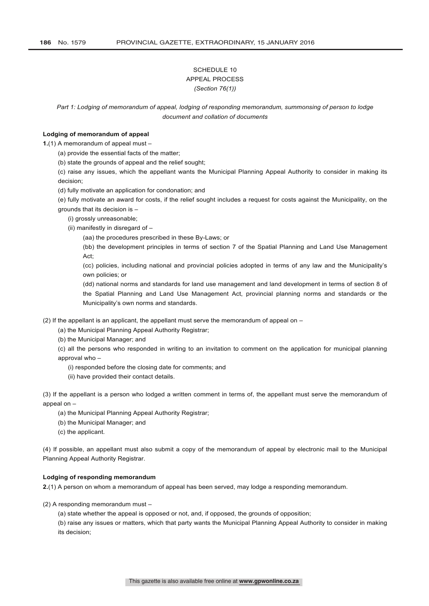# SCHEDULE 10 APPEAL PROCESS *(Section 76(1))*

*Part 1: Lodging of memorandum of appeal, lodging of responding memorandum, summonsing of person to lodge document and collation of documents*

#### **Lodging of memorandum of appeal**

**1.**(1) A memorandum of appeal must –

(a) provide the essential facts of the matter;

(b) state the grounds of appeal and the relief sought;

(c) raise any issues, which the appellant wants the Municipal Planning Appeal Authority to consider in making its decision;

(d) fully motivate an application for condonation; and

(e) fully motivate an award for costs, if the relief sought includes a request for costs against the Municipality, on the grounds that its decision is –

(i) grossly unreasonable;

(ii) manifestly in disregard of –

(aa) the procedures prescribed in these By-Laws; or

(bb) the development principles in terms of section 7 of the Spatial Planning and Land Use Management Act;

(cc) policies, including national and provincial policies adopted in terms of any law and the Municipality's own policies; or

(dd) national norms and standards for land use management and land development in terms of section 8 of the Spatial Planning and Land Use Management Act, provincial planning norms and standards or the Municipality's own norms and standards.

(2) If the appellant is an applicant, the appellant must serve the memorandum of appeal on  $-$ 

(a) the Municipal Planning Appeal Authority Registrar;

(b) the Municipal Manager; and

(c) all the persons who responded in writing to an invitation to comment on the application for municipal planning approval who -

- (i) responded before the closing date for comments; and
- (ii) have provided their contact details.

(3) If the appellant is a person who lodged a written comment in terms of, the appellant must serve the memorandum of appeal on –

- (a) the Municipal Planning Appeal Authority Registrar;
- (b) the Municipal Manager; and
- (c) the applicant.

(4) If possible, an appellant must also submit a copy of the memorandum of appeal by electronic mail to the Municipal Planning Appeal Authority Registrar.

#### **Lodging of responding memorandum**

**2.**(1) A person on whom a memorandum of appeal has been served, may lodge a responding memorandum.

(2) A responding memorandum must –

(a) state whether the appeal is opposed or not, and, if opposed, the grounds of opposition;

(b) raise any issues or matters, which that party wants the Municipal Planning Appeal Authority to consider in making its decision;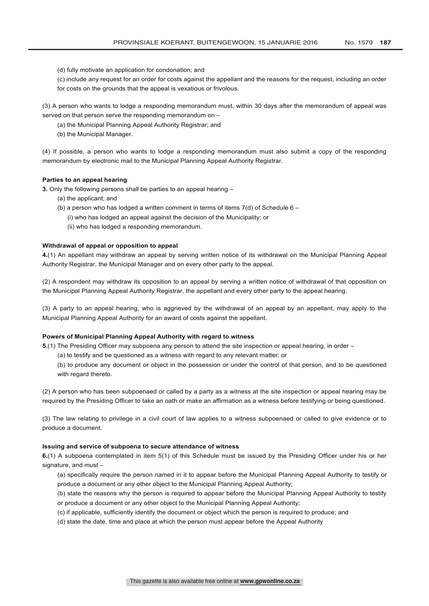- (d) fully motivate an application for condonation; and
- (c) include any request for an order for costs against the appellant and the reasons for the request, including an order for costs on the grounds that the appeal is vexatious or frivolous.

(3) A person who wants to lodge a responding memorandum must, within 30 days after the memorandum of appeal was served on that person serve the responding memorandum on –

- (a) the Municipal Planning Appeal Authority Registrar; and
- (b) the Municipal Manager.

(4) If possible, a person who wants to lodge a responding memorandum must also submit a copy of the responding memorandum by electronic mail to the Municipal Planning Appeal Authority Registrar.

#### **Parties to an appeal hearing**

**3.** Only the following persons shall be parties to an appeal hearing –

- (a) the applicant; and
- (b) a person who has lodged a written comment in terms of items  $7(d)$  of Schedule 6
	- (i) who has lodged an appeal against the decision of the Municipality; or
	- (ii) who has lodged a responding memorandum.

#### **Withdrawal of appeal or opposition to appeal**

**4.**(1) An appellant may withdraw an appeal by serving written notice of its withdrawal on the Municipal Planning Appeal Authority Registrar, the Municipal Manager and on every other party to the appeal.

(2) A respondent may withdraw its opposition to an appeal by serving a written notice of withdrawal of that opposition on the Municipal Planning Appeal Authority Registrar, the appellant and every other party to the appeal hearing.

(3) A party to an appeal hearing, who is aggrieved by the withdrawal of an appeal by an appellant, may apply to the Municipal Planning Appeal Authority for an award of costs against the appellant.

#### **Powers of Municipal Planning Appeal Authority with regard to witness**

**5.**(1) The Presiding Officer may subpoena any person to attend the site inspection or appeal hearing, in order –

(a) to testify and be questioned as a witness with regard to any relevant matter; or

(b) to produce any document or object in the possession or under the control of that person, and to be questioned with regard thereto.

(2) A person who has been subpoenaed or called by a party as a witness at the site inspection or appeal hearing may be required by the Presiding Officer to take an oath or make an affirmation as a witness before testifying or being questioned.

(3) The law relating to privilege in a civil court of law applies to a witness subpoenaed or called to give evidence or to produce a document.

## **Issuing and service of subpoena to secure attendance of witness**

**6.**(1) A subpoena contemplated in item 5(1) of this Schedule must be issued by the Presiding Officer under his or her signature, and must –

- (a) specifically require the person named in it to appear before the Municipal Planning Appeal Authority to testify or produce a document or any other object to the Municipal Planning Appeal Authority;
- (b) state the reasons why the person is required to appear before the Municipal Planning Appeal Authority to testify or produce a document or any other object to the Municipal Planning Appeal Authority;
- (c) if applicable, sufficiently identify the document or object which the person is required to produce; and
- (d) state the date, time and place at which the person must appear before the Appeal Authority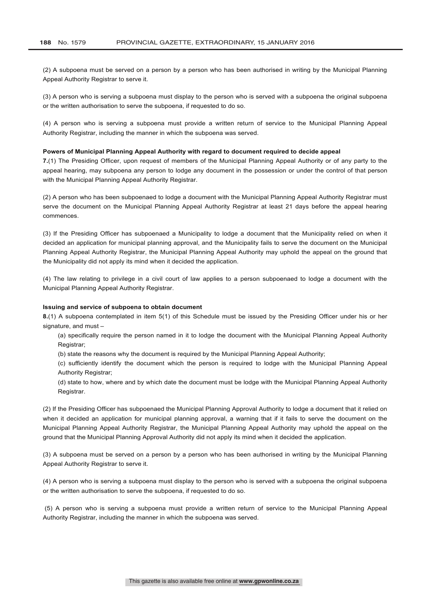(2) A subpoena must be served on a person by a person who has been authorised in writing by the Municipal Planning Appeal Authority Registrar to serve it.

(3) A person who is serving a subpoena must display to the person who is served with a subpoena the original subpoena or the written authorisation to serve the subpoena, if requested to do so.

(4) A person who is serving a subpoena must provide a written return of service to the Municipal Planning Appeal Authority Registrar, including the manner in which the subpoena was served.

#### **Powers of Municipal Planning Appeal Authority with regard to document required to decide appeal**

**7.**(1) The Presiding Officer, upon request of members of the Municipal Planning Appeal Authority or of any party to the appeal hearing, may subpoena any person to lodge any document in the possession or under the control of that person with the Municipal Planning Appeal Authority Registrar.

(2) A person who has been subpoenaed to lodge a document with the Municipal Planning Appeal Authority Registrar must serve the document on the Municipal Planning Appeal Authority Registrar at least 21 days before the appeal hearing commences.

(3) If the Presiding Officer has subpoenaed a Municipality to lodge a document that the Municipality relied on when it decided an application for municipal planning approval, and the Municipality fails to serve the document on the Municipal Planning Appeal Authority Registrar, the Municipal Planning Appeal Authority may uphold the appeal on the ground that the Municipality did not apply its mind when it decided the application.

(4) The law relating to privilege in a civil court of law applies to a person subpoenaed to lodge a document with the Municipal Planning Appeal Authority Registrar.

#### **Issuing and service of subpoena to obtain document**

**8.**(1) A subpoena contemplated in item 5(1) of this Schedule must be issued by the Presiding Officer under his or her signature, and must –

(a) specifically require the person named in it to lodge the document with the Municipal Planning Appeal Authority Registrar;

(b) state the reasons why the document is required by the Municipal Planning Appeal Authority;

(c) sufficiently identify the document which the person is required to lodge with the Municipal Planning Appeal Authority Registrar;

(d) state to how, where and by which date the document must be lodge with the Municipal Planning Appeal Authority Registrar.

(2) If the Presiding Officer has subpoenaed the Municipal Planning Approval Authority to lodge a document that it relied on when it decided an application for municipal planning approval, a warning that if it fails to serve the document on the Municipal Planning Appeal Authority Registrar, the Municipal Planning Appeal Authority may uphold the appeal on the ground that the Municipal Planning Approval Authority did not apply its mind when it decided the application.

(3) A subpoena must be served on a person by a person who has been authorised in writing by the Municipal Planning Appeal Authority Registrar to serve it.

(4) A person who is serving a subpoena must display to the person who is served with a subpoena the original subpoena or the written authorisation to serve the subpoena, if requested to do so.

(5) A person who is serving a subpoena must provide a written return of service to the Municipal Planning Appeal Authority Registrar, including the manner in which the subpoena was served.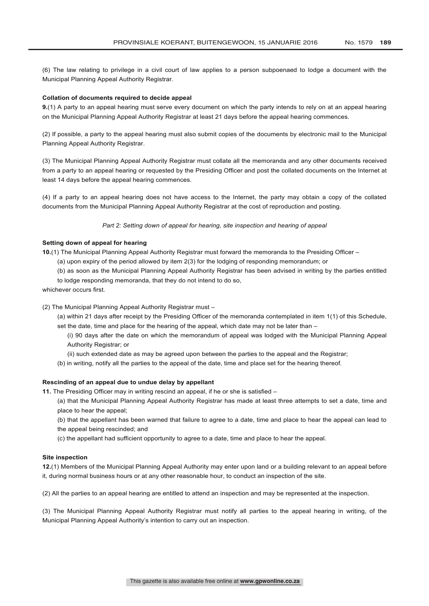(6) The law relating to privilege in a civil court of law applies to a person subpoenaed to lodge a document with the Municipal Planning Appeal Authority Registrar.

#### **Collation of documents required to decide appeal**

**9.**(1) A party to an appeal hearing must serve every document on which the party intends to rely on at an appeal hearing on the Municipal Planning Appeal Authority Registrar at least 21 days before the appeal hearing commences.

(2) If possible, a party to the appeal hearing must also submit copies of the documents by electronic mail to the Municipal Planning Appeal Authority Registrar.

(3) The Municipal Planning Appeal Authority Registrar must collate all the memoranda and any other documents received from a party to an appeal hearing or requested by the Presiding Officer and post the collated documents on the Internet at least 14 days before the appeal hearing commences.

(4) If a party to an appeal hearing does not have access to the Internet, the party may obtain a copy of the collated documents from the Municipal Planning Appeal Authority Registrar at the cost of reproduction and posting.

*Part 2: Setting down of appeal for hearing, site inspection and hearing of appeal*

# **Setting down of appeal for hearing**

**10.**(1) The Municipal Planning Appeal Authority Registrar must forward the memoranda to the Presiding Officer –

- (a) upon expiry of the period allowed by item 2(3) for the lodging of responding memorandum; or
- (b) as soon as the Municipal Planning Appeal Authority Registrar has been advised in writing by the parties entitled
- to lodge responding memoranda, that they do not intend to do so,
- whichever occurs first.

(2) The Municipal Planning Appeal Authority Registrar must –

- (a) within 21 days after receipt by the Presiding Officer of the memoranda contemplated in item 1(1) of this Schedule, set the date, time and place for the hearing of the appeal, which date may not be later than -
	- (i) 90 days after the date on which the memorandum of appeal was lodged with the Municipal Planning Appeal Authority Registrar; or
	- (ii) such extended date as may be agreed upon between the parties to the appeal and the Registrar;
- (b) in writing, notify all the parties to the appeal of the date, time and place set for the hearing thereof.

### **Rescinding of an appeal due to undue delay by appellant**

**11.** The Presiding Officer may in writing rescind an appeal, if he or she is satisfied –

(a) that the Municipal Planning Appeal Authority Registrar has made at least three attempts to set a date, time and place to hear the appeal;

(b) that the appellant has been warned that failure to agree to a date, time and place to hear the appeal can lead to the appeal being rescinded; and

(c) the appellant had sufficient opportunity to agree to a date, time and place to hear the appeal.

# **Site inspection**

**12.**(1) Members of the Municipal Planning Appeal Authority may enter upon land or a building relevant to an appeal before it, during normal business hours or at any other reasonable hour, to conduct an inspection of the site.

(2) All the parties to an appeal hearing are entitled to attend an inspection and may be represented at the inspection.

(3) The Municipal Planning Appeal Authority Registrar must notify all parties to the appeal hearing in writing, of the Municipal Planning Appeal Authority's intention to carry out an inspection.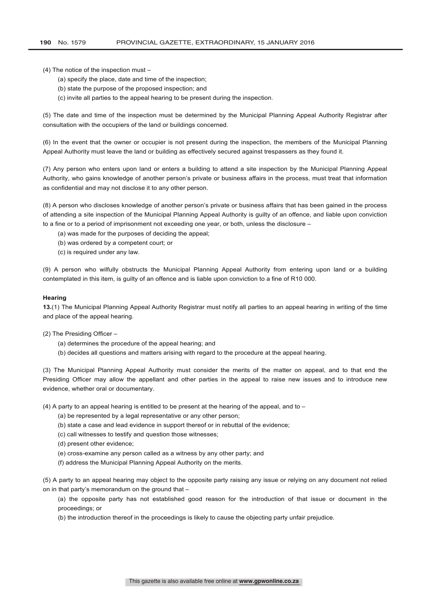(4) The notice of the inspection must –

- (a) specify the place, date and time of the inspection;
- (b) state the purpose of the proposed inspection; and
- (c) invite all parties to the appeal hearing to be present during the inspection.

(5) The date and time of the inspection must be determined by the Municipal Planning Appeal Authority Registrar after consultation with the occupiers of the land or buildings concerned.

(6) In the event that the owner or occupier is not present during the inspection, the members of the Municipal Planning Appeal Authority must leave the land or building as effectively secured against trespassers as they found it.

(7) Any person who enters upon land or enters a building to attend a site inspection by the Municipal Planning Appeal Authority, who gains knowledge of another person's private or business affairs in the process, must treat that information as confidential and may not disclose it to any other person.

(8) A person who discloses knowledge of another person's private or business affairs that has been gained in the process of attending a site inspection of the Municipal Planning Appeal Authority is guilty of an offence, and liable upon conviction to a fine or to a period of imprisonment not exceeding one year, or both, unless the disclosure –

- (a) was made for the purposes of deciding the appeal;
- (b) was ordered by a competent court; or
- (c) is required under any law.

(9) A person who wilfully obstructs the Municipal Planning Appeal Authority from entering upon land or a building contemplated in this item, is guilty of an offence and is liable upon conviction to a fine of R10 000.

#### **Hearing**

**13.**(1) The Municipal Planning Appeal Authority Registrar must notify all parties to an appeal hearing in writing of the time and place of the appeal hearing.

(2) The Presiding Officer –

- (a) determines the procedure of the appeal hearing; and
- (b) decides all questions and matters arising with regard to the procedure at the appeal hearing.

(3) The Municipal Planning Appeal Authority must consider the merits of the matter on appeal, and to that end the Presiding Officer may allow the appellant and other parties in the appeal to raise new issues and to introduce new evidence, whether oral or documentary.

(4) A party to an appeal hearing is entitled to be present at the hearing of the appeal, and to  $-$ 

- (a) be represented by a legal representative or any other person;
- (b) state a case and lead evidence in support thereof or in rebuttal of the evidence;
- (c) call witnesses to testify and question those witnesses;
- (d) present other evidence;
- (e) cross-examine any person called as a witness by any other party; and
- (f) address the Municipal Planning Appeal Authority on the merits.

(5) A party to an appeal hearing may object to the opposite party raising any issue or relying on any document not relied on in that party's memorandum on the ground that –

(a) the opposite party has not established good reason for the introduction of that issue or document in the proceedings; or

(b) the introduction thereof in the proceedings is likely to cause the objecting party unfair prejudice.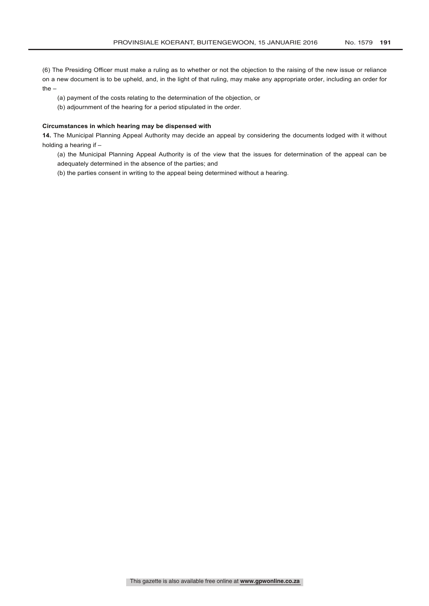(6) The Presiding Officer must make a ruling as to whether or not the objection to the raising of the new issue or reliance on a new document is to be upheld, and, in the light of that ruling, may make any appropriate order, including an order for the –

(a) payment of the costs relating to the determination of the objection, or

(b) adjournment of the hearing for a period stipulated in the order.

## **Circumstances in which hearing may be dispensed with**

**14.** The Municipal Planning Appeal Authority may decide an appeal by considering the documents lodged with it without holding a hearing if –

(a) the Municipal Planning Appeal Authority is of the view that the issues for determination of the appeal can be adequately determined in the absence of the parties; and

(b) the parties consent in writing to the appeal being determined without a hearing.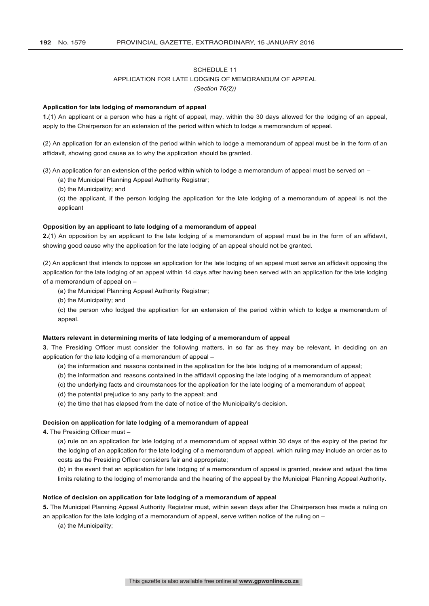# APPLICATION FOR LATE LODGING OF MEMORANDUM OF APPEAL

*(Section 76(2))*

#### **Application for late lodging of memorandum of appeal**

**1.**(1) An applicant or a person who has a right of appeal, may, within the 30 days allowed for the lodging of an appeal, apply to the Chairperson for an extension of the period within which to lodge a memorandum of appeal.

(2) An application for an extension of the period within which to lodge a memorandum of appeal must be in the form of an affidavit, showing good cause as to why the application should be granted.

(3) An application for an extension of the period within which to lodge a memorandum of appeal must be served on –

- (a) the Municipal Planning Appeal Authority Registrar;
- (b) the Municipality; and
- (c) the applicant, if the person lodging the application for the late lodging of a memorandum of appeal is not the applicant

### **Opposition by an applicant to late lodging of a memorandum of appeal**

**2.**(1) An opposition by an applicant to the late lodging of a memorandum of appeal must be in the form of an affidavit, showing good cause why the application for the late lodging of an appeal should not be granted.

(2) An applicant that intends to oppose an application for the late lodging of an appeal must serve an affidavit opposing the application for the late lodging of an appeal within 14 days after having been served with an application for the late lodging of a memorandum of appeal on –

(a) the Municipal Planning Appeal Authority Registrar;

(b) the Municipality; and

(c) the person who lodged the application for an extension of the period within which to lodge a memorandum of appeal.

# **Matters relevant in determining merits of late lodging of a memorandum of appeal**

**3.** The Presiding Officer must consider the following matters, in so far as they may be relevant, in deciding on an application for the late lodging of a memorandum of appeal –

- (a) the information and reasons contained in the application for the late lodging of a memorandum of appeal;
- (b) the information and reasons contained in the affidavit opposing the late lodging of a memorandum of appeal;
- (c) the underlying facts and circumstances for the application for the late lodging of a memorandum of appeal;
- (d) the potential prejudice to any party to the appeal; and
- (e) the time that has elapsed from the date of notice of the Municipality's decision.

# **Decision on application for late lodging of a memorandum of appeal**

**4.** The Presiding Officer must –

(a) rule on an application for late lodging of a memorandum of appeal within 30 days of the expiry of the period for the lodging of an application for the late lodging of a memorandum of appeal, which ruling may include an order as to costs as the Presiding Officer considers fair and appropriate;

(b) in the event that an application for late lodging of a memorandum of appeal is granted, review and adjust the time limits relating to the lodging of memoranda and the hearing of the appeal by the Municipal Planning Appeal Authority.

#### **Notice of decision on application for late lodging of a memorandum of appeal**

**5.** The Municipal Planning Appeal Authority Registrar must, within seven days after the Chairperson has made a ruling on an application for the late lodging of a memorandum of appeal, serve written notice of the ruling on –

(a) the Municipality;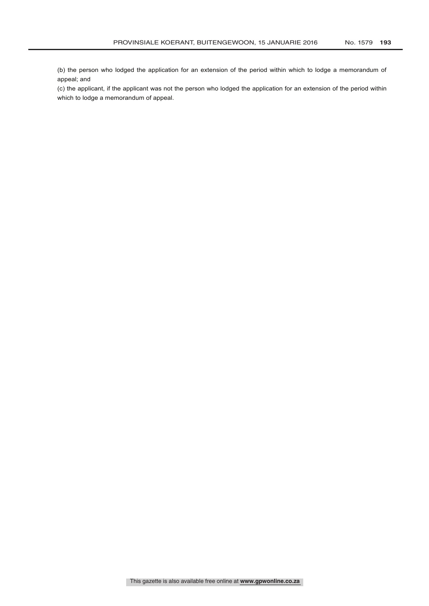(b) the person who lodged the application for an extension of the period within which to lodge a memorandum of appeal; and

(c) the applicant, if the applicant was not the person who lodged the application for an extension of the period within which to lodge a memorandum of appeal.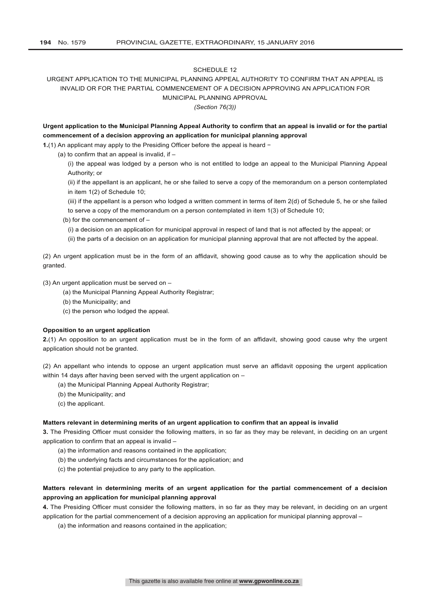# URGENT APPLICATION TO THE MUNICIPAL PLANNING APPEAL AUTHORITY TO CONFIRM THAT AN APPEAL IS INVALID OR FOR THE PARTIAL COMMENCEMENT OF A DECISION APPROVING AN APPLICATION FOR MUNICIPAL PLANNING APPROVAL

*(Section 76(3))*

# **Urgent application to the Municipal Planning Appeal Authority to confirm that an appeal is invalid or for the partial commencement of a decision approving an application for municipal planning approval**

**1.**(1) An applicant may apply to the Presiding Officer before the appeal is heard −

(a) to confirm that an appeal is invalid, if  $-$ 

(i) the appeal was lodged by a person who is not entitled to lodge an appeal to the Municipal Planning Appeal Authority; or

(ii) if the appellant is an applicant, he or she failed to serve a copy of the memorandum on a person contemplated in item 1(2) of Schedule 10;

(iii) if the appellant is a person who lodged a written comment in terms of item 2(d) of Schedule 5, he or she failed to serve a copy of the memorandum on a person contemplated in item 1(3) of Schedule 10;

(b) for the commencement of –

(i) a decision on an application for municipal approval in respect of land that is not affected by the appeal; or

(ii) the parts of a decision on an application for municipal planning approval that are not affected by the appeal.

(2) An urgent application must be in the form of an affidavit, showing good cause as to why the application should be granted.

(3) An urgent application must be served on –

- (a) the Municipal Planning Appeal Authority Registrar;
- (b) the Municipality; and
- (c) the person who lodged the appeal.

# **Opposition to an urgent application**

**2.**(1) An opposition to an urgent application must be in the form of an affidavit, showing good cause why the urgent application should not be granted.

(2) An appellant who intends to oppose an urgent application must serve an affidavit opposing the urgent application within 14 days after having been served with the urgent application on -

- (a) the Municipal Planning Appeal Authority Registrar;
- (b) the Municipality; and
- (c) the applicant.

#### **Matters relevant in determining merits of an urgent application to confirm that an appeal is invalid**

**3.** The Presiding Officer must consider the following matters, in so far as they may be relevant, in deciding on an urgent application to confirm that an appeal is invalid –

- (a) the information and reasons contained in the application;
- (b) the underlying facts and circumstances for the application; and
- (c) the potential prejudice to any party to the application.

# **Matters relevant in determining merits of an urgent application for the partial commencement of a decision approving an application for municipal planning approval**

**4.** The Presiding Officer must consider the following matters, in so far as they may be relevant, in deciding on an urgent application for the partial commencement of a decision approving an application for municipal planning approval –

(a) the information and reasons contained in the application;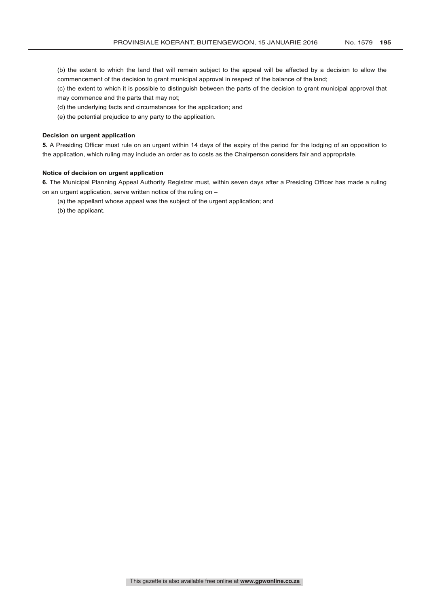- (b) the extent to which the land that will remain subject to the appeal will be affected by a decision to allow the commencement of the decision to grant municipal approval in respect of the balance of the land;
- (c) the extent to which it is possible to distinguish between the parts of the decision to grant municipal approval that may commence and the parts that may not;
- (d) the underlying facts and circumstances for the application; and
- (e) the potential prejudice to any party to the application.

### **Decision on urgent application**

**5.** A Presiding Officer must rule on an urgent within 14 days of the expiry of the period for the lodging of an opposition to the application, which ruling may include an order as to costs as the Chairperson considers fair and appropriate.

#### **Notice of decision on urgent application**

**6.** The Municipal Planning Appeal Authority Registrar must, within seven days after a Presiding Officer has made a ruling on an urgent application, serve written notice of the ruling on –

(a) the appellant whose appeal was the subject of the urgent application; and

(b) the applicant.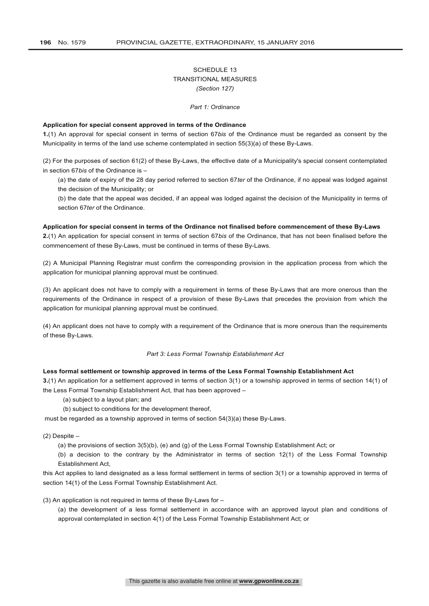# SCHEDULE 13 TRANSITIONAL MEASURES *(Section 127)*

*Part 1: Ordinance*

#### **Application for special consent approved in terms of the Ordinance**

**1.**(1) An approval for special consent in terms of section 67*bis* of the Ordinance must be regarded as consent by the Municipality in terms of the land use scheme contemplated in section 55(3)(a) of these By-Laws.

(2) For the purposes of section 61(2) of these By-Laws, the effective date of a Municipality's special consent contemplated in section 67*bis* of the Ordinance is –

(a) the date of expiry of the 28 day period referred to section 67*ter* of the Ordinance, if no appeal was lodged against the decision of the Municipality; or

(b) the date that the appeal was decided, if an appeal was lodged against the decision of the Municipality in terms of section 67*ter* of the Ordinance.

#### **Application for special consent in terms of the Ordinance not finalised before commencement of these By-Laws**

**2.**(1) An application for special consent in terms of section 67*bis* of the Ordinance, that has not been finalised before the commencement of these By-Laws, must be continued in terms of these By-Laws.

(2) A Municipal Planning Registrar must confirm the corresponding provision in the application process from which the application for municipal planning approval must be continued.

(3) An applicant does not have to comply with a requirement in terms of these By-Laws that are more onerous than the requirements of the Ordinance in respect of a provision of these By-Laws that precedes the provision from which the application for municipal planning approval must be continued.

(4) An applicant does not have to comply with a requirement of the Ordinance that is more onerous than the requirements of these By-Laws.

#### *Part 3: Less Formal Township Establishment Act*

#### **Less formal settlement or township approved in terms of the Less Formal Township Establishment Act**

**3.**(1) An application for a settlement approved in terms of section 3(1) or a township approved in terms of section 14(1) of the Less Formal Township Establishment Act, that has been approved –

(a) subject to a layout plan; and

(b) subject to conditions for the development thereof,

must be regarded as a township approved in terms of section 54(3)(a) these By-Laws.

 $(2)$  Despite  $-$ 

(a) the provisions of section 3(5)(b), (e) and (g) of the Less Formal Township Establishment Act; or

(b) a decision to the contrary by the Administrator in terms of section 12(1) of the Less Formal Township Establishment Act,

this Act applies to land designated as a less formal settlement in terms of section 3(1) or a township approved in terms of section 14(1) of the Less Formal Township Establishment Act.

(3) An application is not required in terms of these By-Laws for  $-$ 

(a) the development of a less formal settlement in accordance with an approved layout plan and conditions of approval contemplated in section 4(1) of the Less Formal Township Establishment Act; or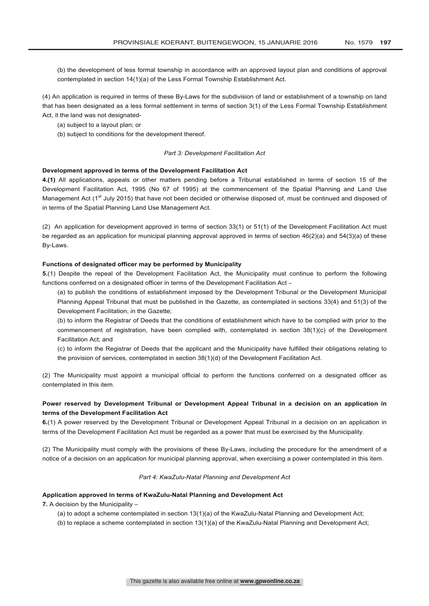(b) the development of less formal township in accordance with an approved layout plan and conditions of approval contemplated in section 14(1)(a) of the Less Formal Township Establishment Act.

(4) An application is required in terms of these By-Laws for the subdivision of land or establishment of a township on land that has been designated as a less formal settlement in terms of section 3(1) of the Less Formal Township Establishment Act, it the land was not designated-

(a) subject to a layout plan; or

(b) subject to conditions for the development thereof.

## *Part 3: Development Facilitation Act*

# **Development approved in terms of the Development Facilitation Act**

**4.(1)** All applications, appeals or other matters pending before a Tribunal established in terms of section 15 of the Development Facilitation Act, 1995 (No 67 of 1995) at the commencement of the Spatial Planning and Land Use Management Act (1<sup>st</sup> July 2015) that have not been decided or otherwise disposed of, must be continued and disposed of in terms of the Spatial Planning Land Use Management Act.

(2) An application for development approved in terms of section 33(1) or 51(1) of the Development Facilitation Act must be regarded as an application for municipal planning approval approved in terms of section  $46(2)(a)$  and  $54(3)(a)$  of these By-Laws.

#### **Functions of designated officer may be performed by Municipality**

**5.**(1) Despite the repeal of the Development Facilitation Act, the Municipality must continue to perform the following functions conferred on a designated officer in terms of the Development Facilitation Act -

(a) to publish the conditions of establishment imposed by the Development Tribunal or the Development Municipal Planning Appeal Tribunal that must be published in the Gazette, as contemplated in sections 33(4) and 51(3) of the Development Facilitation, in the Gazette;

(b) to inform the Registrar of Deeds that the conditions of establishment which have to be complied with prior to the commencement of registration, have been complied with, contemplated in section 38(1)(c) of the Development Facilitation Act; and

(c) to inform the Registrar of Deeds that the applicant and the Municipality have fulfilled their obligations relating to the provision of services, contemplated in section 38(1)(d) of the Development Facilitation Act.

(2) The Municipality must appoint a municipal official to perform the functions conferred on a designated officer as contemplated in this item.

# **Power reserved by Development Tribunal or Development Appeal Tribunal in a decision on an application in terms of the Development Facilitation Act**

**6.**(1) A power reserved by the Development Tribunal or Development Appeal Tribunal in a decision on an application in terms of the Development Facilitation Act must be regarded as a power that must be exercised by the Municipality.

(2) The Municipality must comply with the provisions of these By-Laws, including the procedure for the amendment of a notice of a decision on an application for municipal planning approval, when exercising a power contemplated in this item.

#### *Part 4: KwaZulu-Natal Planning and Development Act*

# **Application approved in terms of KwaZulu-Natal Planning and Development Act**

**7.** A decision by the Municipality –

- (a) to adopt a scheme contemplated in section 13(1)(a) of the KwaZulu-Natal Planning and Development Act;
- (b) to replace a scheme contemplated in section 13(1)(a) of the KwaZulu-Natal Planning and Development Act;